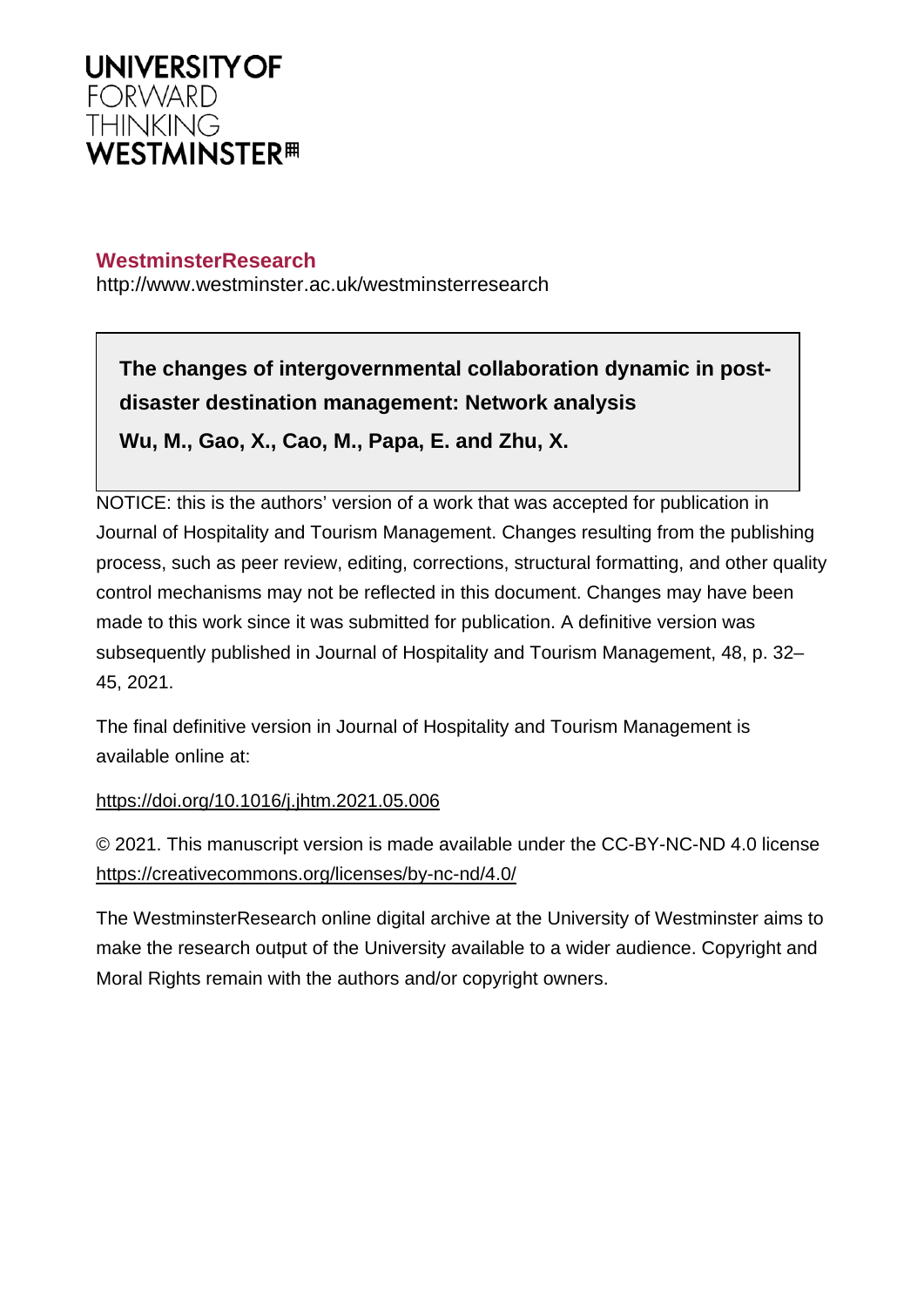

# **WestminsterResearch**

http://www.westminster.ac.uk/westminsterresearch

**The changes of intergovernmental collaboration dynamic in postdisaster destination management: Network analysis Wu, M., Gao, X., Cao, M., Papa, E. and Zhu, X.**

NOTICE: this is the authors' version of a work that was accepted for publication in Journal of Hospitality and Tourism Management. Changes resulting from the publishing process, such as peer review, editing, corrections, structural formatting, and other quality control mechanisms may not be reflected in this document. Changes may have been made to this work since it was submitted for publication. A definitive version was subsequently published in Journal of Hospitality and Tourism Management, 48, p. 32– 45, 2021.

The final definitive version in Journal of Hospitality and Tourism Management is available online at:

<https://doi.org/10.1016/j.jhtm.2021.05.006>

© 2021. This manuscript version is made available under the CC-BY-NC-ND 4.0 license <https://creativecommons.org/licenses/by-nc-nd/4.0/>

The WestminsterResearch online digital archive at the University of Westminster aims to make the research output of the University available to a wider audience. Copyright and Moral Rights remain with the authors and/or copyright owners.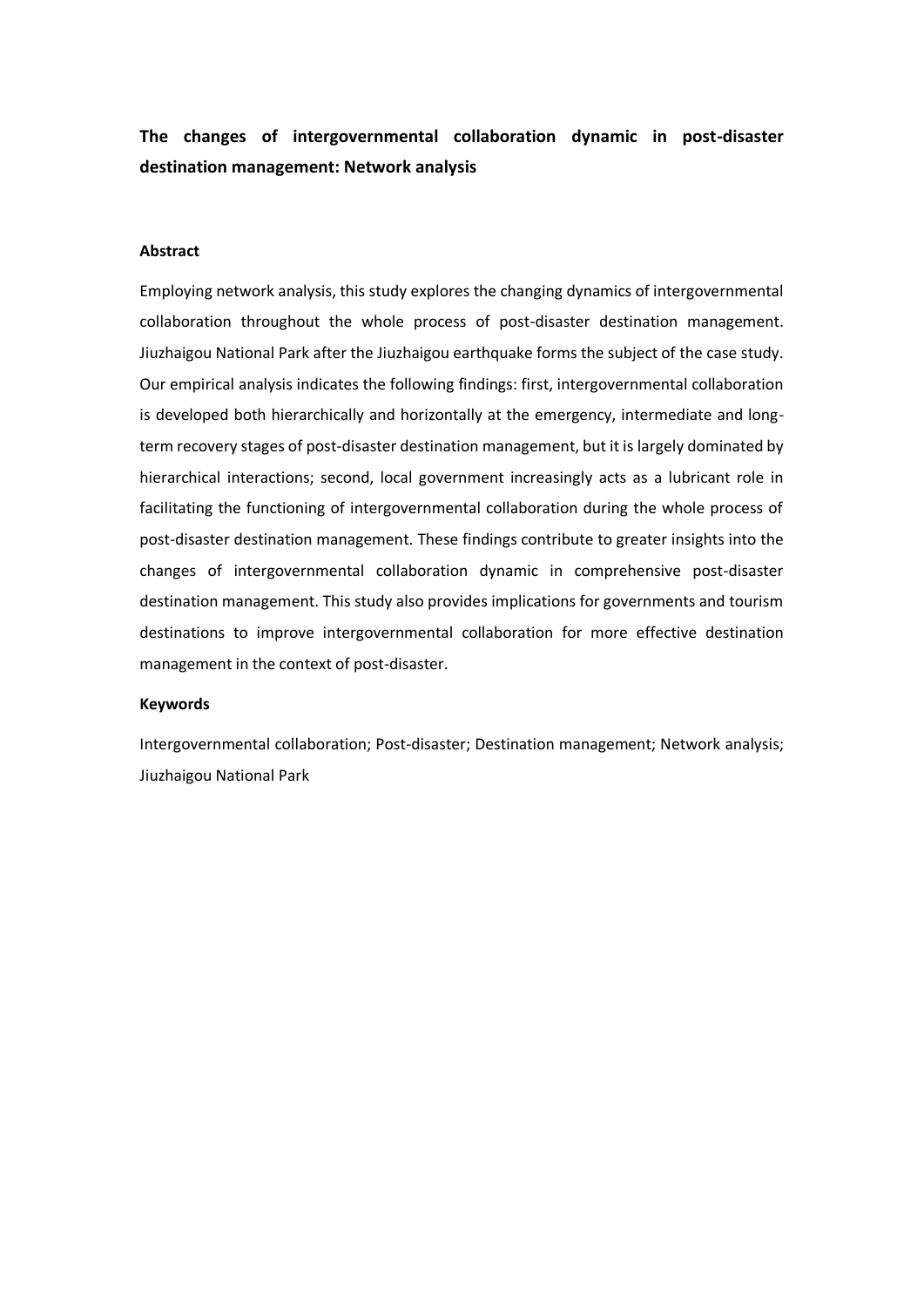# **The changes of intergovernmental collaboration dynamic in post-disaster destination management: Network analysis**

# **Abstract**

Employing network analysis, this study explores the changing dynamics of intergovernmental collaboration throughout the whole process of post-disaster destination management. Jiuzhaigou National Park after the Jiuzhaigou earthquake forms the subject of the case study. Our empirical analysis indicates the following findings: first, intergovernmental collaboration is developed both hierarchically and horizontally at the emergency, intermediate and longterm recovery stages of post-disaster destination management, but it is largely dominated by hierarchical interactions; second, local government increasingly acts as a lubricant role in facilitating the functioning of intergovernmental collaboration during the whole process of post-disaster destination management. These findings contribute to greater insights into the changes of intergovernmental collaboration dynamic in comprehensive post-disaster destination management. This study also provides implications for governments and tourism destinations to improve intergovernmental collaboration for more effective destination management in the context of post-disaster.

### **Keywords**

Intergovernmental collaboration; Post-disaster; Destination management; Network analysis; Jiuzhaigou National Park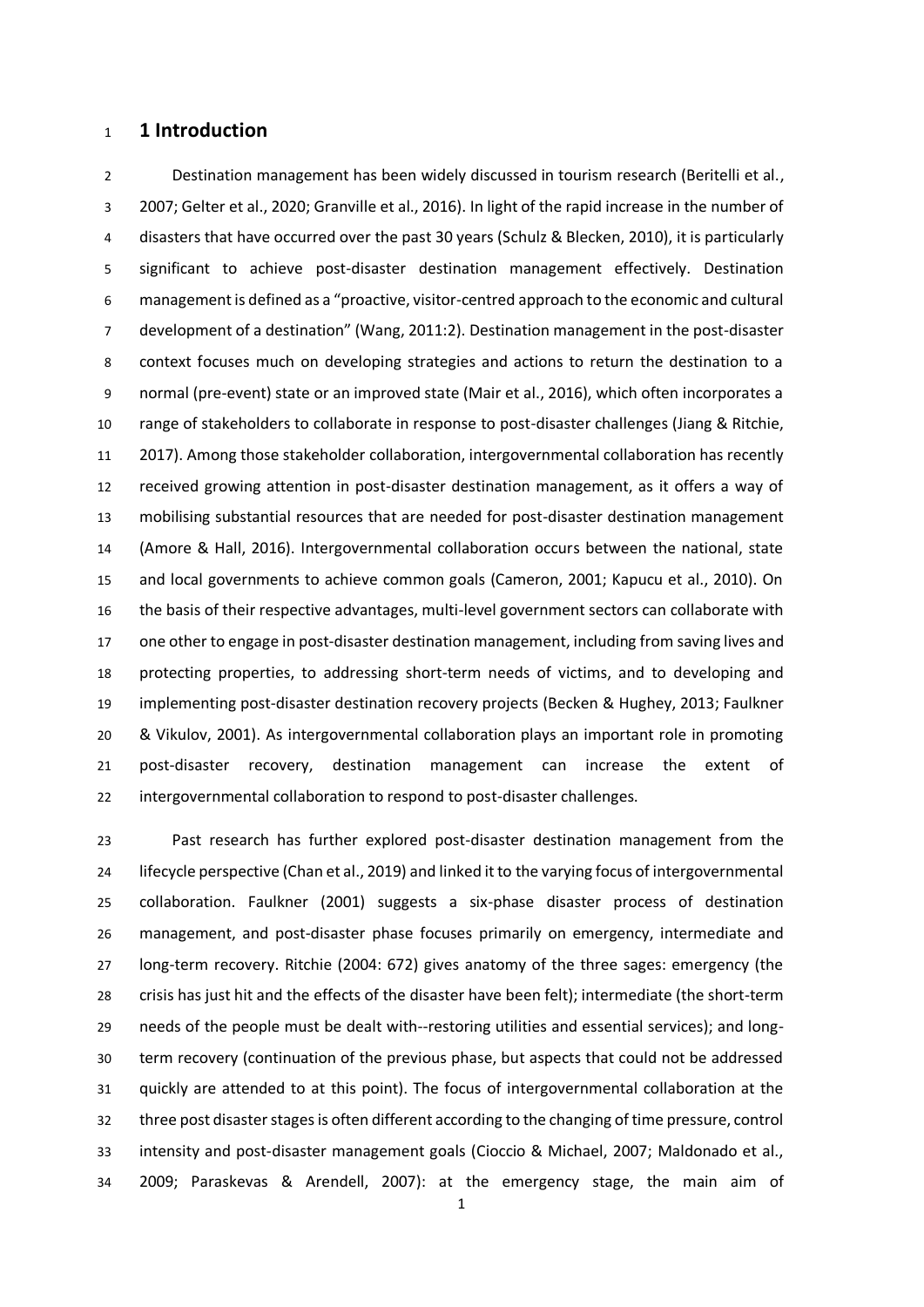# **1 Introduction**

 Destination management has been widely discussed in tourism research (Beritelli et al., 2007; Gelter et al., 2020; Granville et al., 2016). In light of the rapid increase in the number of disasters that have occurred over the past 30 years (Schulz & Blecken, 2010), it is particularly significant to achieve post-disaster destination management effectively. Destination management is defined as a "proactive, visitor-centred approach to the economic and cultural development of a destination" (Wang, 2011:2). Destination management in the post-disaster context focuses much on developing strategies and actions to return the destination to a normal (pre-event) state or an improved state (Mair et al., 2016), which often incorporates a range of stakeholders to collaborate in response to post-disaster challenges (Jiang & Ritchie, 2017). Among those stakeholder collaboration, intergovernmental collaboration has recently received growing attention in post-disaster destination management, as it offers a way of mobilising substantial resources that are needed for post-disaster destination management (Amore & Hall, 2016). Intergovernmental collaboration occurs between the national, state and local governments to achieve common goals (Cameron, 2001; Kapucu et al., 2010). On the basis of their respective advantages, multi-level government sectors can collaborate with one other to engage in post-disaster destination management, including from saving lives and protecting properties, to addressing short-term needs of victims, and to developing and implementing post-disaster destination recovery projects (Becken & Hughey, 2013; Faulkner & Vikulov, 2001). As intergovernmental collaboration plays an important role in promoting post-disaster recovery, destination management can increase the extent of intergovernmental collaboration to respond to post-disaster challenges.

 Past research has further explored post-disaster destination management from the lifecycle perspective (Chan et al., 2019) and linked it to the varying focus of intergovernmental collaboration. Faulkner (2001) suggests a six-phase disaster process of destination management, and post-disaster phase focuses primarily on emergency, intermediate and long-term recovery. Ritchie (2004: 672) gives anatomy of the three sages: emergency (the crisis has just hit and the effects of the disaster have been felt); intermediate (the short-term needs of the people must be dealt with--restoring utilities and essential services); and long- term recovery (continuation of the previous phase, but aspects that could not be addressed quickly are attended to at this point). The focus of intergovernmental collaboration at the three post disaster stages is often different according to the changing of time pressure, control intensity and post-disaster management goals (Cioccio & Michael, 2007; Maldonado et al., 2009; Paraskevas & Arendell, 2007): at the emergency stage, the main aim of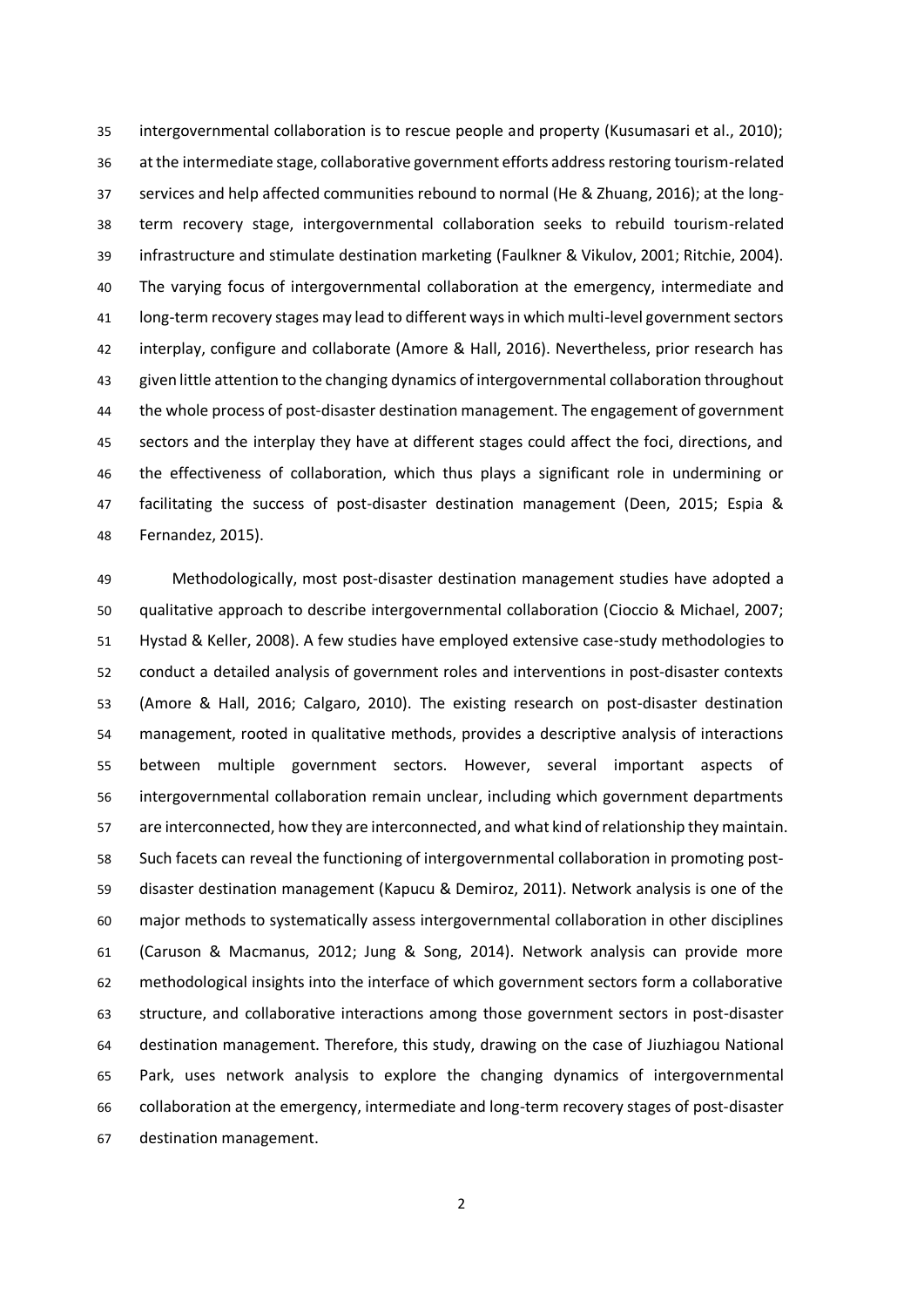intergovernmental collaboration is to rescue people and property (Kusumasari et al., 2010); at the intermediate stage, collaborative government efforts address restoring tourism-related services and help affected communities rebound to normal (He & Zhuang, 2016); at the long- term recovery stage, intergovernmental collaboration seeks to rebuild tourism-related infrastructure and stimulate destination marketing (Faulkner & Vikulov, 2001; Ritchie, 2004). The varying focus of intergovernmental collaboration at the emergency, intermediate and long-term recovery stages may lead to different ways in which multi-level government sectors interplay, configure and collaborate (Amore & Hall, 2016). Nevertheless, prior research has given little attention to the changing dynamics of intergovernmental collaboration throughout the whole process of post-disaster destination management. The engagement of government sectors and the interplay they have at different stages could affect the foci, directions, and the effectiveness of collaboration, which thus plays a significant role in undermining or facilitating the success of post-disaster destination management (Deen, 2015; Espia & Fernandez, 2015).

 Methodologically, most post-disaster destination management studies have adopted a qualitative approach to describe intergovernmental collaboration (Cioccio & Michael, 2007; Hystad & Keller, 2008). A few studies have employed extensive case-study methodologies to conduct a detailed analysis of government roles and interventions in post-disaster contexts (Amore & Hall, 2016; Calgaro, 2010). The existing research on post-disaster destination management, rooted in qualitative methods, provides a descriptive analysis of interactions between multiple government sectors. However, several important aspects of intergovernmental collaboration remain unclear, including which government departments are interconnected, how they are interconnected, and what kind of relationship they maintain. Such facets can reveal the functioning of intergovernmental collaboration in promoting post- disaster destination management (Kapucu & Demiroz, 2011). Network analysis is one of the major methods to systematically assess intergovernmental collaboration in other disciplines (Caruson & Macmanus, 2012; Jung & Song, 2014). Network analysis can provide more methodological insights into the interface of which government sectors form a collaborative structure, and collaborative interactions among those government sectors in post-disaster destination management. Therefore, this study, drawing on the case of Jiuzhiagou National Park, uses network analysis to explore the changing dynamics of intergovernmental collaboration at the emergency, intermediate and long-term recovery stages of post-disaster destination management.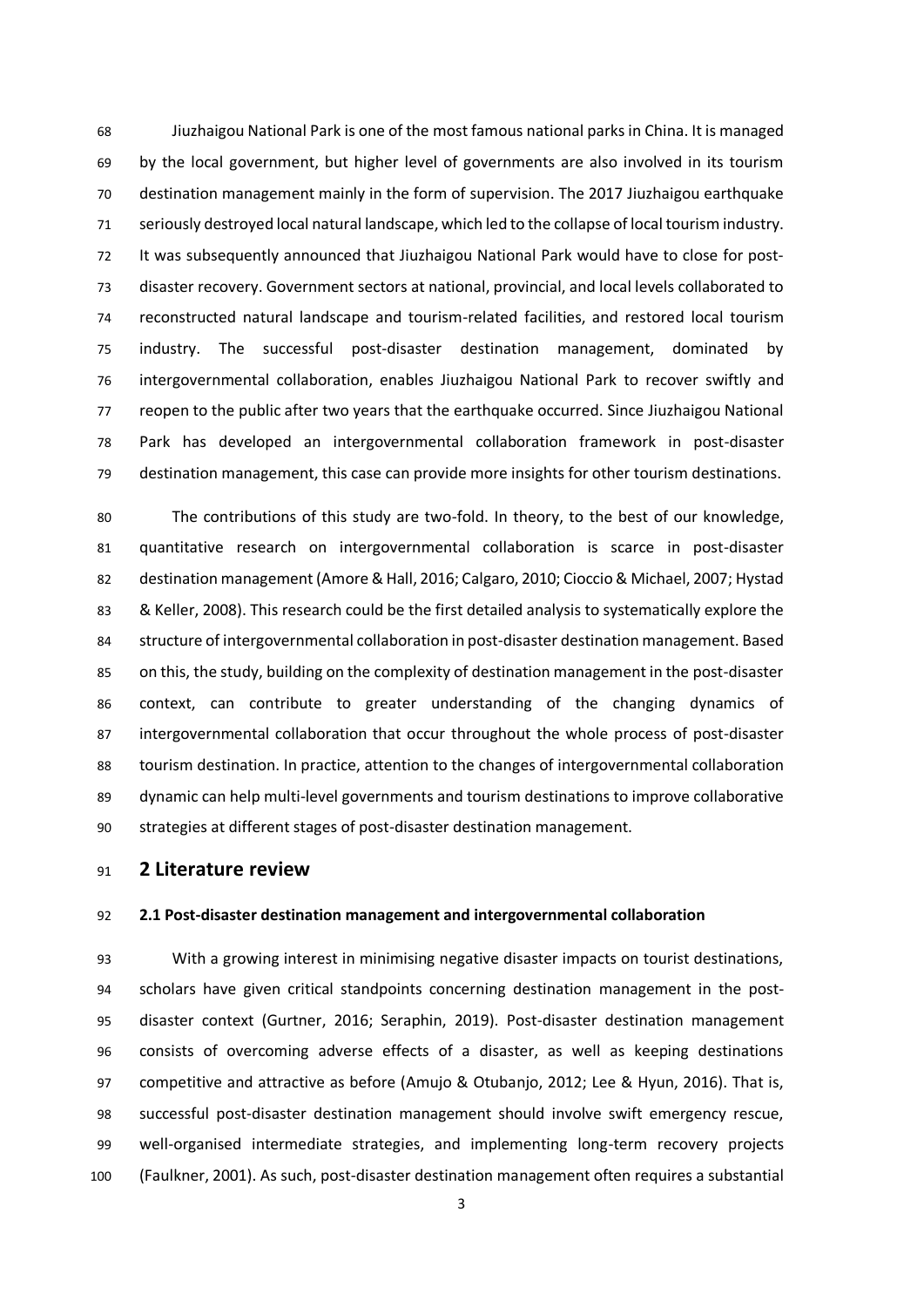Jiuzhaigou National Park is one of the most famous national parks in China. It is managed by the local government, but higher level of governments are also involved in its tourism destination management mainly in the form of supervision. The 2017 Jiuzhaigou earthquake seriously destroyed local natural landscape, which led to the collapse of local tourism industry. It was subsequently announced that Jiuzhaigou National Park would have to close for post- disaster recovery. Government sectors at national, provincial, and local levels collaborated to reconstructed natural landscape and tourism-related facilities, and restored local tourism industry. The successful post-disaster destination management, dominated by intergovernmental collaboration, enables Jiuzhaigou National Park to recover swiftly and reopen to the public after two years that the earthquake occurred. Since Jiuzhaigou National Park has developed an intergovernmental collaboration framework in post-disaster destination management, this case can provide more insights for other tourism destinations.

 The contributions of this study are two-fold. In theory, to the best of our knowledge, quantitative research on intergovernmental collaboration is scarce in post-disaster destination management (Amore & Hall, 2016; Calgaro, 2010; Cioccio & Michael, 2007; Hystad & Keller, 2008). This research could be the first detailed analysis to systematically explore the structure of intergovernmental collaboration in post-disaster destination management. Based on this, the study, building on the complexity of destination management in the post-disaster context, can contribute to greater understanding of the changing dynamics of intergovernmental collaboration that occur throughout the whole process of post-disaster tourism destination. In practice, attention to the changes of intergovernmental collaboration dynamic can help multi-level governments and tourism destinations to improve collaborative strategies at different stages of post-disaster destination management.

## **2 Literature review**

#### **2.1 Post-disaster destination management and intergovernmental collaboration**

 With a growing interest in minimising negative disaster impacts on tourist destinations, scholars have given critical standpoints concerning destination management in the post- disaster context (Gurtner, 2016; Seraphin, 2019). Post-disaster destination management consists of overcoming adverse effects of a disaster, as well as keeping destinations competitive and attractive as before (Amujo & Otubanjo, 2012; Lee & Hyun, 2016). That is, successful post-disaster destination management should involve swift emergency rescue, well-organised intermediate strategies, and implementing long-term recovery projects (Faulkner, 2001). As such, post-disaster destination management often requires a substantial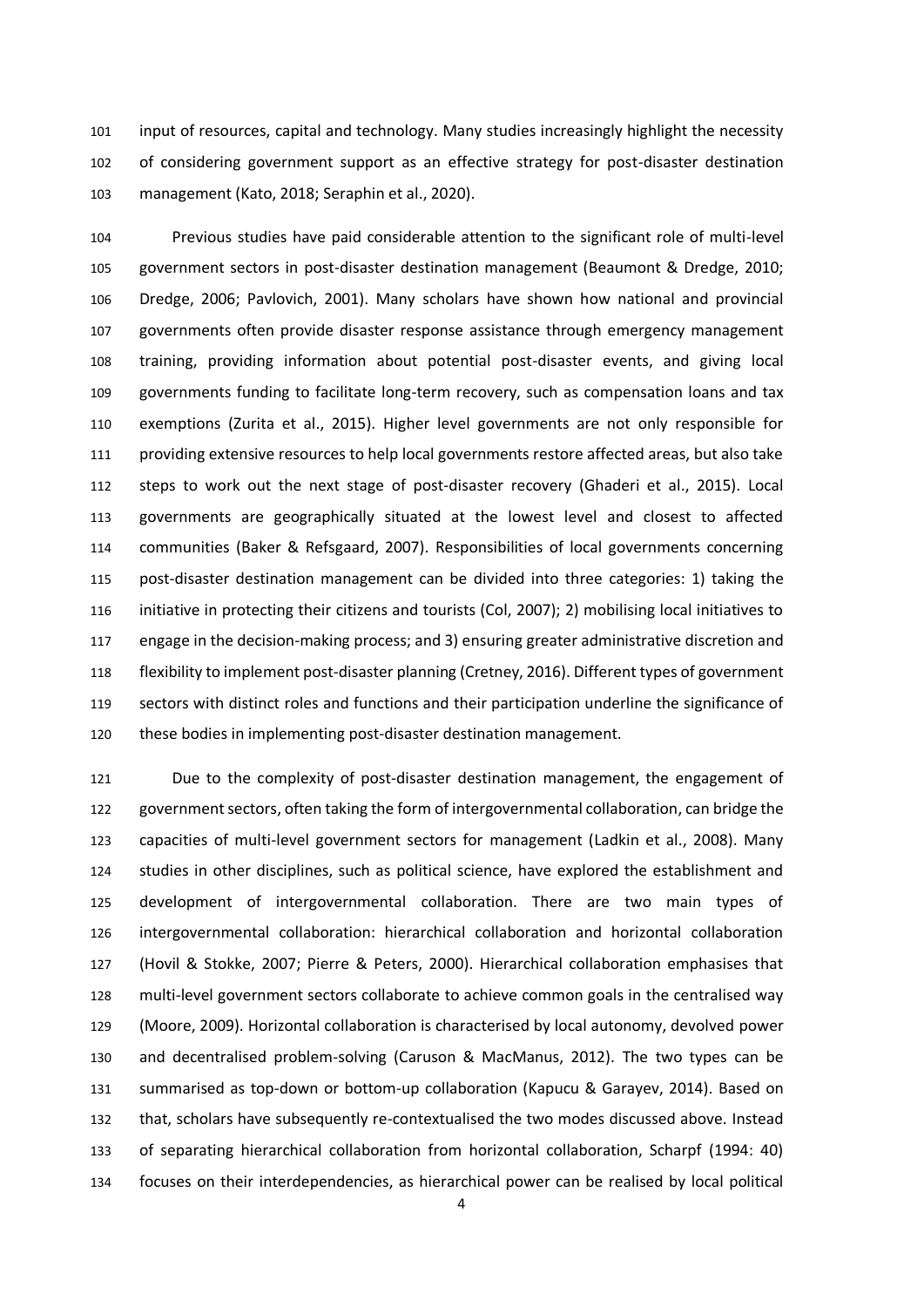input of resources, capital and technology. Many studies increasingly highlight the necessity of considering government support as an effective strategy for post-disaster destination management (Kato, 2018; Seraphin et al., 2020).

 Previous studies have paid considerable attention to the significant role of multi-level government sectors in post-disaster destination management (Beaumont & Dredge, 2010; Dredge, 2006; Pavlovich, 2001). Many scholars have shown how national and provincial governments often provide disaster response assistance through emergency management training, providing information about potential post-disaster events, and giving local governments funding to facilitate long-term recovery, such as compensation loans and tax exemptions (Zurita et al., 2015). Higher level governments are not only responsible for providing extensive resources to help local governments restore affected areas, but also take steps to work out the next stage of post-disaster recovery (Ghaderi et al., 2015). Local governments are geographically situated at the lowest level and closest to affected communities (Baker & Refsgaard, 2007). Responsibilities of local governments concerning post-disaster destination management can be divided into three categories: 1) taking the initiative in protecting their citizens and tourists (Col, 2007); 2) mobilising local initiatives to engage in the decision-making process; and 3) ensuring greater administrative discretion and flexibility to implement post-disaster planning (Cretney, 2016). Different types of government sectors with distinct roles and functions and their participation underline the significance of these bodies in implementing post-disaster destination management.

 Due to the complexity of post-disaster destination management, the engagement of government sectors, often taking the form of intergovernmental collaboration, can bridge the capacities of multi-level government sectors for management (Ladkin et al., 2008). Many studies in other disciplines, such as political science, have explored the establishment and development of intergovernmental collaboration. There are two main types of intergovernmental collaboration: hierarchical collaboration and horizontal collaboration (Hovil & Stokke, 2007; Pierre & Peters, 2000). Hierarchical collaboration emphasises that multi-level government sectors collaborate to achieve common goals in the centralised way (Moore, 2009). Horizontal collaboration is characterised by local autonomy, devolved power and decentralised problem-solving (Caruson & MacManus, 2012). The two types can be summarised as top-down or bottom-up collaboration (Kapucu & Garayev, 2014). Based on that, scholars have subsequently re-contextualised the two modes discussed above. Instead of separating hierarchical collaboration from horizontal collaboration, Scharpf (1994: 40) focuses on their interdependencies, as hierarchical power can be realised by local political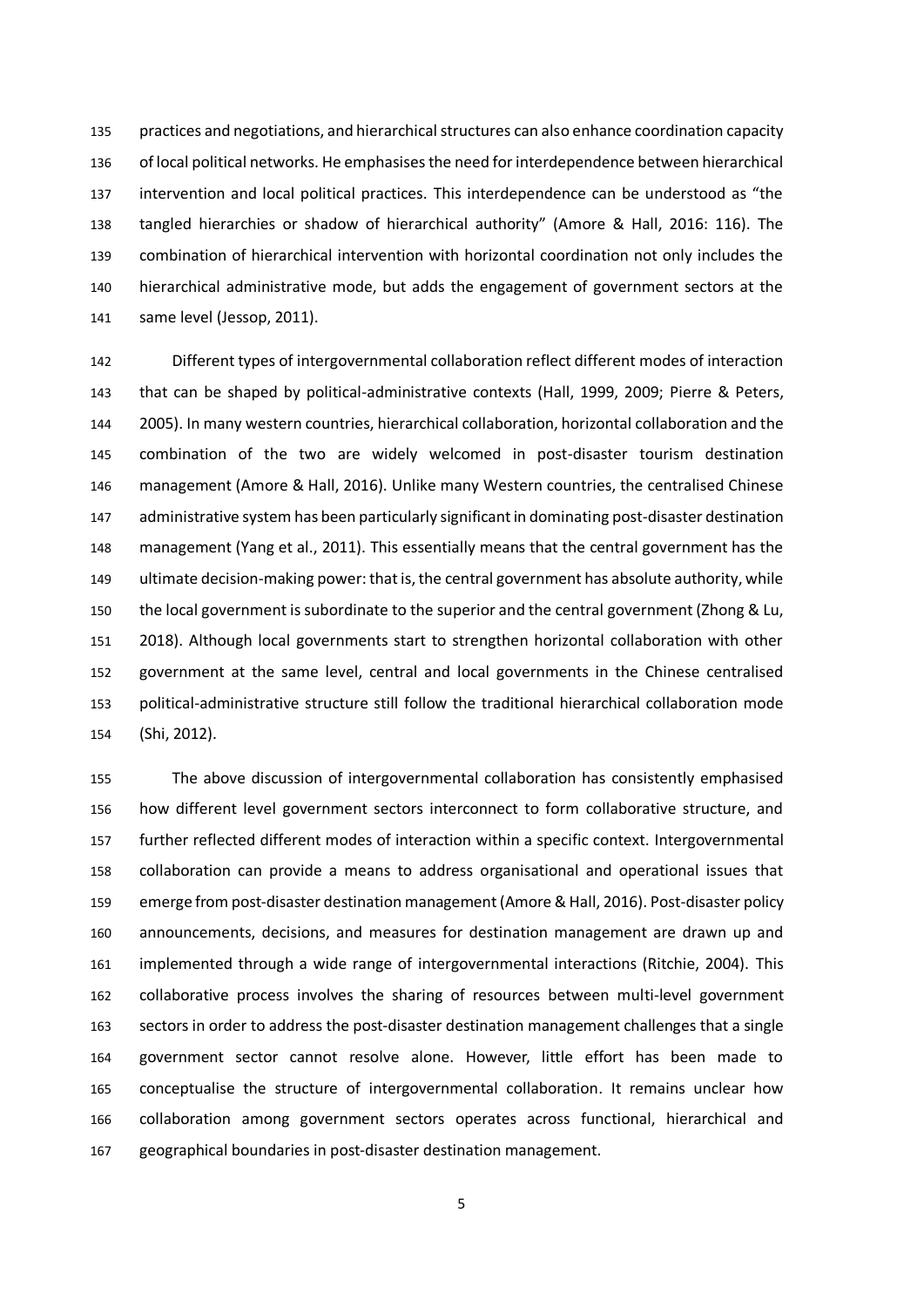practices and negotiations, and hierarchical structures can also enhance coordination capacity of local political networks. He emphasises the need for interdependence between hierarchical intervention and local political practices. This interdependence can be understood as "the tangled hierarchies or shadow of hierarchical authority" (Amore & Hall, 2016: 116). The combination of hierarchical intervention with horizontal coordination not only includes the hierarchical administrative mode, but adds the engagement of government sectors at the same level (Jessop, 2011).

 Different types of intergovernmental collaboration reflect different modes of interaction that can be shaped by political-administrative contexts (Hall, 1999, 2009; Pierre & Peters, 2005). In many western countries, hierarchical collaboration, horizontal collaboration and the combination of the two are widely welcomed in post-disaster tourism destination management (Amore & Hall, 2016). Unlike many Western countries, the centralised Chinese administrative system has been particularly significant in dominating post-disaster destination management (Yang et al., 2011). This essentially means that the central government has the ultimate decision-making power: that is, the central government has absolute authority, while the local government is subordinate to the superior and the central government (Zhong & Lu, 2018). Although local governments start to strengthen horizontal collaboration with other government at the same level, central and local governments in the Chinese centralised political-administrative structure still follow the traditional hierarchical collaboration mode (Shi, 2012).

 The above discussion of intergovernmental collaboration has consistently emphasised how different level government sectors interconnect to form collaborative structure, and further reflected different modes of interaction within a specific context. Intergovernmental collaboration can provide a means to address organisational and operational issues that 159 emerge from post-disaster destination management (Amore & Hall, 2016). Post-disaster policy announcements, decisions, and measures for destination management are drawn up and implemented through a wide range of intergovernmental interactions (Ritchie, 2004). This collaborative process involves the sharing of resources between multi-level government sectors in order to address the post-disaster destination management challenges that a single government sector cannot resolve alone. However, little effort has been made to conceptualise the structure of intergovernmental collaboration. It remains unclear how collaboration among government sectors operates across functional, hierarchical and geographical boundaries in post-disaster destination management.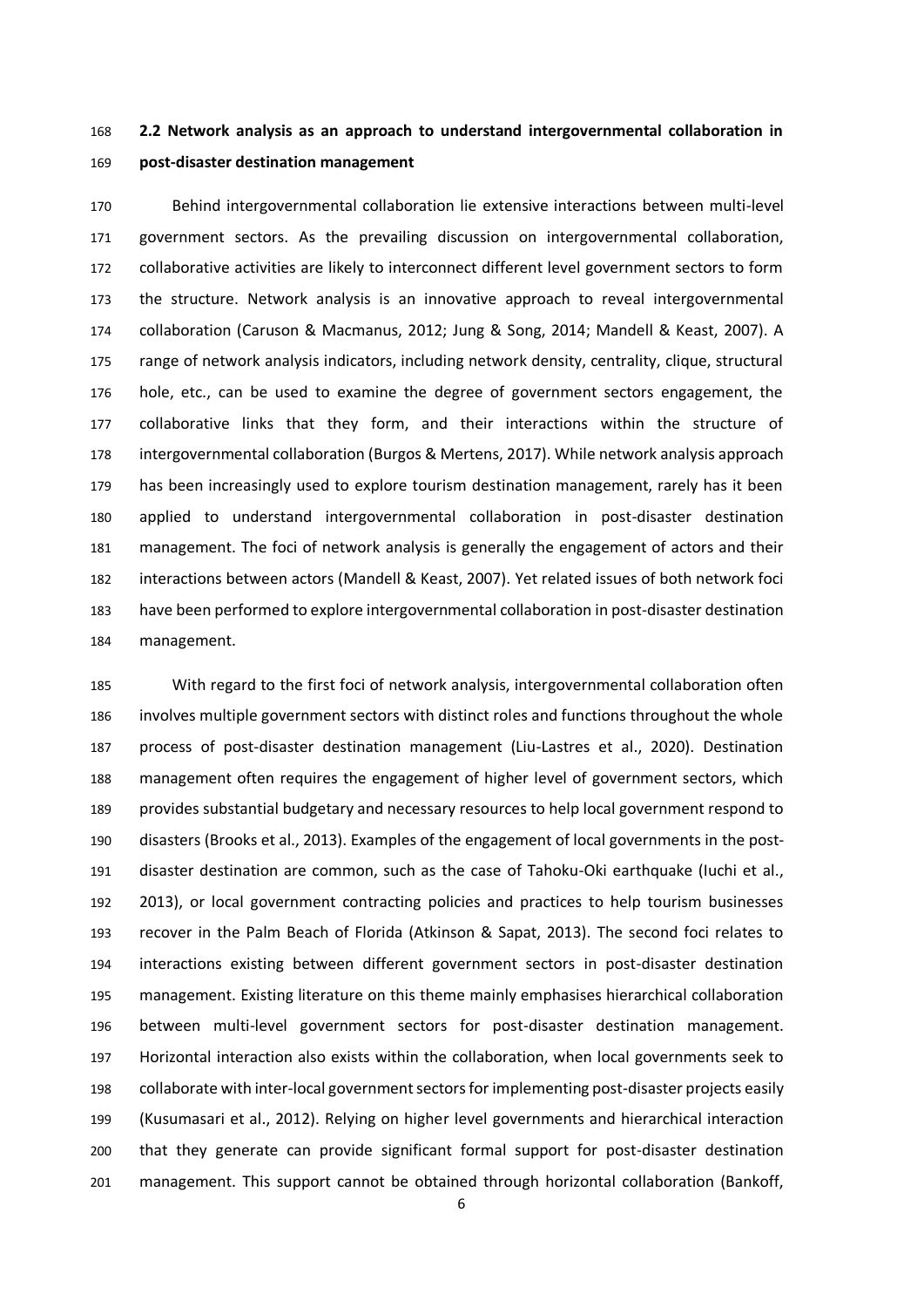**2.2 Network analysis as an approach to understand intergovernmental collaboration in post-disaster destination management** 

 Behind intergovernmental collaboration lie extensive interactions between multi-level government sectors. As the prevailing discussion on intergovernmental collaboration, collaborative activities are likely to interconnect different level government sectors to form the structure. Network analysis is an innovative approach to reveal intergovernmental collaboration (Caruson & Macmanus, 2012; Jung & Song, 2014; Mandell & Keast, 2007). A range of network analysis indicators, including network density, centrality, clique, structural hole, etc., can be used to examine the degree of government sectors engagement, the collaborative links that they form, and their interactions within the structure of intergovernmental collaboration (Burgos & Mertens, 2017). While network analysis approach has been increasingly used to explore tourism destination management, rarely has it been applied to understand intergovernmental collaboration in post-disaster destination management. The foci of network analysis is generally the engagement of actors and their interactions between actors (Mandell & Keast, 2007). Yet related issues of both network foci have been performed to explore intergovernmental collaboration in post-disaster destination management.

 With regard to the first foci of network analysis, intergovernmental collaboration often involves multiple government sectors with distinct roles and functions throughout the whole process of post-disaster destination management (Liu-Lastres et al., 2020). Destination management often requires the engagement of higher level of government sectors, which provides substantial budgetary and necessary resources to help local government respond to disasters (Brooks et al., 2013). Examples of the engagement of local governments in the post- disaster destination are common, such as the case of Tahoku-Oki earthquake (Iuchi et al., 2013), or local government contracting policies and practices to help tourism businesses recover in the Palm Beach of Florida (Atkinson & Sapat, 2013). The second foci relates to interactions existing between different government sectors in post-disaster destination management. Existing literature on this theme mainly emphasises hierarchical collaboration between multi-level government sectors for post-disaster destination management. Horizontal interaction also exists within the collaboration, when local governments seek to collaborate with inter-local government sectors for implementing post-disaster projects easily (Kusumasari et al., 2012). Relying on higher level governments and hierarchical interaction that they generate can provide significant formal support for post-disaster destination management. This support cannot be obtained through horizontal collaboration (Bankoff,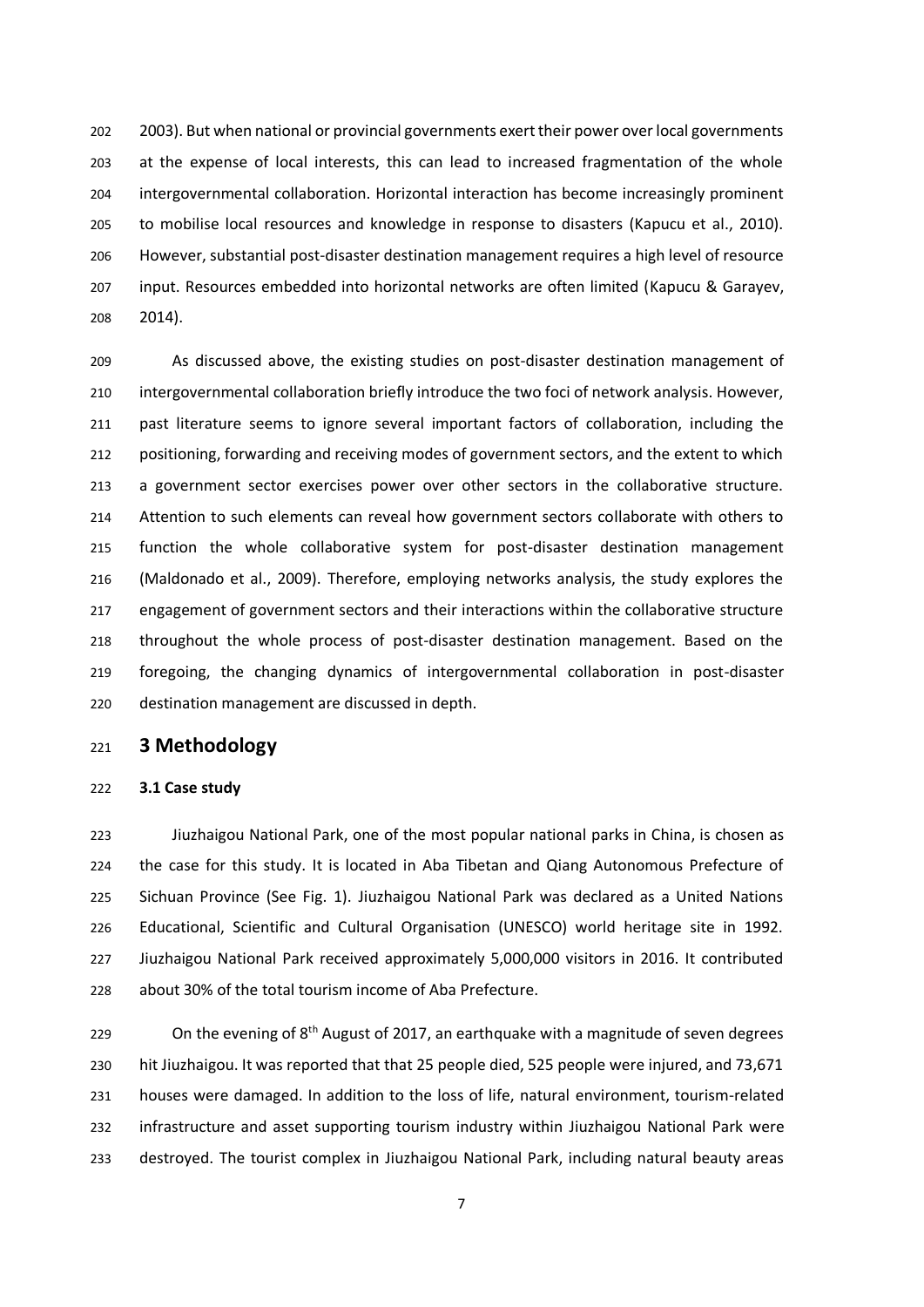2003). But when national or provincial governments exert their power over local governments at the expense of local interests, this can lead to increased fragmentation of the whole intergovernmental collaboration. Horizontal interaction has become increasingly prominent to mobilise local resources and knowledge in response to disasters (Kapucu et al., 2010). However, substantial post-disaster destination management requires a high level of resource input. Resources embedded into horizontal networks are often limited (Kapucu & Garayev, 2014).

 As discussed above, the existing studies on post-disaster destination management of intergovernmental collaboration briefly introduce the two foci of network analysis. However, past literature seems to ignore several important factors of collaboration, including the positioning, forwarding and receiving modes of government sectors, and the extent to which a government sector exercises power over other sectors in the collaborative structure. Attention to such elements can reveal how government sectors collaborate with others to function the whole collaborative system for post-disaster destination management (Maldonado et al., 2009). Therefore, employing networks analysis, the study explores the engagement of government sectors and their interactions within the collaborative structure throughout the whole process of post-disaster destination management. Based on the foregoing, the changing dynamics of intergovernmental collaboration in post-disaster destination management are discussed in depth.

# **3 Methodology**

### **3.1 Case study**

 Jiuzhaigou National Park, one of the most popular national parks in China, is chosen as the case for this study. It is located in Aba Tibetan and Qiang Autonomous Prefecture of Sichuan Province (See Fig. 1). Jiuzhaigou National Park was declared as a United Nations Educational, Scientific and Cultural Organisation (UNESCO) world heritage site in 1992. Jiuzhaigou National Park received approximately 5,000,000 visitors in 2016. It contributed about 30% of the total tourism income of Aba Prefecture.

229 Con the evening of  $8<sup>th</sup>$  August of 2017, an earthquake with a magnitude of seven degrees hit Jiuzhaigou. It was reported that that 25 people died, 525 people were injured, and 73,671 houses were damaged. In addition to the loss of life, natural environment, tourism-related infrastructure and asset supporting tourism industry within Jiuzhaigou National Park were destroyed. The tourist complex in Jiuzhaigou National Park, including natural beauty areas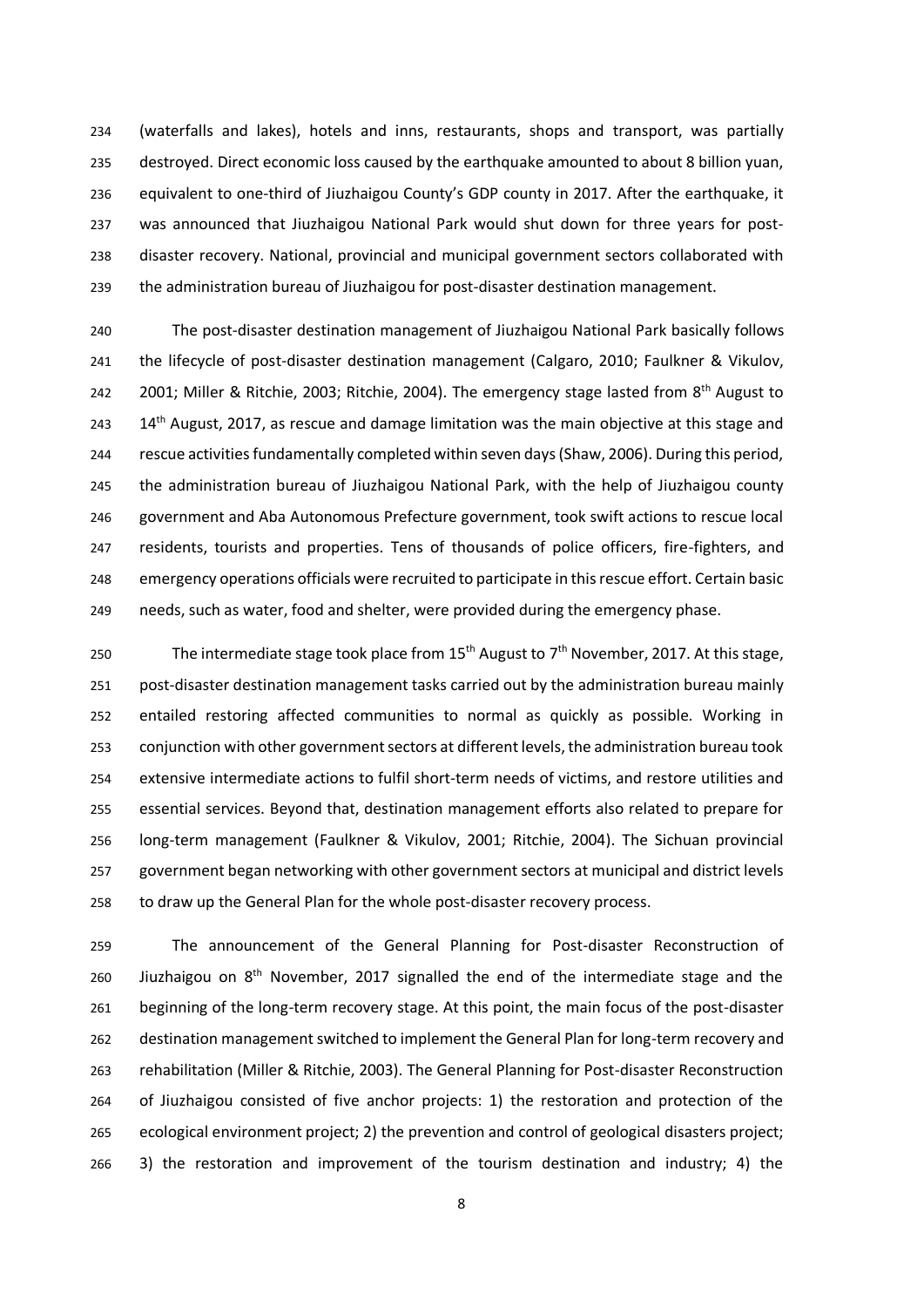(waterfalls and lakes), hotels and inns, restaurants, shops and transport, was partially destroyed. Direct economic loss caused by the earthquake amounted to about 8 billion yuan, equivalent to one-third of Jiuzhaigou County's GDP county in 2017. After the earthquake, it was announced that Jiuzhaigou National Park would shut down for three years for post- disaster recovery. National, provincial and municipal government sectors collaborated with the administration bureau of Jiuzhaigou for post-disaster destination management.

 The post-disaster destination management of Jiuzhaigou National Park basically follows the lifecycle of post-disaster destination management (Calgaro, 2010; Faulkner & Vikulov, 242 2001; Miller & Ritchie, 2003; Ritchie, 2004). The emergency stage lasted from  $8^{th}$  August to  $14<sup>th</sup>$  August, 2017, as rescue and damage limitation was the main objective at this stage and rescue activities fundamentally completed within seven days (Shaw, 2006). During this period, the administration bureau of Jiuzhaigou National Park, with the help of Jiuzhaigou county government and Aba Autonomous Prefecture government, took swift actions to rescue local residents, tourists and properties. Tens of thousands of police officers, fire-fighters, and emergency operations officials were recruited to participate in this rescue effort. Certain basic needs, such as water, food and shelter, were provided during the emergency phase.

250 The intermediate stage took place from  $15<sup>th</sup>$  August to  $7<sup>th</sup>$  November, 2017. At this stage, post-disaster destination management tasks carried out by the administration bureau mainly entailed restoring affected communities to normal as quickly as possible. Working in conjunction with other government sectors at different levels, the administration bureau took extensive intermediate actions to fulfil short-term needs of victims, and restore utilities and essential services. Beyond that, destination management efforts also related to prepare for long-term management (Faulkner & Vikulov, 2001; Ritchie, 2004). The Sichuan provincial government began networking with other government sectors at municipal and district levels to draw up the General Plan for the whole post-disaster recovery process.

 The announcement of the General Planning for Post-disaster Reconstruction of 260 Jiuzhaigou on  $8<sup>th</sup>$  November, 2017 signalled the end of the intermediate stage and the beginning of the long-term recovery stage. At this point, the main focus of the post-disaster destination management switched to implement the General Plan for long-term recovery and rehabilitation (Miller & Ritchie, 2003). The General Planning for Post-disaster Reconstruction of Jiuzhaigou consisted of five anchor projects: 1) the restoration and protection of the ecological environment project; 2) the prevention and control of geological disasters project; 3) the restoration and improvement of the tourism destination and industry; 4) the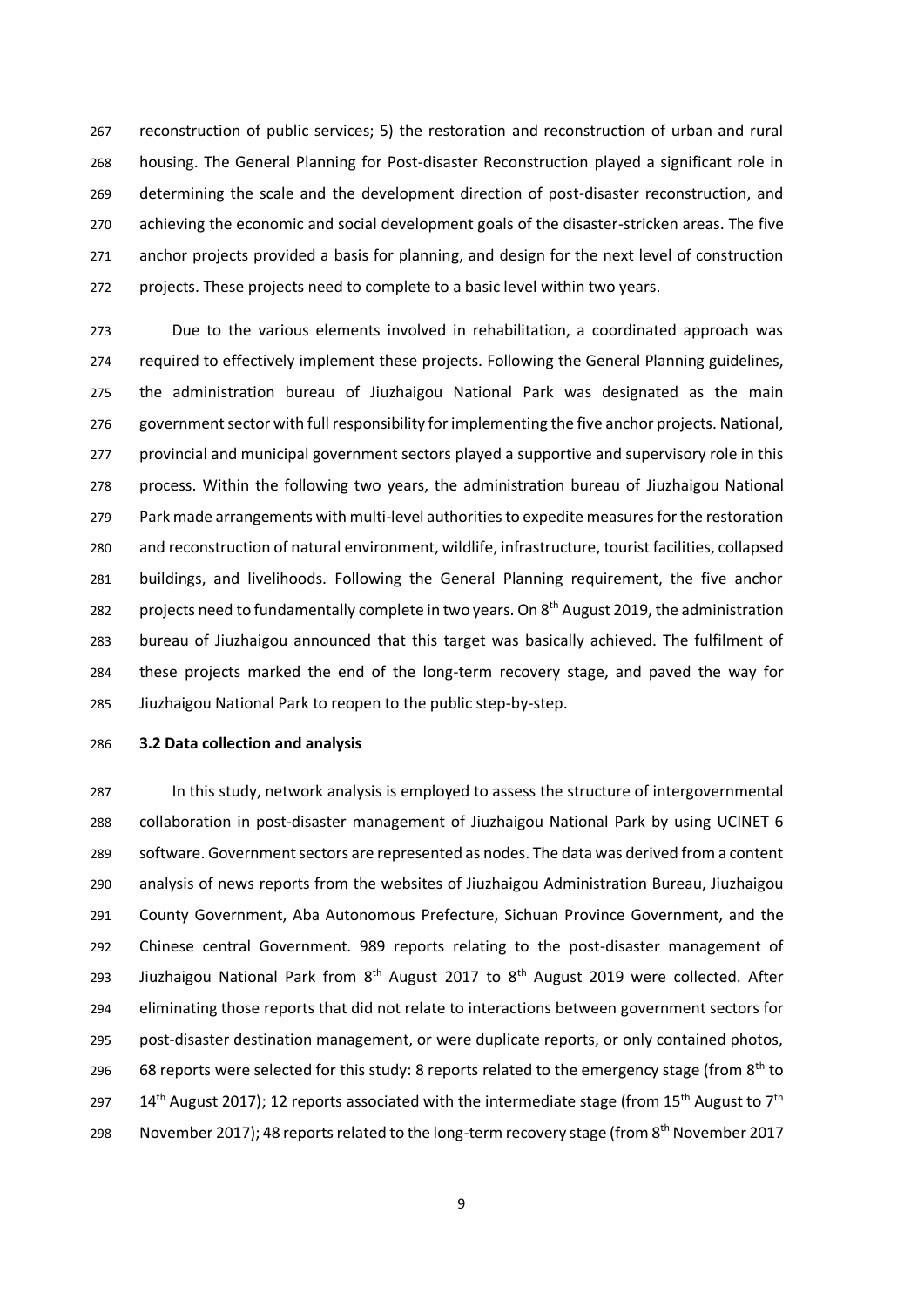reconstruction of public services; 5) the restoration and reconstruction of urban and rural housing. The General Planning for Post-disaster Reconstruction played a significant role in determining the scale and the development direction of post-disaster reconstruction, and achieving the economic and social development goals of the disaster-stricken areas. The five anchor projects provided a basis for planning, and design for the next level of construction projects. These projects need to complete to a basic level within two years.

 Due to the various elements involved in rehabilitation, a coordinated approach was required to effectively implement these projects. Following the General Planning guidelines, the administration bureau of Jiuzhaigou National Park was designated as the main government sector with full responsibility for implementing the five anchor projects. National, provincial and municipal government sectors played a supportive and supervisory role in this process. Within the following two years, the administration bureau of Jiuzhaigou National Park made arrangements with multi-level authorities to expedite measures for the restoration and reconstruction of natural environment, wildlife, infrastructure, tourist facilities, collapsed buildings, and livelihoods. Following the General Planning requirement, the five anchor 282 projects need to fundamentally complete in two years. On 8<sup>th</sup> August 2019, the administration bureau of Jiuzhaigou announced that this target was basically achieved. The fulfilment of these projects marked the end of the long-term recovery stage, and paved the way for Jiuzhaigou National Park to reopen to the public step-by-step.

### **3.2 Data collection and analysis**

 In this study, network analysis is employed to assess the structure of intergovernmental collaboration in post-disaster management of Jiuzhaigou National Park by using UCINET 6 software. Government sectors are represented as nodes. The data was derived from a content analysis of news reports from the websites of Jiuzhaigou Administration Bureau, Jiuzhaigou County Government, Aba Autonomous Prefecture, Sichuan Province Government, and the Chinese central Government. 989 reports relating to the post-disaster management of 293 Jiuzhaigou National Park from  $8<sup>th</sup>$  August 2017 to  $8<sup>th</sup>$  August 2019 were collected. After eliminating those reports that did not relate to interactions between government sectors for post-disaster destination management, or were duplicate reports, or only contained photos, 296 68 reports were selected for this study: 8 reports related to the emergency stage (from  $8<sup>th</sup>$  to  $14<sup>th</sup>$  August 2017); 12 reports associated with the intermediate stage (from 15<sup>th</sup> August to 7<sup>th</sup> 298 November 2017); 48 reports related to the long-term recovery stage (from 8<sup>th</sup> November 2017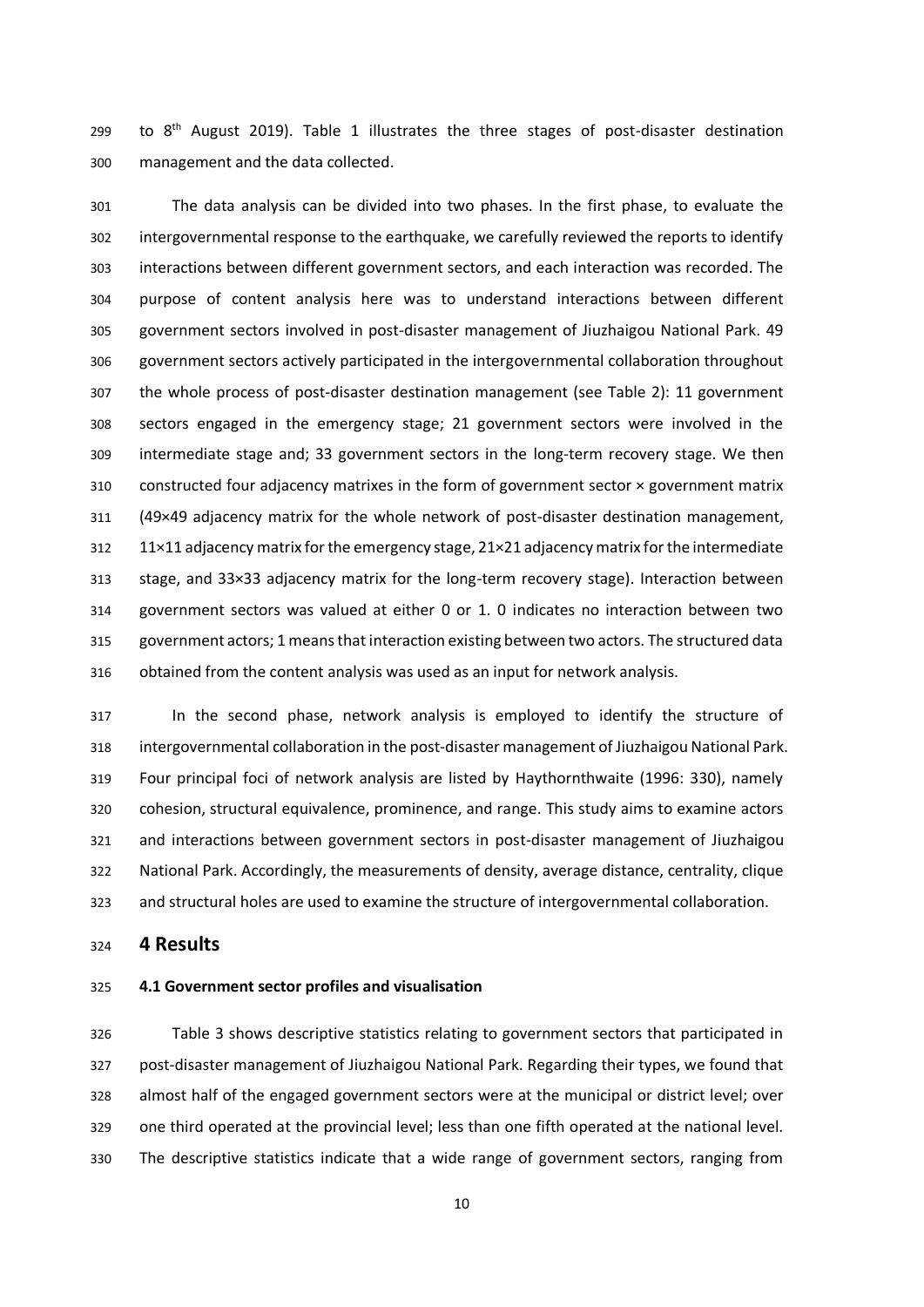299 to  $8<sup>th</sup>$  August 2019). Table 1 illustrates the three stages of post-disaster destination management and the data collected.

 The data analysis can be divided into two phases. In the first phase, to evaluate the intergovernmental response to the earthquake, we carefully reviewed the reports to identify interactions between different government sectors, and each interaction was recorded. The purpose of content analysis here was to understand interactions between different government sectors involved in post-disaster management of Jiuzhaigou National Park. 49 government sectors actively participated in the intergovernmental collaboration throughout the whole process of post-disaster destination management (see Table 2): 11 government sectors engaged in the emergency stage; 21 government sectors were involved in the intermediate stage and; 33 government sectors in the long-term recovery stage. We then 310 constructed four adjacency matrixes in the form of government sector  $\times$  government matrix (49×49 adjacency matrix for the whole network of post-disaster destination management, 11×11 adjacency matrix for the emergency stage, 21×21 adjacency matrix for the intermediate stage, and 33×33 adjacency matrix for the long-term recovery stage). Interaction between government sectors was valued at either 0 or 1. 0 indicates no interaction between two government actors; 1 means that interaction existing between two actors. The structured data obtained from the content analysis was used as an input for network analysis.

 In the second phase, network analysis is employed to identify the structure of intergovernmental collaboration in the post-disaster management of Jiuzhaigou National Park. Four principal foci of network analysis are listed by Haythornthwaite (1996: 330), namely cohesion, structural equivalence, prominence, and range. This study aims to examine actors and interactions between government sectors in post-disaster management of Jiuzhaigou National Park. Accordingly, the measurements of density, average distance, centrality, clique and structural holes are used to examine the structure of intergovernmental collaboration.

**4 Results**

## **4.1 Government sector profiles and visualisation**

 Table 3 shows descriptive statistics relating to government sectors that participated in post-disaster management of Jiuzhaigou National Park. Regarding their types, we found that almost half of the engaged government sectors were at the municipal or district level; over one third operated at the provincial level; less than one fifth operated at the national level. The descriptive statistics indicate that a wide range of government sectors, ranging from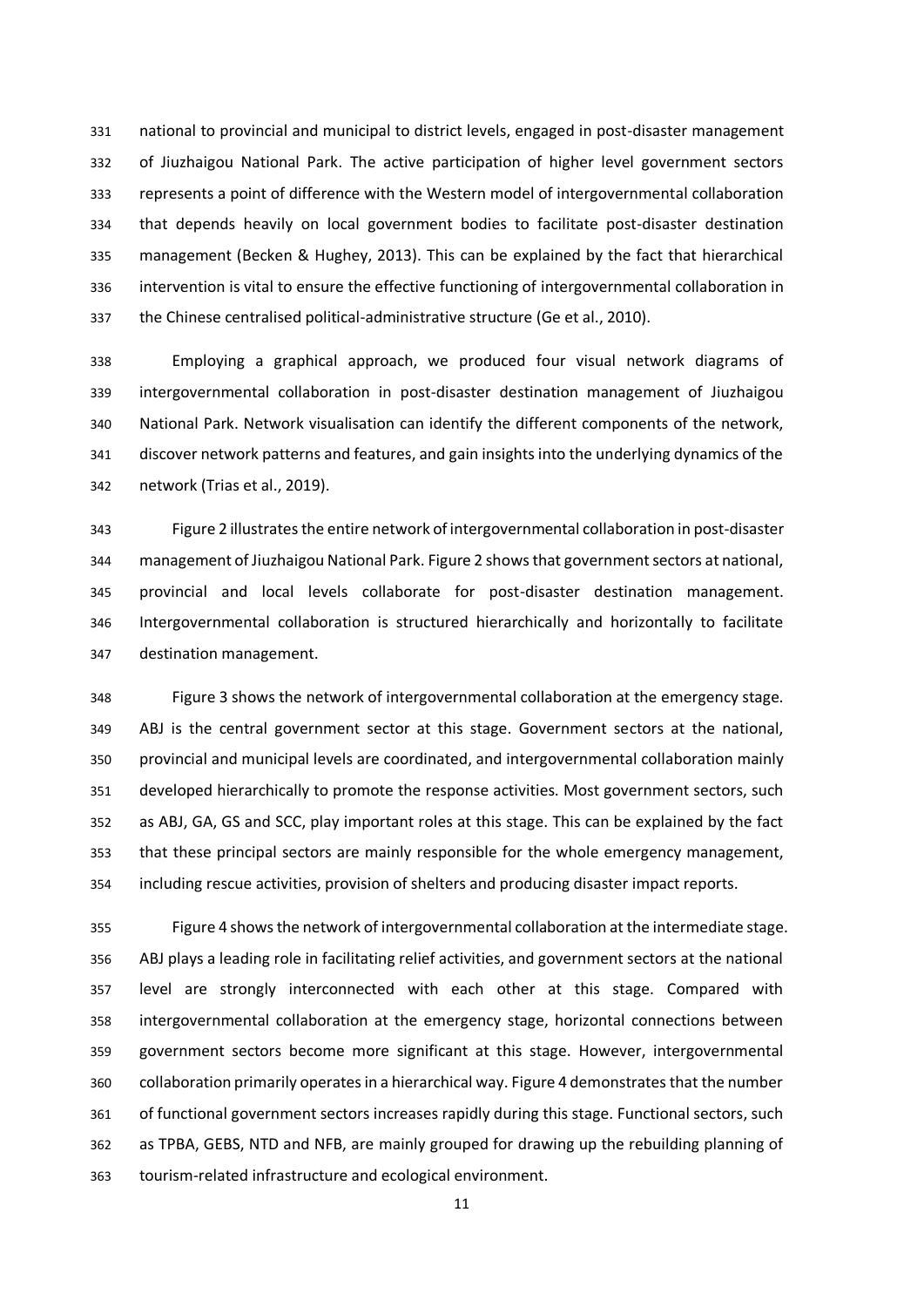national to provincial and municipal to district levels, engaged in post-disaster management of Jiuzhaigou National Park. The active participation of higher level government sectors represents a point of difference with the Western model of intergovernmental collaboration that depends heavily on local government bodies to facilitate post-disaster destination management (Becken & Hughey, 2013). This can be explained by the fact that hierarchical intervention is vital to ensure the effective functioning of intergovernmental collaboration in the Chinese centralised political-administrative structure (Ge et al., 2010).

 Employing a graphical approach, we produced four visual network diagrams of intergovernmental collaboration in post-disaster destination management of Jiuzhaigou National Park. Network visualisation can identify the different components of the network, discover network patterns and features, and gain insights into the underlying dynamics of the network (Trias et al., 2019).

 Figure 2 illustrates the entire network of intergovernmental collaboration in post-disaster management of Jiuzhaigou National Park. Figure 2 shows that government sectors at national, provincial and local levels collaborate for post-disaster destination management. Intergovernmental collaboration is structured hierarchically and horizontally to facilitate destination management.

 Figure 3 shows the network of intergovernmental collaboration at the emergency stage. ABJ is the central government sector at this stage. Government sectors at the national, provincial and municipal levels are coordinated, and intergovernmental collaboration mainly developed hierarchically to promote the response activities. Most government sectors, such as ABJ, GA, GS and SCC, play important roles at this stage. This can be explained by the fact that these principal sectors are mainly responsible for the whole emergency management, including rescue activities, provision of shelters and producing disaster impact reports.

 Figure 4 shows the network of intergovernmental collaboration at the intermediate stage. ABJ plays a leading role in facilitating relief activities, and government sectors at the national level are strongly interconnected with each other at this stage. Compared with intergovernmental collaboration at the emergency stage, horizontal connections between government sectors become more significant at this stage. However, intergovernmental collaboration primarily operates in a hierarchical way. Figure 4 demonstrates that the number of functional government sectors increases rapidly during this stage. Functional sectors, such as TPBA, GEBS, NTD and NFB, are mainly grouped for drawing up the rebuilding planning of tourism-related infrastructure and ecological environment.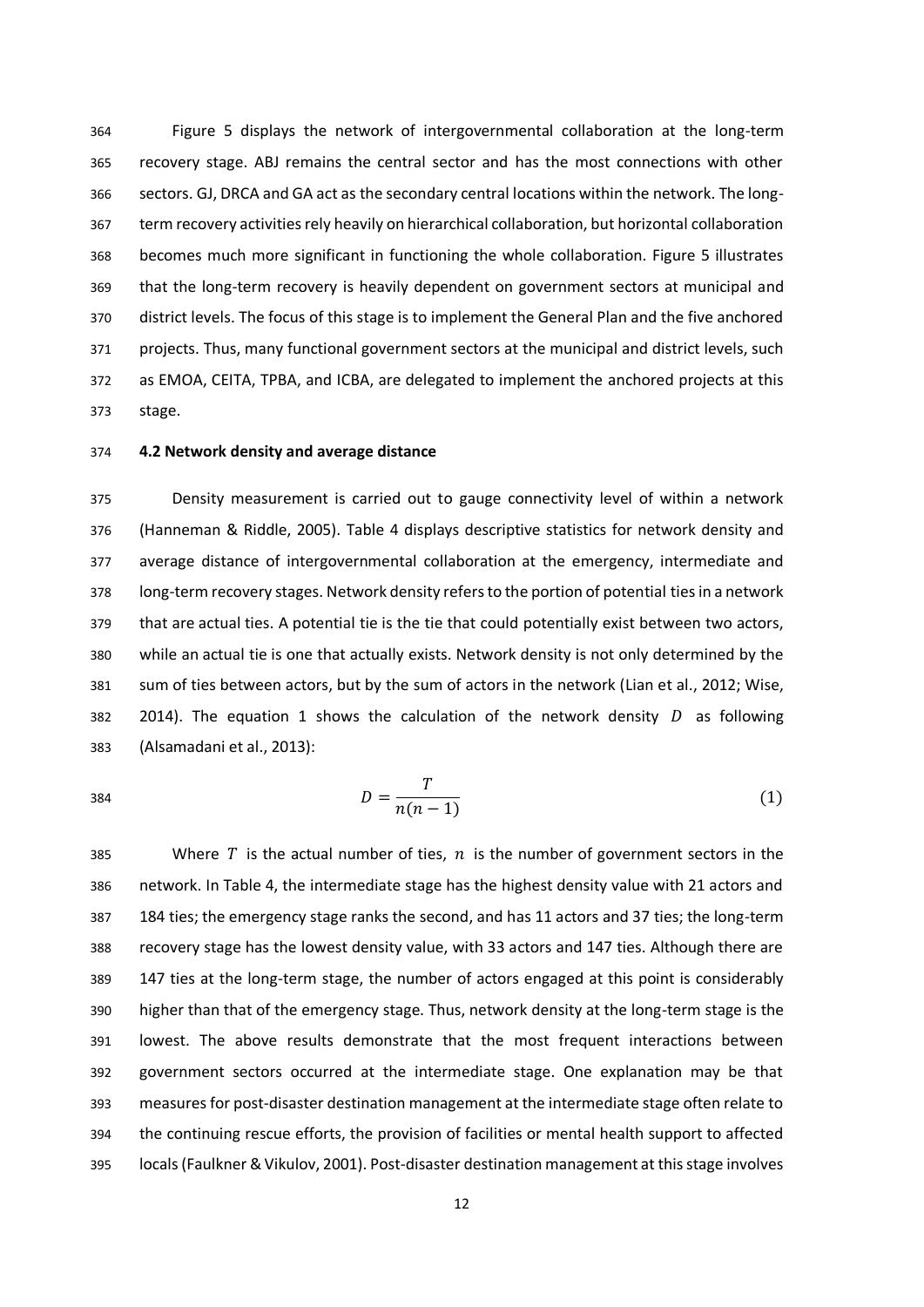Figure 5 displays the network of intergovernmental collaboration at the long-term recovery stage. ABJ remains the central sector and has the most connections with other sectors. GJ, DRCA and GA act as the secondary central locations within the network. The long- term recovery activities rely heavily on hierarchical collaboration, but horizontal collaboration becomes much more significant in functioning the whole collaboration. Figure 5 illustrates that the long-term recovery is heavily dependent on government sectors at municipal and district levels. The focus of this stage is to implement the General Plan and the five anchored projects. Thus, many functional government sectors at the municipal and district levels, such as EMOA, CEITA, TPBA, and ICBA, are delegated to implement the anchored projects at this stage.

### **4.2 Network density and average distance**

 Density measurement is carried out to gauge connectivity level of within a network (Hanneman & Riddle, 2005). Table 4 displays descriptive statistics for network density and average distance of intergovernmental collaboration at the emergency, intermediate and long-term recovery stages. Network density refers to the portion of potential ties in a network that are actual ties. A potential tie is the tie that could potentially exist between two actors, while an actual tie is one that actually exists. Network density is not only determined by the sum of ties between actors, but by the sum of actors in the network (Lian et al., 2012; Wise, 382 2014). The equation 1 shows the calculation of the network density  $D$  as following (Alsamadani et al., 2013):

$$
D = \frac{T}{n(n-1)}\tag{1}
$$

385 Where T is the actual number of ties,  $n$  is the number of government sectors in the network. In Table 4, the intermediate stage has the highest density value with 21 actors and 184 ties; the emergency stage ranks the second, and has 11 actors and 37 ties; the long-term recovery stage has the lowest density value, with 33 actors and 147 ties. Although there are 147 ties at the long-term stage, the number of actors engaged at this point is considerably higher than that of the emergency stage. Thus, network density at the long-term stage is the lowest. The above results demonstrate that the most frequent interactions between government sectors occurred at the intermediate stage. One explanation may be that measures for post-disaster destination management at the intermediate stage often relate to the continuing rescue efforts, the provision of facilities or mental health support to affected locals (Faulkner &Vikulov, 2001). Post-disaster destination management at this stage involves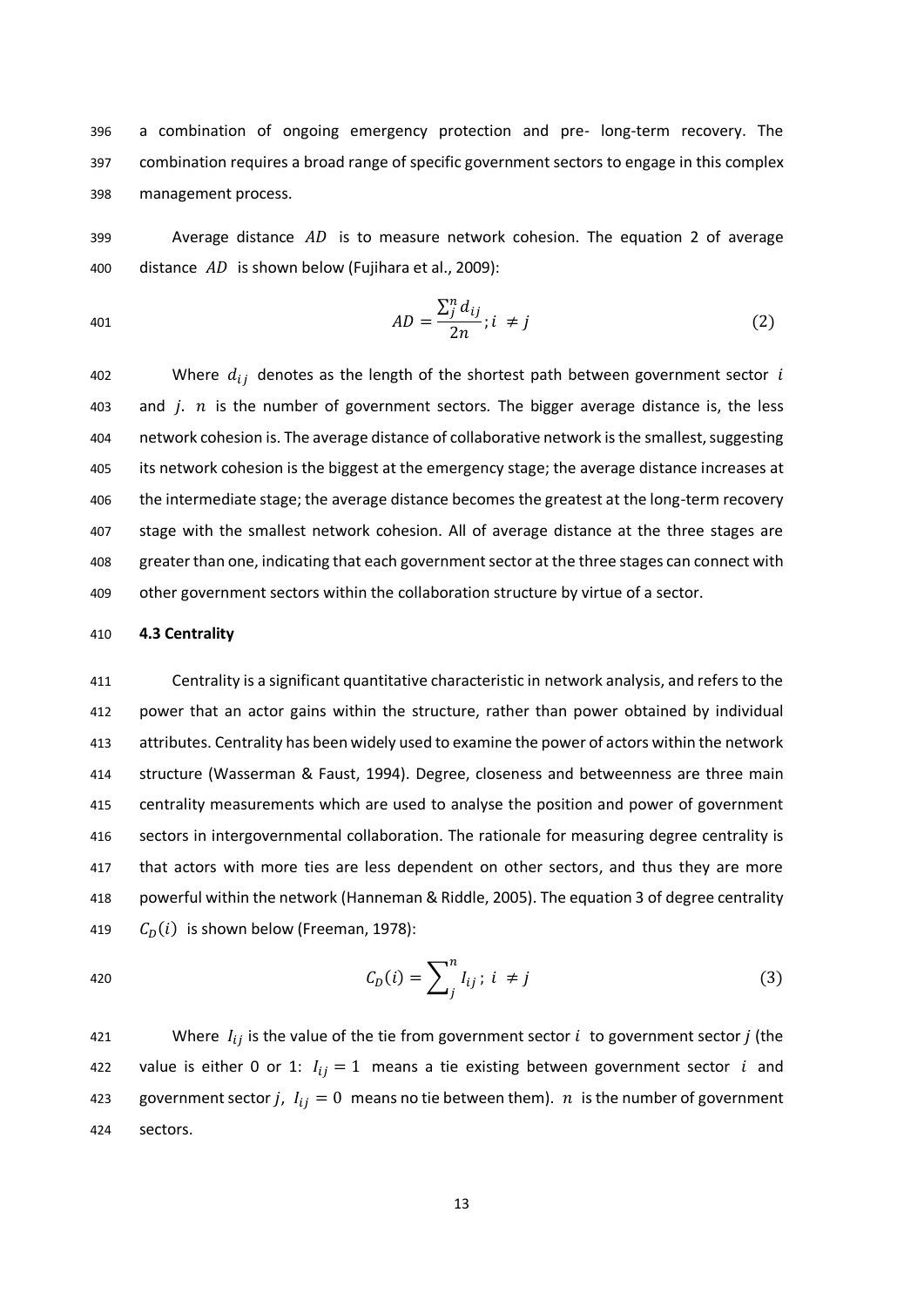396 a combination of ongoing emergency protection and pre- long-term recovery. The 397 combination requires a broad range of specific government sectors to engage in this complex 398 management process.

399 Average distance  $AD$  is to measure network cohesion. The equation 2 of average 400 distance  $AD$  is shown below (Fujihara et al., 2009):

$$
AD = \frac{\sum_{j}^{n} d_{ij}}{2n}; i \neq j \tag{2}
$$

402 Where  $d_{ij}$  denotes as the length of the shortest path between government sector i 403 and  $i$ .  $n$  is the number of government sectors. The bigger average distance is, the less network cohesion is. The average distance of collaborative network is the smallest, suggesting its network cohesion is the biggest at the emergency stage; the average distance increases at 406 the intermediate stage; the average distance becomes the greatest at the long-term recovery stage with the smallest network cohesion. All of average distance at the three stages are greater than one, indicating that each government sector at the three stages can connect with other government sectors within the collaboration structure by virtue of a sector.

#### 410 **4.3 Centrality**

 Centrality is a significant quantitative characteristic in network analysis, and refers to the power that an actor gains within the structure, rather than power obtained by individual attributes. Centrality has been widely used to examine the power of actors within the network structure (Wasserman & Faust, 1994). Degree, closeness and betweenness are three main centrality measurements which are used to analyse the position and power of government sectors in intergovernmental collaboration. The rationale for measuring degree centrality is that actors with more ties are less dependent on other sectors, and thus they are more powerful within the network (Hanneman & Riddle, 2005). The equation 3 of degree centrality  $C_D(i)$  is shown below (Freeman, 1978):

420 
$$
C_D(i) = \sum_{j}^{n} I_{ij} ; i \neq j
$$
 (3)

421 Where  $I_{ij}$  is the value of the tie from government sector  $i$  to government sector  $j$  (the 422 value is either 0 or 1:  $I_{ij} = 1$  means a tie existing between government sector *i* and 423 government sector j,  $I_{ij} = 0$  means no tie between them). *n* is the number of government 424 sectors.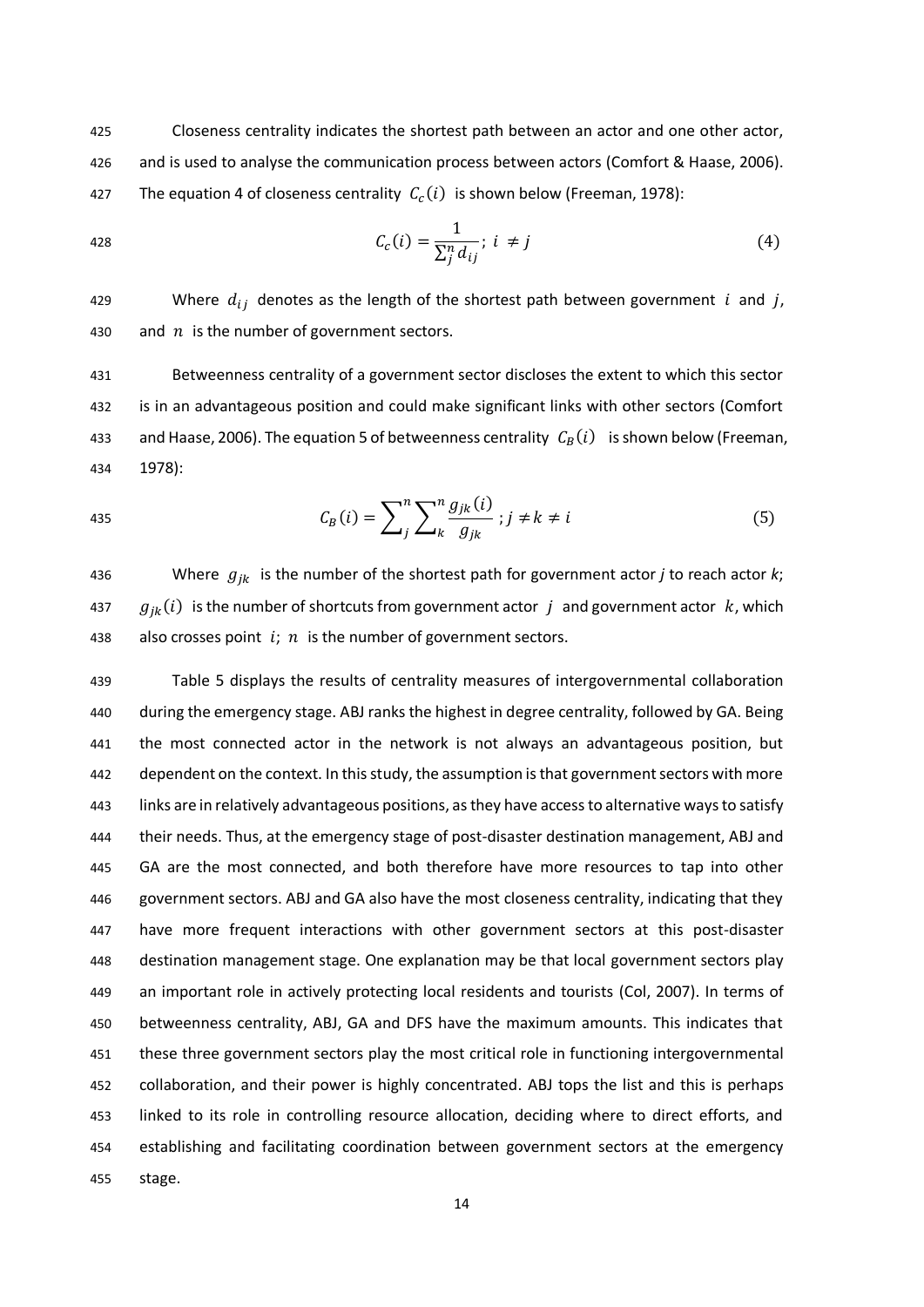425 Closeness centrality indicates the shortest path between an actor and one other actor, 426 and is used to analyse the communication process between actors (Comfort & Haase, 2006). 427 The equation 4 of closeness centrality  $C_c(i)$  is shown below (Freeman, 1978):

428 
$$
C_c(i) = \frac{1}{\sum_{j}^{n} d_{ij}}; i \neq j
$$
 (4)

429 Where  $d_{ij}$  denotes as the length of the shortest path between government i and j, 430 and  $n$  is the number of government sectors.

431 Betweenness centrality of a government sector discloses the extent to which this sector 432 is in an advantageous position and could make significant links with other sectors (Comfort 433 and Haase, 2006). The equation 5 of betweenness centrality  $C_R(i)$  is shown below (Freeman, 434 1978):

435 
$$
C_B(i) = \sum_{j}^{n} \sum_{k}^{n} \frac{g_{jk}(i)}{g_{jk}}; j \neq k \neq i
$$
 (5)

436 Where  $g_{ik}$  is the number of the shortest path for government actor *j* to reach actor *k*; 437  $g_{ik}(i)$  is the number of shortcuts from government actor j and government actor  $k$ , which 438 also crosses point  $i; n$  is the number of government sectors.

 Table 5 displays the results of centrality measures of intergovernmental collaboration during the emergency stage. ABJ ranks the highest in degree centrality, followed by GA. Being the most connected actor in the network is not always an advantageous position, but dependent on the context. In this study, the assumption is that government sectors with more links are in relatively advantageous positions, as they have access to alternative ways to satisfy their needs. Thus, at the emergency stage of post-disaster destination management, ABJ and GA are the most connected, and both therefore have more resources to tap into other government sectors. ABJ and GA also have the most closeness centrality, indicating that they have more frequent interactions with other government sectors at this post-disaster destination management stage. One explanation may be that local government sectors play an important role in actively protecting local residents and tourists (Col, 2007). In terms of betweenness centrality, ABJ, GA and DFS have the maximum amounts. This indicates that these three government sectors play the most critical role in functioning intergovernmental collaboration, and their power is highly concentrated. ABJ tops the list and this is perhaps linked to its role in controlling resource allocation, deciding where to direct efforts, and establishing and facilitating coordination between government sectors at the emergency 455 stage.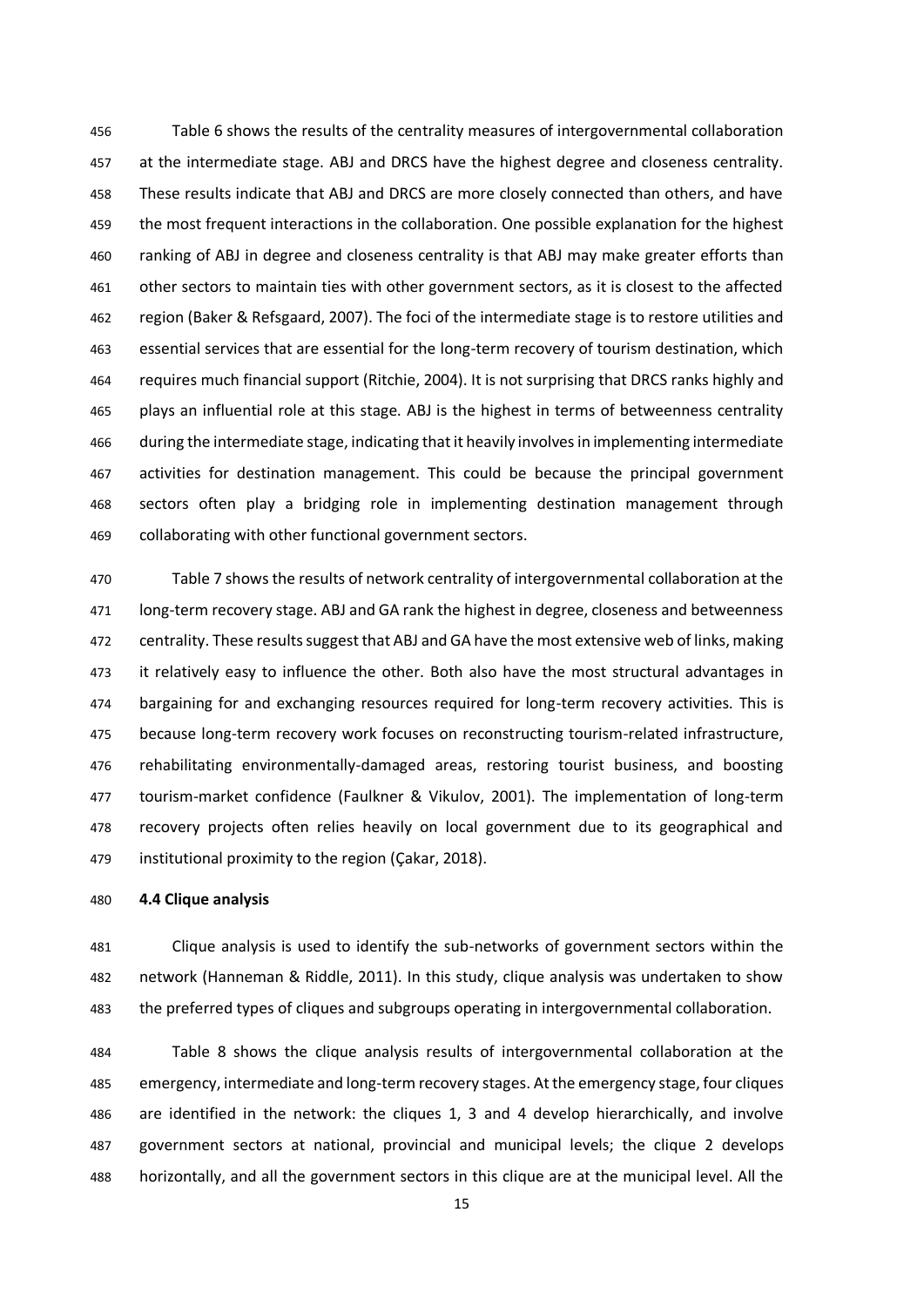Table 6 shows the results of the centrality measures of intergovernmental collaboration at the intermediate stage. ABJ and DRCS have the highest degree and closeness centrality. These results indicate that ABJ and DRCS are more closely connected than others, and have the most frequent interactions in the collaboration. One possible explanation for the highest ranking of ABJ in degree and closeness centrality is that ABJ may make greater efforts than other sectors to maintain ties with other government sectors, as it is closest to the affected region (Baker & Refsgaard, 2007). The foci of the intermediate stage is to restore utilities and essential services that are essential for the long-term recovery of tourism destination, which requires much financial support (Ritchie, 2004). It is not surprising that DRCS ranks highly and plays an influential role at this stage. ABJ is the highest in terms of betweenness centrality during the intermediate stage, indicating that it heavily involves in implementing intermediate activities for destination management. This could be because the principal government sectors often play a bridging role in implementing destination management through collaborating with other functional government sectors.

 Table 7 shows the results of network centrality of intergovernmental collaboration at the long-term recovery stage. ABJ and GA rank the highest in degree, closeness and betweenness centrality. These results suggest that ABJ and GA have the most extensive web of links, making it relatively easy to influence the other. Both also have the most structural advantages in bargaining for and exchanging resources required for long-term recovery activities. This is because long-term recovery work focuses on reconstructing tourism-related infrastructure, rehabilitating environmentally-damaged areas, restoring tourist business, and boosting tourism-market confidence (Faulkner & Vikulov, 2001). The implementation of long-term recovery projects often relies heavily on local government due to its geographical and institutional proximity to the region (Çakar, 2018).

#### **4.4 Clique analysis**

 Clique analysis is used to identify the sub-networks of government sectors within the network (Hanneman & Riddle, 2011). In this study, clique analysis was undertaken to show the preferred types of cliques and subgroups operating in intergovernmental collaboration.

 Table 8 shows the clique analysis results of intergovernmental collaboration at the emergency, intermediate and long-term recovery stages. At the emergency stage, four cliques are identified in the network: the cliques 1, 3 and 4 develop hierarchically, and involve government sectors at national, provincial and municipal levels; the clique 2 develops horizontally, and all the government sectors in this clique are at the municipal level. All the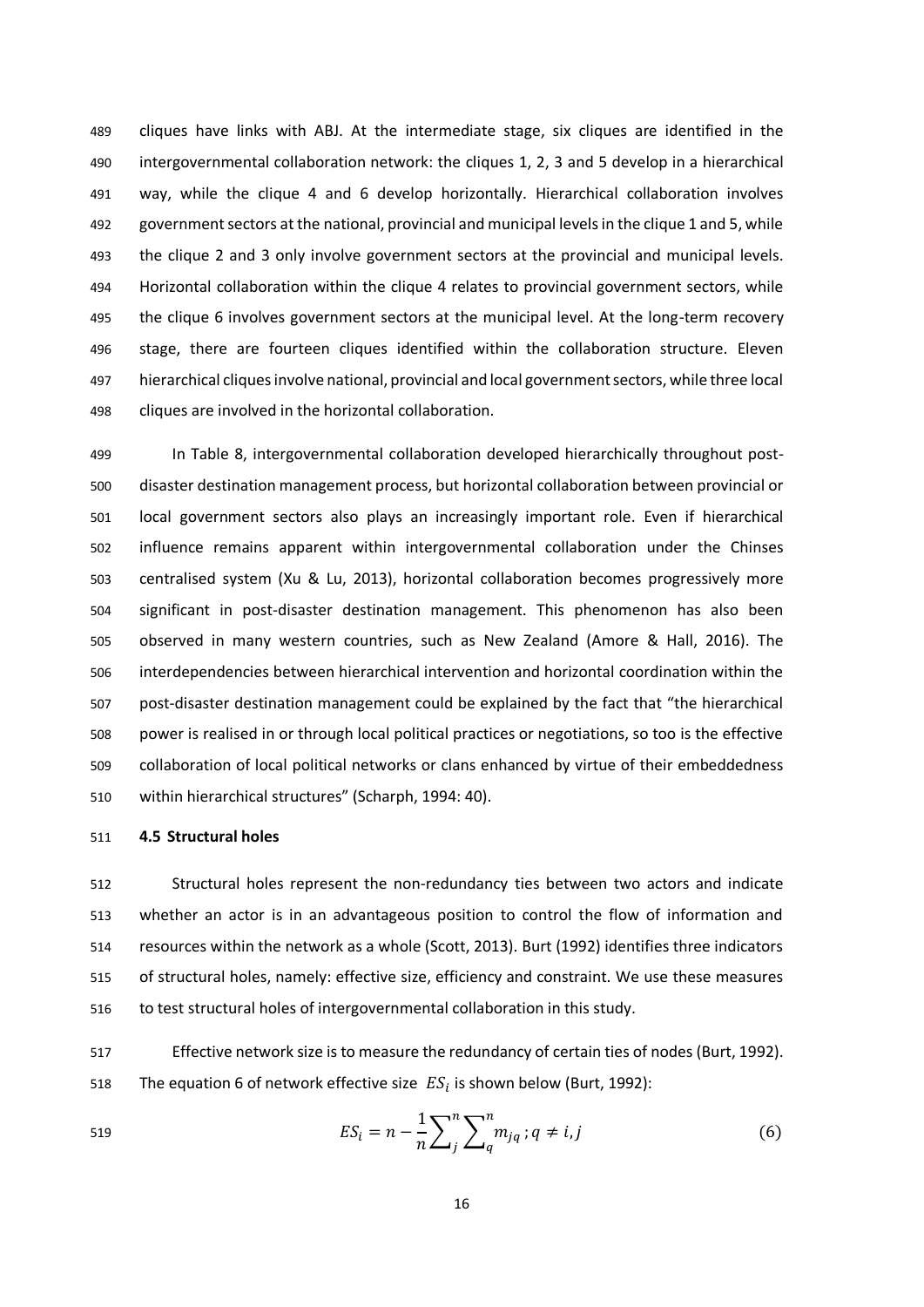cliques have links with ABJ. At the intermediate stage, six cliques are identified in the intergovernmental collaboration network: the cliques 1, 2, 3 and 5 develop in a hierarchical way, while the clique 4 and 6 develop horizontally. Hierarchical collaboration involves government sectors at the national, provincial and municipal levels in the clique 1 and 5, while the clique 2 and 3 only involve government sectors at the provincial and municipal levels. Horizontal collaboration within the clique 4 relates to provincial government sectors, while the clique 6 involves government sectors at the municipal level. At the long-term recovery stage, there are fourteen cliques identified within the collaboration structure. Eleven hierarchical cliques involve national, provincial and local government sectors, while three local cliques are involved in the horizontal collaboration.

 In Table 8, intergovernmental collaboration developed hierarchically throughout post- disaster destination management process, but horizontal collaboration between provincial or local government sectors also plays an increasingly important role. Even if hierarchical influence remains apparent within intergovernmental collaboration under the Chinses centralised system (Xu & Lu, 2013), horizontal collaboration becomes progressively more significant in post-disaster destination management. This phenomenon has also been observed in many western countries, such as New Zealand (Amore & Hall, 2016). The interdependencies between hierarchical intervention and horizontal coordination within the post-disaster destination management could be explained by the fact that "the hierarchical power is realised in or through local political practices or negotiations, so too is the effective collaboration of local political networks or clans enhanced by virtue of their embeddedness within hierarchical structures" (Scharph, 1994: 40).

#### **4.5 Structural holes**

 Structural holes represent the non-redundancy ties between two actors and indicate whether an actor is in an advantageous position to control the flow of information and resources within the network as a whole (Scott, 2013). Burt (1992) identifies three indicators of structural holes, namely: effective size, efficiency and constraint. We use these measures to test structural holes of intergovernmental collaboration in this study.

 Effective network size is to measure the redundancy of certain ties of nodes (Burt, 1992). 518 The equation 6 of network effective size  $ES_i$  is shown below (Burt, 1992):

519 
$$
ES_{i} = n - \frac{1}{n} \sum_{j}^{n} \sum_{q}^{n} m_{jq} ; q \neq i, j
$$
 (6)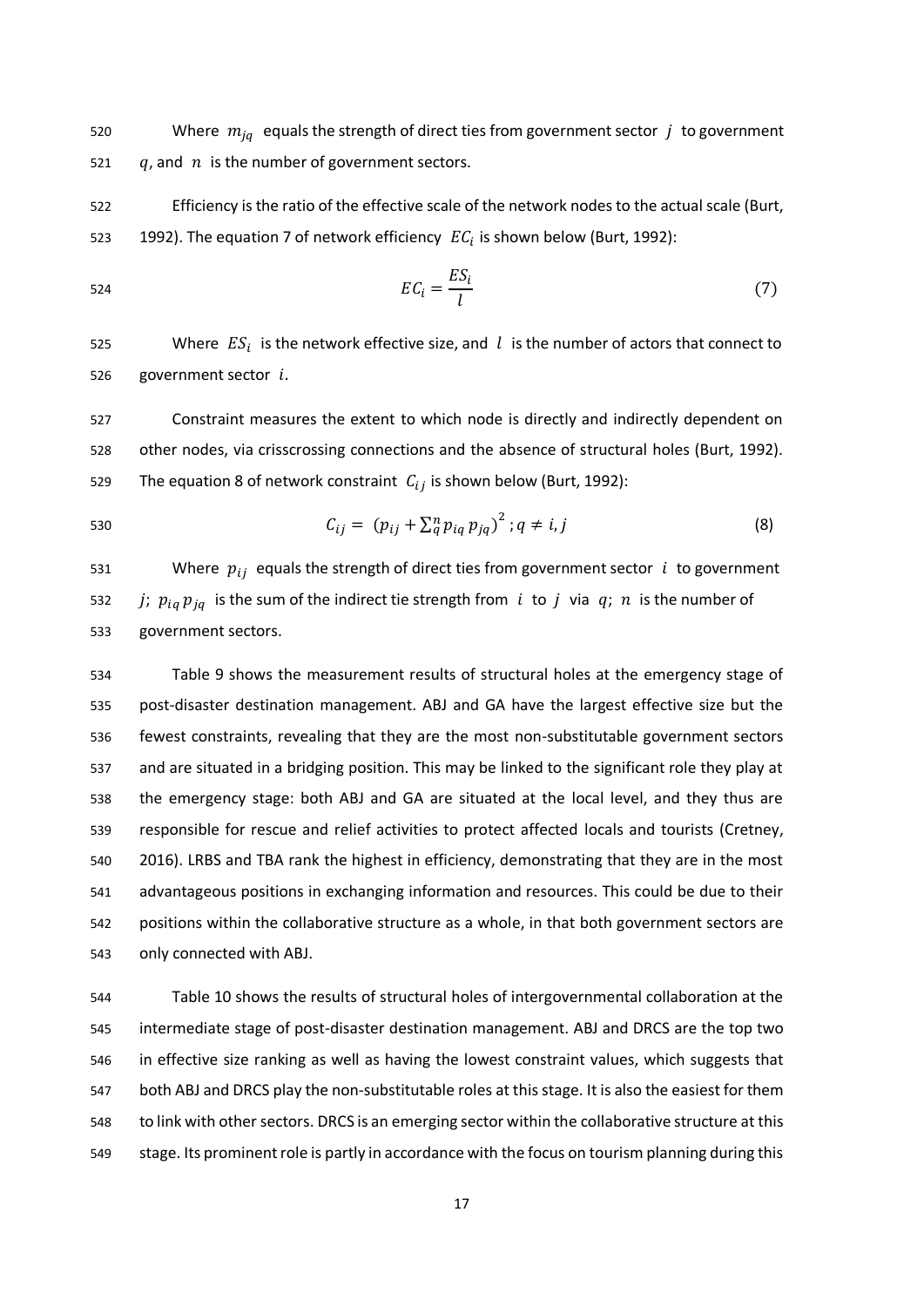520 Where  $m_{iq}$  equals the strength of direct ties from government sector  $j$  to government 521  $q$ , and  $n$  is the number of government sectors.

 Efficiency is the ratio of the effective scale of the network nodes to the actual scale (Burt, 523 1992). The equation 7 of network efficiency  $EC_i$  is shown below (Burt, 1992):

$$
EC_i = \frac{ES_i}{l} \tag{7}
$$

525 Where  $ES_i$  is the network effective size, and l is the number of actors that connect to 526 government sector  $i$ .

 Constraint measures the extent to which node is directly and indirectly dependent on other nodes, via crisscrossing connections and the absence of structural holes (Burt, 1992). 529 The equation 8 of network constraint  $C_{ij}$  is shown below (Burt, 1992):

530 
$$
C_{ij} = (p_{ij} + \sum_{q}^{n} p_{iq} p_{jq})^2; q \neq i, j
$$
 (8)

531 Where  $p_{ij}$  equals the strength of direct ties from government sector *i* to government 532 *j;*  $p_{iq} p_{jq}$  is the sum of the indirect tie strength from *i* to *j* via *q*; *n* is the number of government sectors.

 Table 9 shows the measurement results of structural holes at the emergency stage of post-disaster destination management. ABJ and GA have the largest effective size but the fewest constraints, revealing that they are the most non-substitutable government sectors and are situated in a bridging position. This may be linked to the significant role they play at the emergency stage: both ABJ and GA are situated at the local level, and they thus are responsible for rescue and relief activities to protect affected locals and tourists (Cretney, 2016). LRBS and TBA rank the highest in efficiency, demonstrating that they are in the most advantageous positions in exchanging information and resources. This could be due to their positions within the collaborative structure as a whole, in that both government sectors are only connected with ABJ.

 Table 10 shows the results of structural holes of intergovernmental collaboration at the intermediate stage of post-disaster destination management. ABJ and DRCS are the top two in effective size ranking as well as having the lowest constraint values, which suggests that both ABJ and DRCS play the non-substitutable roles at this stage. It is also the easiest for them to link with other sectors. DRCS is an emerging sector within the collaborative structure at this 549 stage. Its prominent role is partly in accordance with the focus on tourism planning during this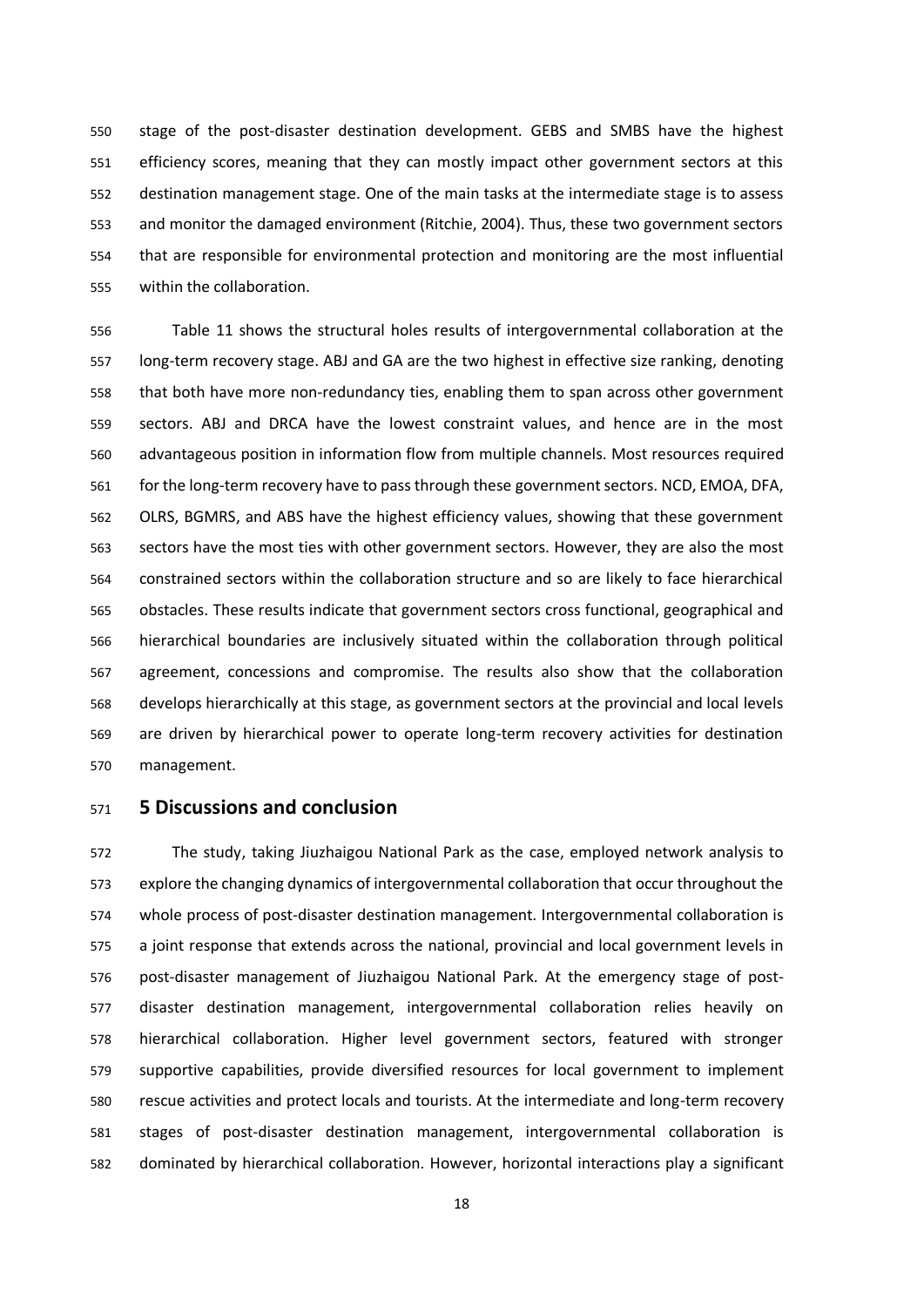stage of the post-disaster destination development. GEBS and SMBS have the highest efficiency scores, meaning that they can mostly impact other government sectors at this destination management stage. One of the main tasks at the intermediate stage is to assess and monitor the damaged environment (Ritchie, 2004). Thus, these two government sectors that are responsible for environmental protection and monitoring are the most influential within the collaboration.

 Table 11 shows the structural holes results of intergovernmental collaboration at the long-term recovery stage. ABJ and GA are the two highest in effective size ranking, denoting that both have more non-redundancy ties, enabling them to span across other government sectors. ABJ and DRCA have the lowest constraint values, and hence are in the most advantageous position in information flow from multiple channels. Most resources required for the long-term recovery have to pass through these government sectors. NCD, EMOA, DFA, OLRS, BGMRS, and ABS have the highest efficiency values, showing that these government sectors have the most ties with other government sectors. However, they are also the most constrained sectors within the collaboration structure and so are likely to face hierarchical obstacles. These results indicate that government sectors cross functional, geographical and hierarchical boundaries are inclusively situated within the collaboration through political agreement, concessions and compromise. The results also show that the collaboration develops hierarchically at this stage, as government sectors at the provincial and local levels are driven by hierarchical power to operate long-term recovery activities for destination management.

# **5 Discussions and conclusion**

 The study, taking Jiuzhaigou National Park as the case, employed network analysis to explore the changing dynamics of intergovernmental collaboration that occur throughout the whole process of post-disaster destination management. Intergovernmental collaboration is a joint response that extends across the national, provincial and local government levels in post-disaster management of Jiuzhaigou National Park. At the emergency stage of post- disaster destination management, intergovernmental collaboration relies heavily on hierarchical collaboration. Higher level government sectors, featured with stronger supportive capabilities, provide diversified resources for local government to implement rescue activities and protect locals and tourists. At the intermediate and long-term recovery stages of post-disaster destination management, intergovernmental collaboration is dominated by hierarchical collaboration. However, horizontal interactions play a significant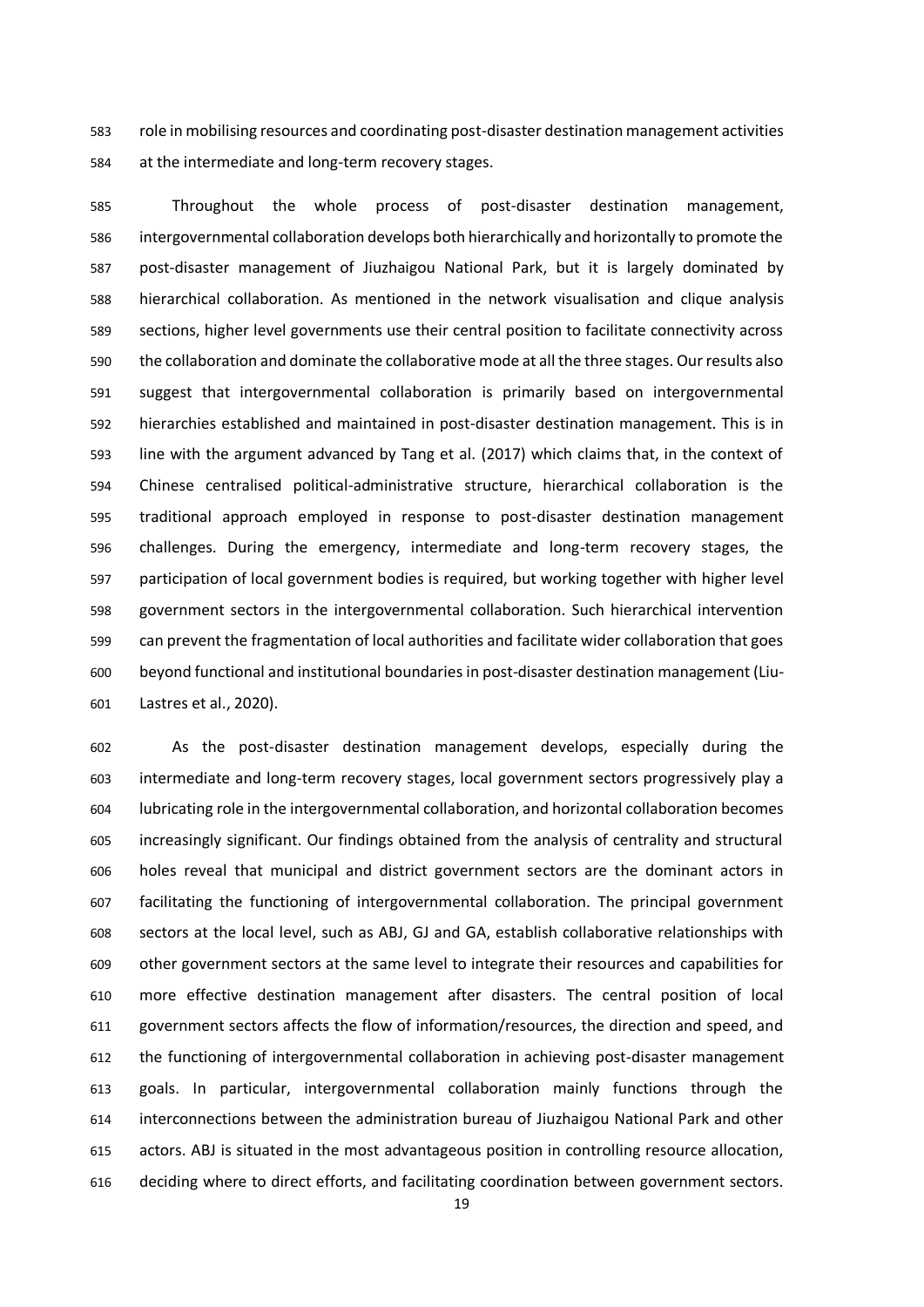role in mobilising resources and coordinating post-disaster destination management activities at the intermediate and long-term recovery stages.

 Throughout the whole process of post-disaster destination management, intergovernmental collaboration develops both hierarchically and horizontally to promote the post-disaster management of Jiuzhaigou National Park, but it is largely dominated by hierarchical collaboration. As mentioned in the network visualisation and clique analysis sections, higher level governments use their central position to facilitate connectivity across the collaboration and dominate the collaborative mode at all the three stages. Our results also suggest that intergovernmental collaboration is primarily based on intergovernmental hierarchies established and maintained in post-disaster destination management. This is in line with the argument advanced by Tang et al. (2017) which claims that, in the context of Chinese centralised political-administrative structure, hierarchical collaboration is the traditional approach employed in response to post-disaster destination management challenges. During the emergency, intermediate and long-term recovery stages, the participation of local government bodies is required, but working together with higher level government sectors in the intergovernmental collaboration. Such hierarchical intervention can prevent the fragmentation of local authorities and facilitate wider collaboration that goes beyond functional and institutional boundaries in post-disaster destination management (Liu-Lastres et al., 2020).

 As the post-disaster destination management develops, especially during the intermediate and long-term recovery stages, local government sectors progressively play a lubricating role in the intergovernmental collaboration, and horizontal collaboration becomes increasingly significant. Our findings obtained from the analysis of centrality and structural holes reveal that municipal and district government sectors are the dominant actors in facilitating the functioning of intergovernmental collaboration. The principal government sectors at the local level, such as ABJ, GJ and GA, establish collaborative relationships with other government sectors at the same level to integrate their resources and capabilities for more effective destination management after disasters. The central position of local government sectors affects the flow of information/resources, the direction and speed, and the functioning of intergovernmental collaboration in achieving post-disaster management goals. In particular, intergovernmental collaboration mainly functions through the interconnections between the administration bureau of Jiuzhaigou National Park and other actors. ABJ is situated in the most advantageous position in controlling resource allocation, deciding where to direct efforts, and facilitating coordination between government sectors.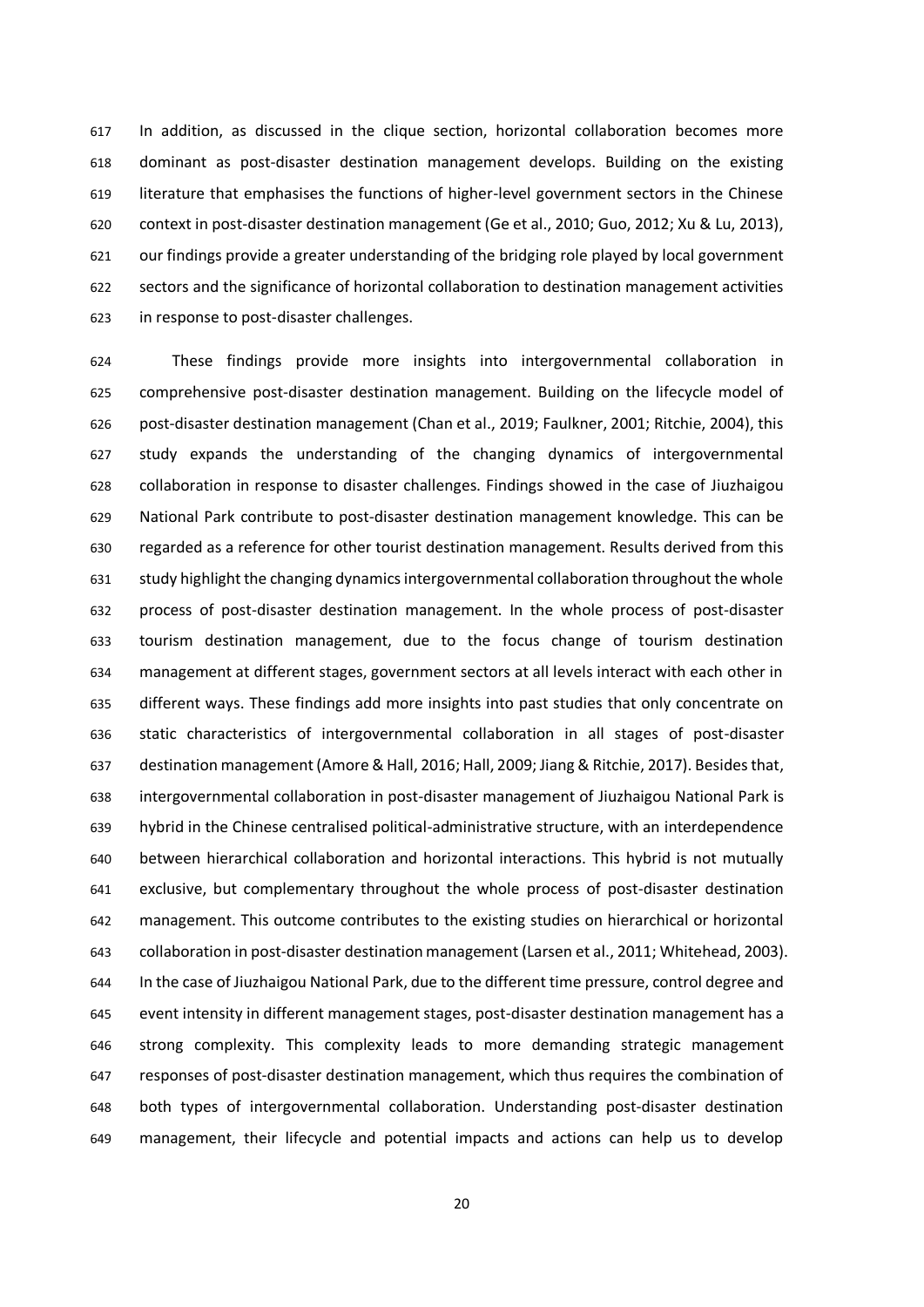In addition, as discussed in the clique section, horizontal collaboration becomes more dominant as post-disaster destination management develops. Building on the existing literature that emphasises the functions of higher-level government sectors in the Chinese context in post-disaster destination management (Ge et al., 2010; Guo, 2012; Xu & Lu, 2013), our findings provide a greater understanding of the bridging role played by local government sectors and the significance of horizontal collaboration to destination management activities in response to post-disaster challenges.

 These findings provide more insights into intergovernmental collaboration in comprehensive post-disaster destination management. Building on the lifecycle model of post-disaster destination management (Chan et al., 2019; Faulkner, 2001; Ritchie, 2004), this study expands the understanding of the changing dynamics of intergovernmental collaboration in response to disaster challenges. Findings showed in the case of Jiuzhaigou National Park contribute to post-disaster destination management knowledge. This can be regarded as a reference for other tourist destination management. Results derived from this study highlight the changing dynamics intergovernmental collaboration throughout the whole process of post-disaster destination management. In the whole process of post-disaster tourism destination management, due to the focus change of tourism destination management at different stages, government sectors at all levels interact with each other in different ways. These findings add more insights into past studies that only concentrate on static characteristics of intergovernmental collaboration in all stages of post-disaster 637 destination management (Amore & Hall, 2016; Hall, 2009; Jiang & Ritchie, 2017). Besides that, intergovernmental collaboration in post-disaster management of Jiuzhaigou National Park is hybrid in the Chinese centralised political-administrative structure, with an interdependence between hierarchical collaboration and horizontal interactions. This hybrid is not mutually exclusive, but complementary throughout the whole process of post-disaster destination management. This outcome contributes to the existing studies on hierarchical or horizontal collaboration in post-disaster destination management (Larsen et al., 2011; Whitehead, 2003). In the case of Jiuzhaigou National Park, due to the different time pressure, control degree and event intensity in different management stages, post-disaster destination management has a strong complexity. This complexity leads to more demanding strategic management responses of post-disaster destination management, which thus requires the combination of both types of intergovernmental collaboration. Understanding post-disaster destination management, their lifecycle and potential impacts and actions can help us to develop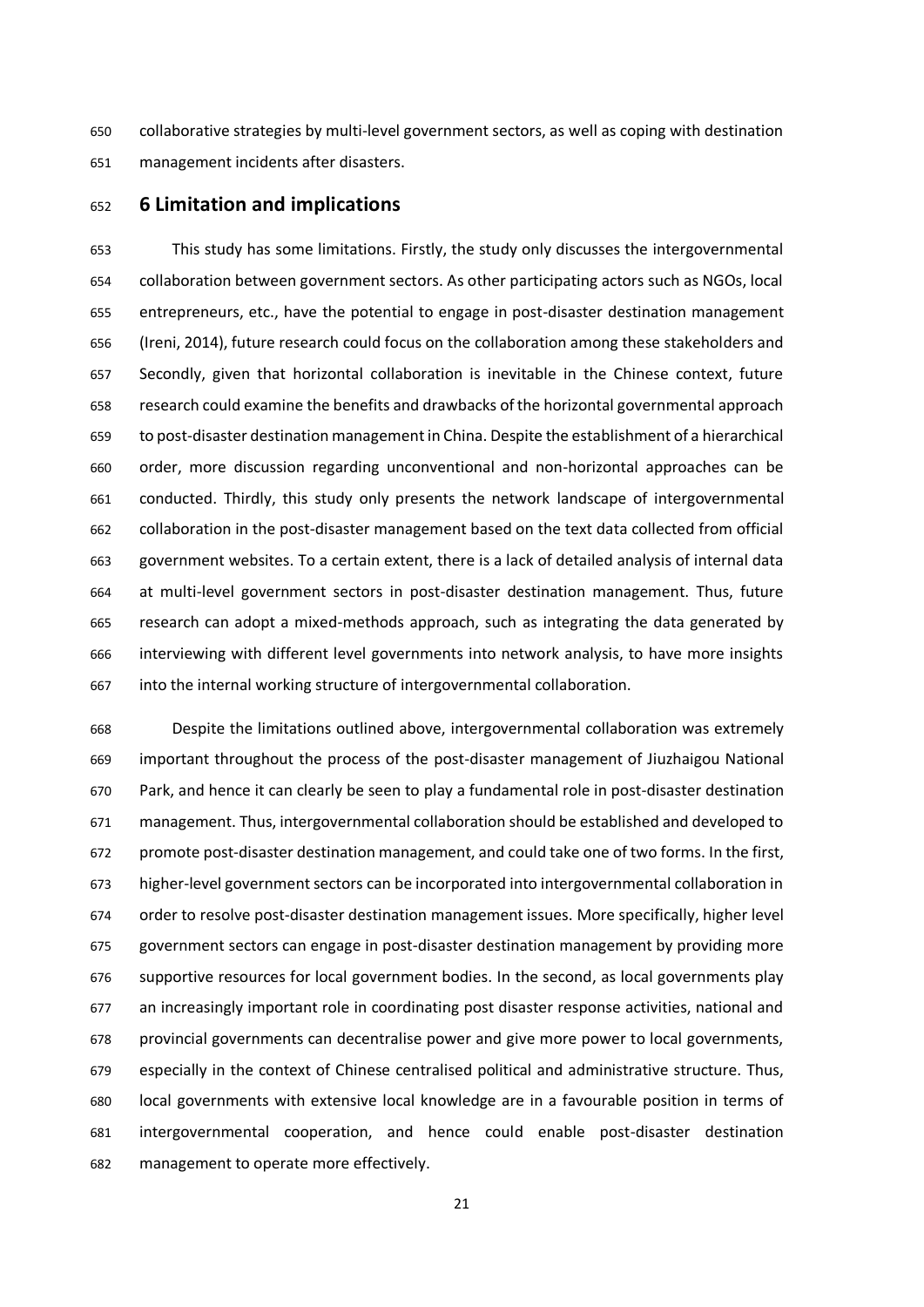collaborative strategies by multi-level government sectors, as well as coping with destination management incidents after disasters.

## **6 Limitation and implications**

 This study has some limitations. Firstly, the study only discusses the intergovernmental collaboration between government sectors. As other participating actors such as NGOs, local entrepreneurs, etc., have the potential to engage in post-disaster destination management (Ireni, 2014), future research could focus on the collaboration among these stakeholders and Secondly, given that horizontal collaboration is inevitable in the Chinese context, future research could examine the benefits and drawbacks of the horizontal governmental approach to post-disaster destination management in China. Despite the establishment of a hierarchical order, more discussion regarding unconventional and non-horizontal approaches can be conducted. Thirdly, this study only presents the network landscape of intergovernmental collaboration in the post-disaster management based on the text data collected from official government websites. To a certain extent, there is a lack of detailed analysis of internal data at multi-level government sectors in post-disaster destination management. Thus, future research can adopt a mixed-methods approach, such as integrating the data generated by interviewing with different level governments into network analysis, to have more insights into the internal working structure of intergovernmental collaboration.

 Despite the limitations outlined above, intergovernmental collaboration was extremely important throughout the process of the post-disaster management of Jiuzhaigou National Park, and hence it can clearly be seen to play a fundamental role in post-disaster destination management. Thus, intergovernmental collaboration should be established and developed to promote post-disaster destination management, and could take one of two forms. In the first, higher-level government sectors can be incorporated into intergovernmental collaboration in order to resolve post-disaster destination management issues. More specifically, higher level government sectors can engage in post-disaster destination management by providing more supportive resources for local government bodies. In the second, as local governments play an increasingly important role in coordinating post disaster response activities, national and provincial governments can decentralise power and give more power to local governments, especially in the context of Chinese centralised political and administrative structure. Thus, local governments with extensive local knowledge are in a favourable position in terms of intergovernmental cooperation, and hence could enable post-disaster destination management to operate more effectively.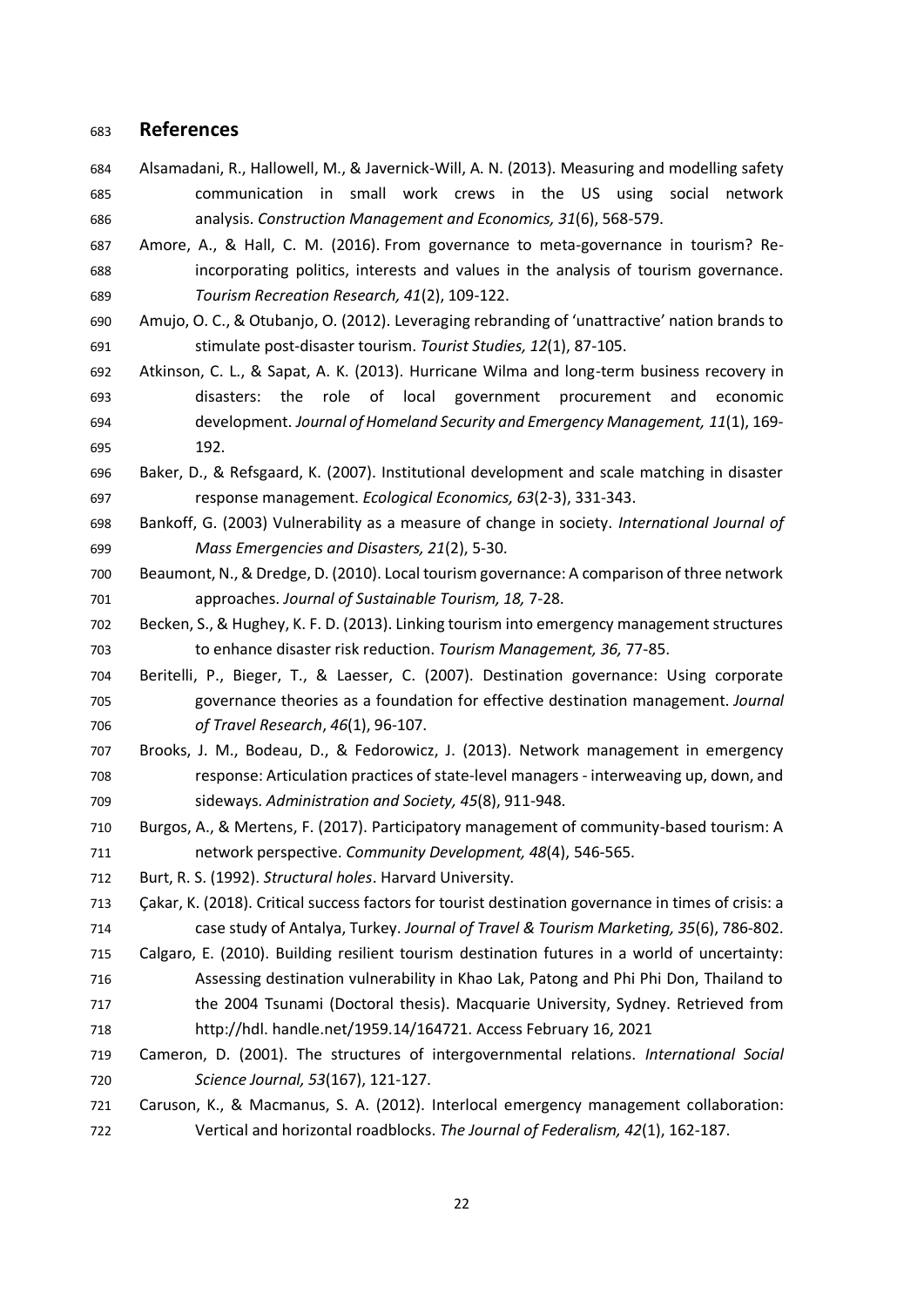# **References**

- Alsamadani, R., Hallowell, M., & Javernick-Will, A. N. (2013). Measuring and modelling safety communication in small work crews in the US using social network analysis. *Construction Management and Economics, 31*(6), 568-579.
- Amore, A., & Hall, C. M. (2016). From governance to meta-governance in tourism? Re- incorporating politics, interests and values in the analysis of tourism governance. *Tourism Recreation Research, 41*(2), 109-122.
- Amujo, O. C., & Otubanjo, O. (2012). Leveraging rebranding of 'unattractive' nation brands to stimulate post-disaster tourism. *Tourist Studies, 12*(1), 87-105.
- Atkinson, C. L., & Sapat, A. K. (2013). Hurricane Wilma and long-term business recovery in disasters: the role of local government procurement and economic development. *Journal of Homeland Security and Emergency Management, 11*(1), 169- 192.
- Baker, D., & Refsgaard, K. (2007). Institutional development and scale matching in disaster response management. *Ecological Economics, 63*(2-3), 331-343.
- Bankoff, G. (2003) Vulnerability as a measure of change in society. *International Journal of Mass Emergencies and Disasters, 21*(2), 5-30.
- Beaumont, N., & Dredge, D. (2010). Local tourism governance: A comparison of three network approaches. *Journal of Sustainable Tourism, 18,* 7-28.
- Becken, S., & Hughey, K. F. D. (2013). Linking tourism into emergency management structures to enhance disaster risk reduction. *Tourism Management, 36,* 77-85.
- Beritelli, P., Bieger, T., & Laesser, C. (2007). Destination governance: Using corporate governance theories as a foundation for effective destination management. *Journal of Travel Research*, *46*(1), 96-107.
- Brooks, J. M., Bodeau, D., & Fedorowicz, J. (2013). Network management in emergency response: Articulation practices of state-level managers - interweaving up, down, and sideways. *Administration and Society, 45*(8), 911-948.
- Burgos, A., & Mertens, F. (2017). Participatory management of community-based tourism: A network perspective. *Community Development, 48*(4), 546-565.
- Burt, R. S. (1992). *Structural holes*. Harvard University.
- Çakar, K. (2018). Critical success factors for tourist destination governance in times of crisis: a case study of Antalya, Turkey. *Journal of Travel & Tourism Marketing, 35*(6), 786-802.
- Calgaro, E. (2010). Building resilient tourism destination futures in a world of uncertainty: Assessing destination vulnerability in Khao Lak, Patong and Phi Phi Don, Thailand to the 2004 Tsunami (Doctoral thesis). Macquarie University, Sydney. Retrieved from
- http://hdl. handle.net/1959.14/164721. Access February 16, 2021
- Cameron, D. (2001). The structures of intergovernmental relations. *International Social Science Journal, 53*(167), 121-127.
- Caruson, K., & Macmanus, S. A. (2012). Interlocal emergency management collaboration: Vertical and horizontal roadblocks. *The Journal of Federalism, 42*(1), 162-187.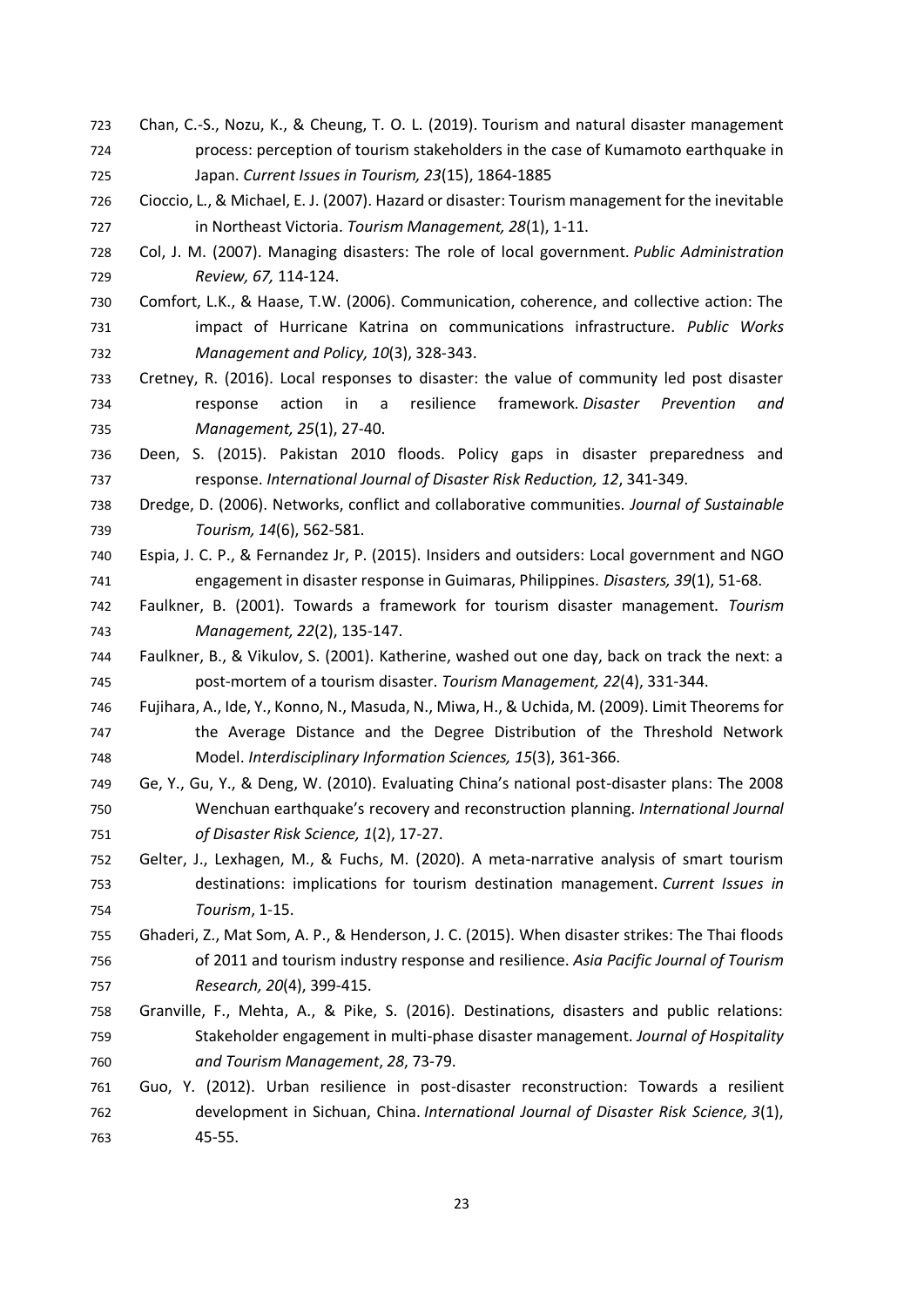- Chan, C.-S., Nozu, K., & Cheung, T. O. L. (2019). Tourism and natural disaster management process: perception of tourism stakeholders in the case of Kumamoto earthquake in Japan. *Current Issues in Tourism, 23*(15), 1864-1885
- Cioccio, L., & Michael, E. J. (2007). Hazard or disaster: Tourism management for the inevitable in Northeast Victoria. *Tourism Management, 28*(1), 1-11.
- Col, J. M. (2007). Managing disasters: The role of local government. *Public Administration Review, 67,* 114-124.
- Comfort, L.K., & Haase, T.W. (2006). Communication, coherence, and collective action: The impact of Hurricane Katrina on communications infrastructure. *Public Works Management and Policy, 10*(3), 328-343.
- Cretney, R. (2016). Local responses to disaster: the value of community led post disaster response action in a resilience framework. *Disaster Prevention and Management, 25*(1), 27-40.
- Deen, S. (2015). Pakistan 2010 floods. Policy gaps in disaster preparedness and response. *International Journal of Disaster Risk Reduction, 12*, 341-349.
- Dredge, D. (2006). Networks, conflict and collaborative communities. *Journal of Sustainable Tourism, 14*(6), 562-581.
- Espia, J. C. P., & Fernandez Jr, P. (2015). Insiders and outsiders: Local government and NGO engagement in disaster response in Guimaras, Philippines. *Disasters, 39*(1), 51-68.
- Faulkner, B. (2001). Towards a framework for tourism disaster management. *Tourism Management, 22*(2), 135-147.
- Faulkner, B., & Vikulov, S. (2001). Katherine, washed out one day, back on track the next: a post-mortem of a tourism disaster. *Tourism Management, 22*(4), 331-344.
- Fujihara, A., Ide, Y., Konno, N., Masuda, N., Miwa, H., & Uchida, M. (2009). Limit Theorems for the Average Distance and the Degree Distribution of the Threshold Network Model. *Interdisciplinary Information Sciences, 15*(3), 361-366.
- Ge, Y., Gu, Y., & Deng, W. (2010). Evaluating China's national post-disaster plans: The 2008 Wenchuan earthquake's recovery and reconstruction planning. *International Journal of Disaster Risk Science, 1*(2), 17-27.
- Gelter, J., Lexhagen, M., & Fuchs, M. (2020). A meta-narrative analysis of smart tourism destinations: implications for tourism destination management. *Current Issues in Tourism*, 1-15.
- Ghaderi, Z., Mat Som, A. P., & Henderson, J. C. (2015). When disaster strikes: The Thai floods of 2011 and tourism industry response and resilience. *Asia Pacific Journal of Tourism Research, 20*(4), 399-415.
- Granville, F., Mehta, A., & Pike, S. (2016). Destinations, disasters and public relations: Stakeholder engagement in multi-phase disaster management. *Journal of Hospitality and Tourism Management*, *28*, 73-79.
- Guo, Y. (2012). Urban resilience in post-disaster reconstruction: Towards a resilient development in Sichuan, China. *International Journal of Disaster Risk Science, 3*(1), 45-55.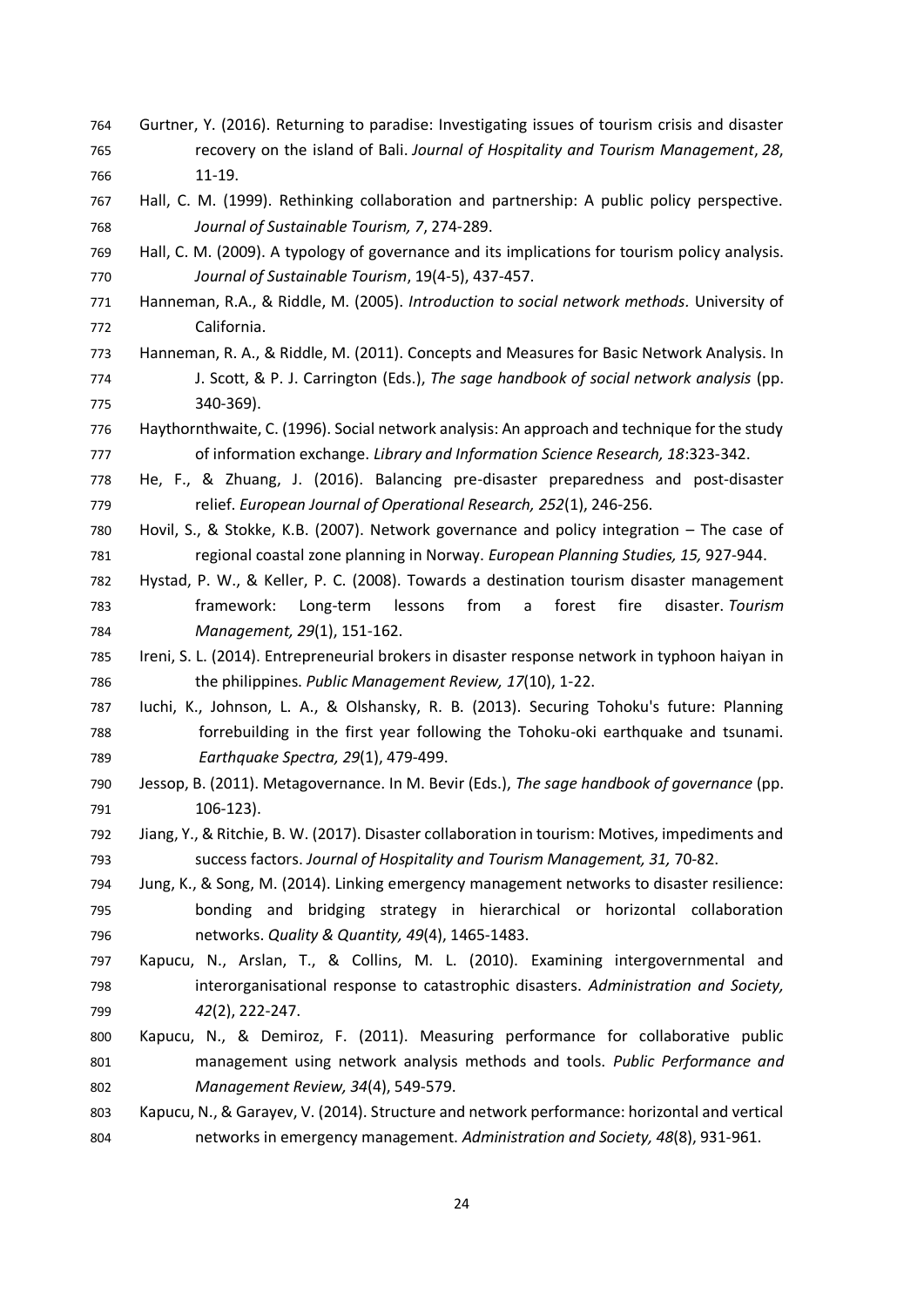- Gurtner, Y. (2016). Returning to paradise: Investigating issues of tourism crisis and disaster recovery on the island of Bali. *Journal of Hospitality and Tourism Management*, *28*, 11-19.
- Hall, C. M. (1999). Rethinking collaboration and partnership: A public policy perspective. *Journal of Sustainable Tourism, 7*, 274-289.
- Hall, C. M. (2009). A typology of governance and its implications for tourism policy analysis. *Journal of Sustainable Tourism*, 19(4-5), 437-457.
- Hanneman, R.A., & Riddle, M. (2005). *Introduction to social network methods.* University of California.
- Hanneman, R. A., & Riddle, M. (2011). Concepts and Measures for Basic Network Analysis. In J. Scott, & P. J. Carrington (Eds.), *The sage handbook of social network analysis* (pp. 340-369).
- Haythornthwaite, C. (1996). Social network analysis: An approach and technique for the study of information exchange. *Library and Information Science Research, 18*:323-342.
- He, F., & Zhuang, J. (2016). Balancing pre-disaster preparedness and post-disaster relief. *European Journal of Operational Research, 252*(1), 246-256.
- Hovil, S., & Stokke, K.B. (2007). Network governance and policy integration The case of regional coastal zone planning in Norway. *European Planning Studies, 15,* 927-944.
- Hystad, P. W., & Keller, P. C. (2008). Towards a destination tourism disaster management framework: Long-term lessons from a forest fire disaster. *Tourism Management, 29*(1), 151-162.
- Ireni, S. L. (2014). Entrepreneurial brokers in disaster response network in typhoon haiyan in the philippines. *Public Management Review, 17*(10), 1-22.
- Iuchi, K., Johnson, L. A., & Olshansky, R. B. (2013). Securing Tohoku's future: Planning forrebuilding in the first year following the Tohoku-oki earthquake and tsunami. *Earthquake Spectra, 29*(1), 479-499.
- Jessop, B. (2011). Metagovernance. In M. Bevir (Eds.), *The sage handbook of governance* (pp. 106-123).
- Jiang, Y., & Ritchie, B. W. (2017). Disaster collaboration in tourism: Motives, impediments and success factors. *Journal of Hospitality and Tourism Management, 31,* 70-82.
- Jung, K., & Song, M. (2014). Linking emergency management networks to disaster resilience: bonding and bridging strategy in hierarchical or horizontal collaboration networks. *Quality & Quantity, 49*(4), 1465-1483.
- Kapucu, N., Arslan, T., & Collins, M. L. (2010). Examining intergovernmental and interorganisational response to catastrophic disasters. *Administration and Society, 42*(2), 222-247.
- Kapucu, N., & Demiroz, F. (2011). Measuring performance for collaborative public management using network analysis methods and tools. *Public Performance and Management Review, 34*(4), 549-579.
- Kapucu, N., & Garayev, V. (2014). Structure and network performance: horizontal and vertical networks in emergency management. *Administration and Society, 48*(8), 931-961.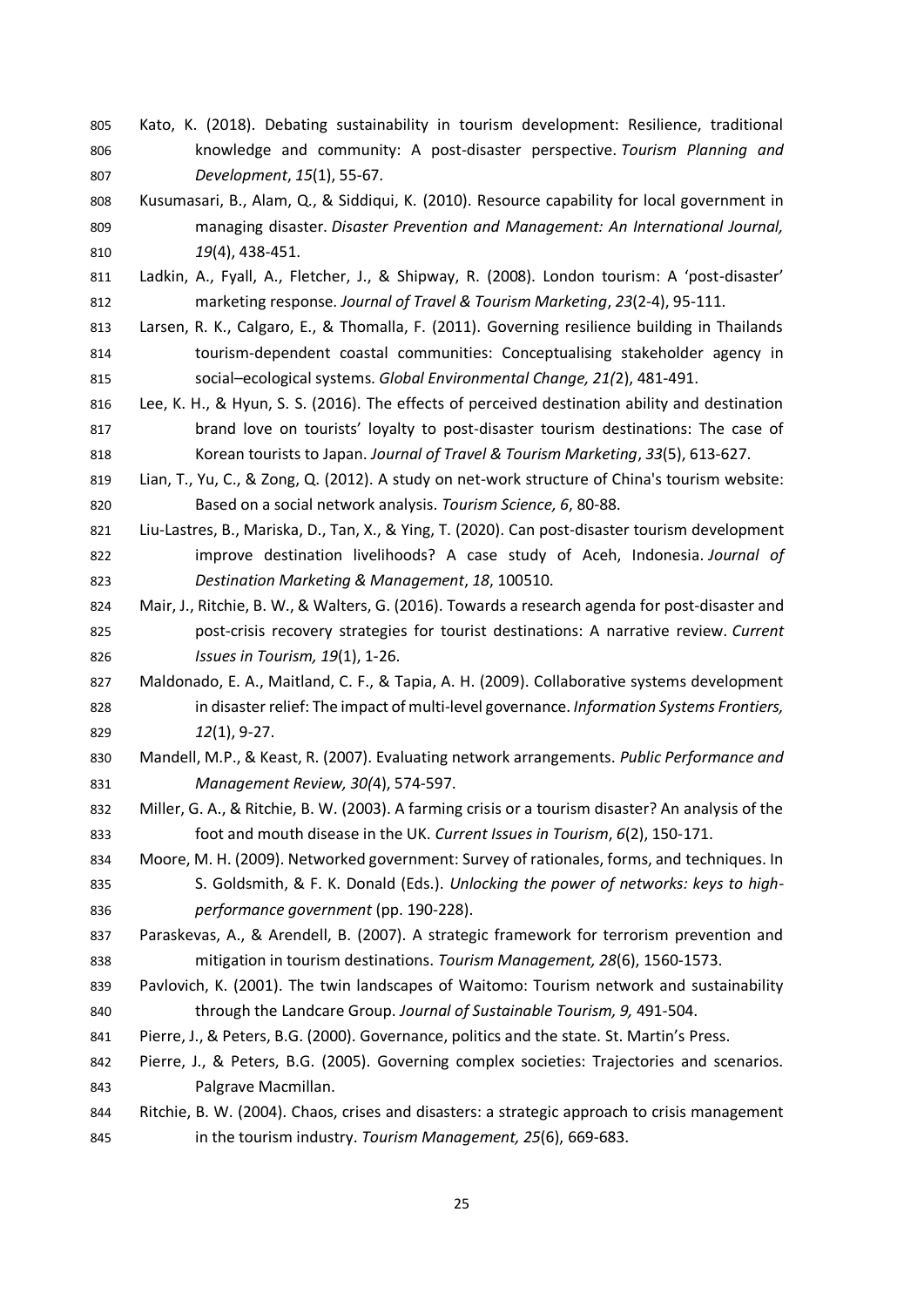- Kato, K. (2018). Debating sustainability in tourism development: Resilience, traditional knowledge and community: A post-disaster perspective. *Tourism Planning and Development*, *15*(1), 55-67.
- Kusumasari, B., Alam, Q., & Siddiqui, K. (2010). Resource capability for local government in managing disaster. *Disaster Prevention and Management: An International Journal, 19*(4), 438-451.
- Ladkin, A., Fyall, A., Fletcher, J., & Shipway, R. (2008). London tourism: A 'post-disaster' marketing response. *Journal of Travel & Tourism Marketing*, *23*(2-4), 95-111.
- Larsen, R. K., Calgaro, E., & Thomalla, F. (2011). Governing resilience building in Thailands tourism-dependent coastal communities: Conceptualising stakeholder agency in social–ecological systems. *Global Environmental Change, 21(*2), 481-491.
- Lee, K. H., & Hyun, S. S. (2016). The effects of perceived destination ability and destination 817 brand love on tourists' loyalty to post-disaster tourism destinations: The case of Korean tourists to Japan. *Journal of Travel & Tourism Marketing*, *33*(5), 613-627.
- Lian, T., Yu, C., & Zong, Q. (2012). A study on net-work structure of China's tourism website: Based on a social network analysis. *Tourism Science, 6*, 80-88.
- Liu-Lastres, B., Mariska, D., Tan, X., & Ying, T. (2020). Can post-disaster tourism development improve destination livelihoods? A case study of Aceh, Indonesia. *Journal of Destination Marketing & Management*, *18*, 100510.
- Mair, J., Ritchie, B. W., & Walters, G. (2016). Towards a research agenda for post-disaster and post-crisis recovery strategies for tourist destinations: A narrative review. *Current Issues in Tourism, 19*(1), 1-26.
- Maldonado, E. A., Maitland, C. F., & Tapia, A. H. (2009). Collaborative systems development in disaster relief: The impact of multi-level governance. *Information Systems Frontiers, 12*(1), 9-27.
- Mandell, M.P., & Keast, R. (2007). Evaluating network arrangements. *Public Performance and Management Review, 30(*4), 574-597.
- Miller, G. A., & Ritchie, B. W. (2003). A farming crisis or a tourism disaster? An analysis of the foot and mouth disease in the UK. *Current Issues in Tourism*, *6*(2), 150-171.
- Moore, M. H. (2009). Networked government: Survey of rationales, forms, and techniques. In 835 S. Goldsmith, & F. K. Donald (Eds.). *Unlocking the power of networks: keys to high-performance government* (pp. 190-228).
- Paraskevas, A., & Arendell, B. (2007). A strategic framework for terrorism prevention and mitigation in tourism destinations. *Tourism Management, 28*(6), 1560-1573.
- Pavlovich, K. (2001). The twin landscapes of Waitomo: Tourism network and sustainability through the Landcare Group. *Journal of Sustainable Tourism, 9,* 491-504.
- Pierre, J., & Peters, B.G. (2000). Governance, politics and the state. St. Martin's Press.
- Pierre, J., & Peters, B.G. (2005). Governing complex societies: Trajectories and scenarios. Palgrave Macmillan.
- Ritchie, B. W. (2004). Chaos, crises and disasters: a strategic approach to crisis management in the tourism industry. *Tourism Management, 25*(6), 669-683.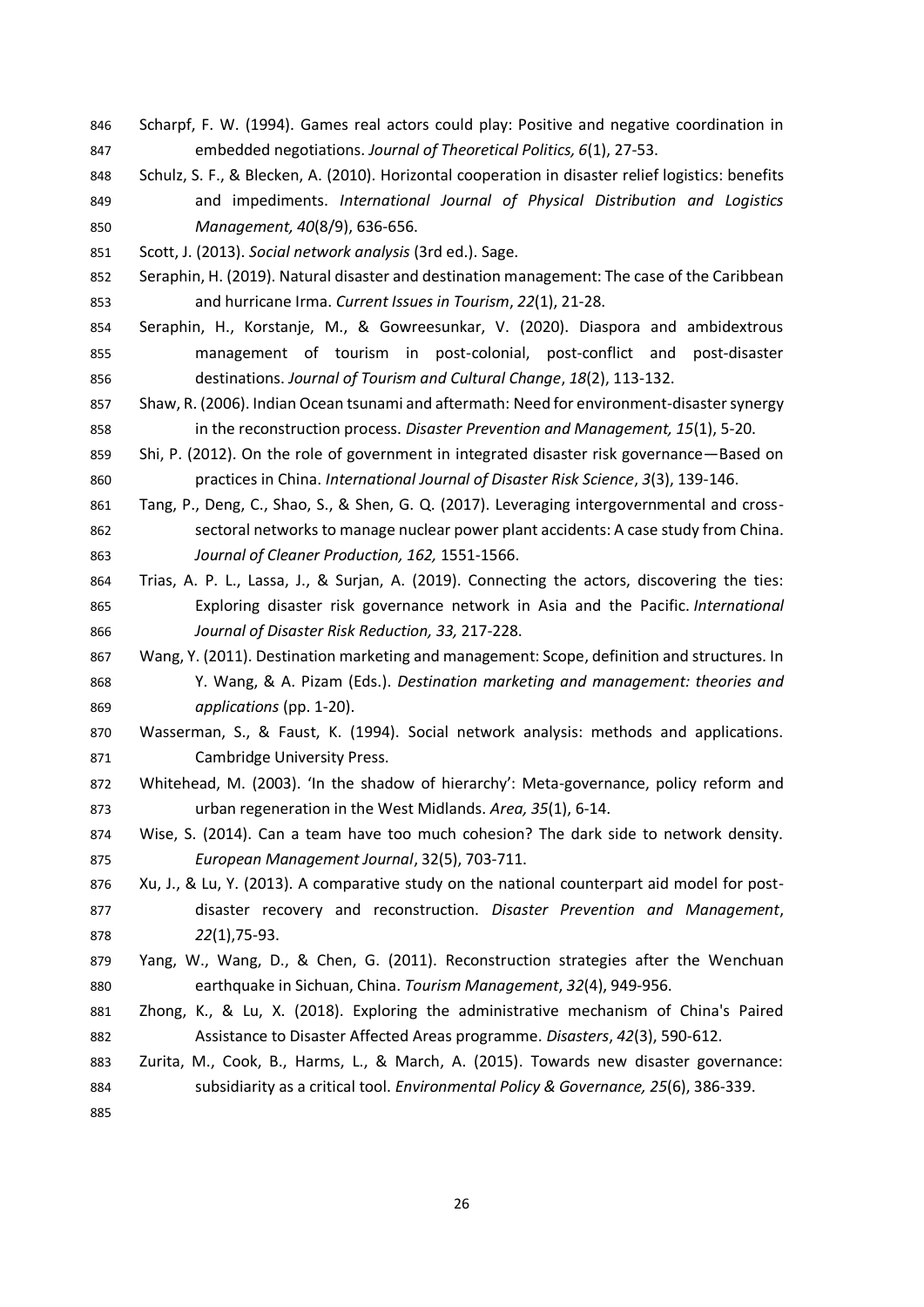- Scharpf, F. W. (1994). Games real actors could play: Positive and negative coordination in embedded negotiations. *Journal of Theoretical Politics, 6*(1), 27-53.
- Schulz, S. F., & Blecken, A. (2010). Horizontal cooperation in disaster relief logistics: benefits and impediments. *International Journal of Physical Distribution and Logistics Management, 40*(8/9), 636-656.
- Scott, J. (2013). *Social network analysis* (3rd ed.). Sage.
- Seraphin, H. (2019). Natural disaster and destination management: The case of the Caribbean and hurricane Irma. *Current Issues in Tourism*, *22*(1), 21-28.
- Seraphin, H., Korstanje, M., & Gowreesunkar, V. (2020). Diaspora and ambidextrous management of tourism in post-colonial, post-conflict and post-disaster destinations. *Journal of Tourism and Cultural Change*, *18*(2), 113-132.
- Shaw, R. (2006). Indian Ocean tsunami and aftermath: Need for environment-disaster synergy in the reconstruction process. *Disaster Prevention and Management, 15*(1), 5-20.
- Shi, P. (2012). On the role of government in integrated disaster risk governance—Based on practices in China. *International Journal of Disaster Risk Science*, *3*(3), 139-146.
- Tang, P., Deng, C., Shao, S., & Shen, G. Q. (2017). Leveraging intergovernmental and cross- sectoral networks to manage nuclear power plant accidents: A case study from China. *Journal of Cleaner Production, 162,* 1551-1566.
- Trias, A. P. L., Lassa, J., & Surjan, A. (2019). Connecting the actors, discovering the ties: Exploring disaster risk governance network in Asia and the Pacific. *International Journal of Disaster Risk Reduction, 33,* 217-228.
- Wang, Y. (2011). Destination marketing and management: Scope, definition and structures. In Y. Wang, & A. Pizam (Eds.). *Destination marketing and management: theories and applications* (pp. 1-20).
- Wasserman, S., & Faust, K. (1994). Social network analysis: methods and applications. Cambridge University Press.
- Whitehead, M. (2003). 'In the shadow of hierarchy': Meta-governance, policy reform and urban regeneration in the West Midlands. *Area, 35*(1), 6-14.
- Wise, S. (2014). Can a team have too much cohesion? The dark side to network density. *European Management Journal*, 32(5), 703-711.
- Xu, J., & Lu, Y. (2013). A comparative study on the national counterpart aid model for post- disaster recovery and reconstruction. *Disaster Prevention and Management*, *22*(1),75-93.
- Yang, W., Wang, D., & Chen, G. (2011). Reconstruction strategies after the Wenchuan earthquake in Sichuan, China. *Tourism Management*, *32*(4), 949-956.
- Zhong, K., & Lu, X. (2018). Exploring the administrative mechanism of China's Paired Assistance to Disaster Affected Areas programme. *Disasters*, *42*(3), 590-612.
- Zurita, M., Cook, B., Harms, L., & March, A. (2015). Towards new disaster governance: subsidiarity as a critical tool. *Environmental Policy & Governance, 25*(6), 386-339.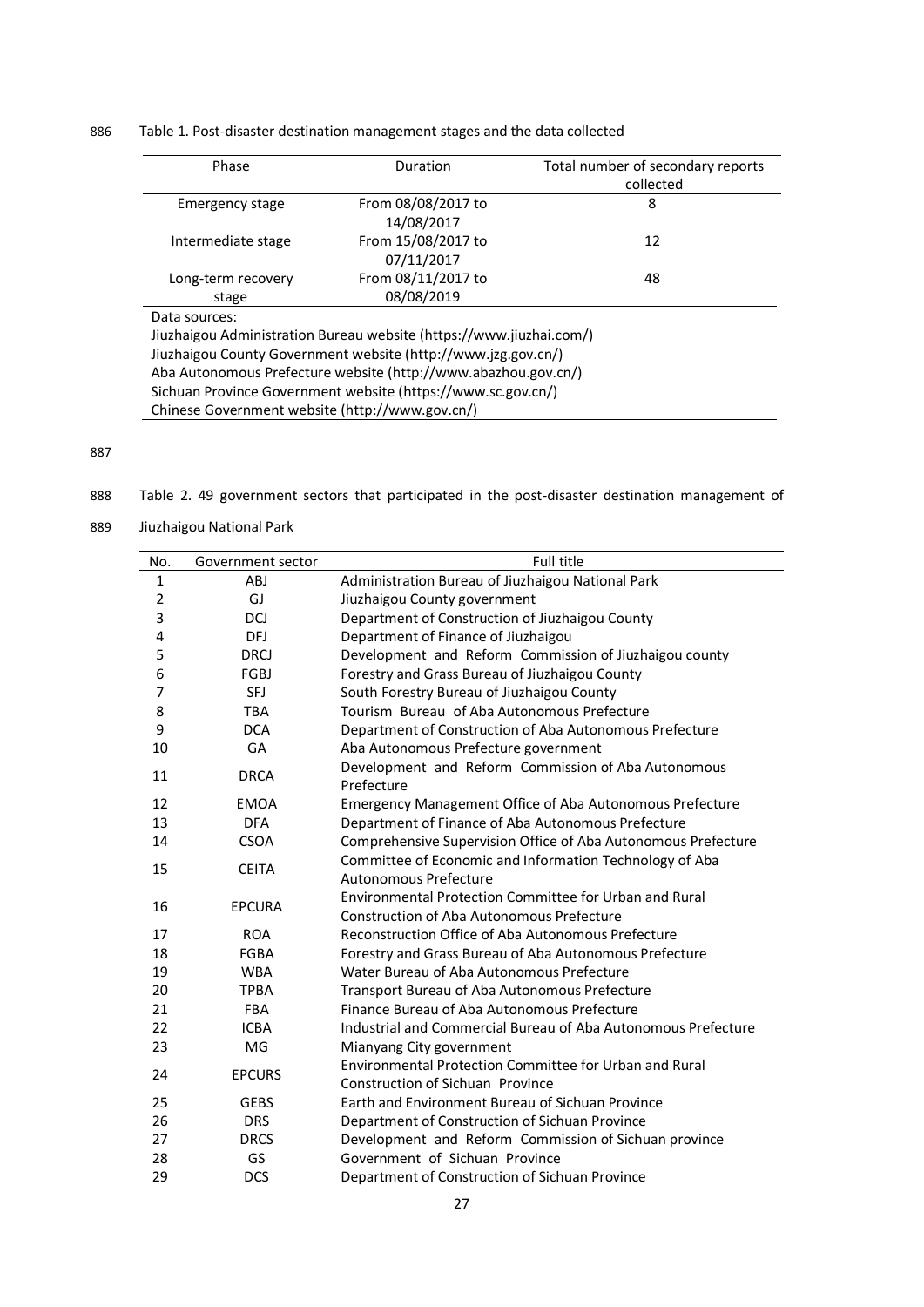Table 1. Post-disaster destination management stages and the data collected

| Phase                                                          | Duration                                                            | Total number of secondary reports |  |  |  |
|----------------------------------------------------------------|---------------------------------------------------------------------|-----------------------------------|--|--|--|
|                                                                |                                                                     | collected                         |  |  |  |
| Emergency stage                                                | From 08/08/2017 to                                                  | 8                                 |  |  |  |
|                                                                | 14/08/2017                                                          |                                   |  |  |  |
| Intermediate stage                                             | From 15/08/2017 to                                                  | 12                                |  |  |  |
|                                                                | 07/11/2017                                                          |                                   |  |  |  |
| Long-term recovery                                             | From 08/11/2017 to                                                  | 48                                |  |  |  |
| stage                                                          | 08/08/2019                                                          |                                   |  |  |  |
| Data sources:                                                  |                                                                     |                                   |  |  |  |
|                                                                | Jiuzhaigou Administration Bureau website (https://www.jiuzhai.com/) |                                   |  |  |  |
| Jiuzhaigou County Government website (http://www.jzg.gov.cn/)  |                                                                     |                                   |  |  |  |
| Aba Autonomous Prefecture website (http://www.abazhou.gov.cn/) |                                                                     |                                   |  |  |  |
| Sichuan Province Government website (https://www.sc.gov.cn/)   |                                                                     |                                   |  |  |  |
| Chinese Government website (http://www.gov.cn/)                |                                                                     |                                   |  |  |  |

- Table 2. 49 government sectors that participated in the post-disaster destination management of
- Jiuzhaigou National Park

| No.          | Government sector | Full title                                                                                          |
|--------------|-------------------|-----------------------------------------------------------------------------------------------------|
| $\mathbf{1}$ | ABJ               | Administration Bureau of Jiuzhaigou National Park                                                   |
| 2            | GJ                | Jiuzhaigou County government                                                                        |
| 3            | DCJ               | Department of Construction of Jiuzhaigou County                                                     |
| 4            | DFJ               | Department of Finance of Jiuzhaigou                                                                 |
| 5            | <b>DRCJ</b>       | Development and Reform Commission of Jiuzhaigou county                                              |
| 6            | FGBJ              | Forestry and Grass Bureau of Jiuzhaigou County                                                      |
| 7            | <b>SFJ</b>        | South Forestry Bureau of Jiuzhaigou County                                                          |
| 8            | <b>TBA</b>        | Tourism Bureau of Aba Autonomous Prefecture                                                         |
| 9            | <b>DCA</b>        | Department of Construction of Aba Autonomous Prefecture                                             |
| 10           | GA                | Aba Autonomous Prefecture government                                                                |
| 11           | <b>DRCA</b>       | Development and Reform Commission of Aba Autonomous<br>Prefecture                                   |
| 12           | <b>EMOA</b>       | <b>Emergency Management Office of Aba Autonomous Prefecture</b>                                     |
| 13           | <b>DFA</b>        | Department of Finance of Aba Autonomous Prefecture                                                  |
| 14           | <b>CSOA</b>       | Comprehensive Supervision Office of Aba Autonomous Prefecture                                       |
| 15           | <b>CEITA</b>      | Committee of Economic and Information Technology of Aba<br>Autonomous Prefecture                    |
|              |                   |                                                                                                     |
| 16           | <b>EPCURA</b>     | Environmental Protection Committee for Urban and Rural<br>Construction of Aba Autonomous Prefecture |
| 17           | <b>ROA</b>        | Reconstruction Office of Aba Autonomous Prefecture                                                  |
| 18           | <b>FGBA</b>       | Forestry and Grass Bureau of Aba Autonomous Prefecture                                              |
| 19           | <b>WBA</b>        | Water Bureau of Aba Autonomous Prefecture                                                           |
| 20           | <b>TPBA</b>       | Transport Bureau of Aba Autonomous Prefecture                                                       |
| 21           | <b>FBA</b>        | Finance Bureau of Aba Autonomous Prefecture                                                         |
| 22           | <b>ICBA</b>       | Industrial and Commercial Bureau of Aba Autonomous Prefecture                                       |
| 23           | MG                | Mianyang City government                                                                            |
| 24           |                   | Environmental Protection Committee for Urban and Rural                                              |
|              | <b>EPCURS</b>     | Construction of Sichuan Province                                                                    |
| 25           | <b>GEBS</b>       | Earth and Environment Bureau of Sichuan Province                                                    |
| 26           | <b>DRS</b>        | Department of Construction of Sichuan Province                                                      |
| 27           | <b>DRCS</b>       | Development and Reform Commission of Sichuan province                                               |
| 28           | GS                | Government of Sichuan Province                                                                      |
| 29           | <b>DCS</b>        | Department of Construction of Sichuan Province                                                      |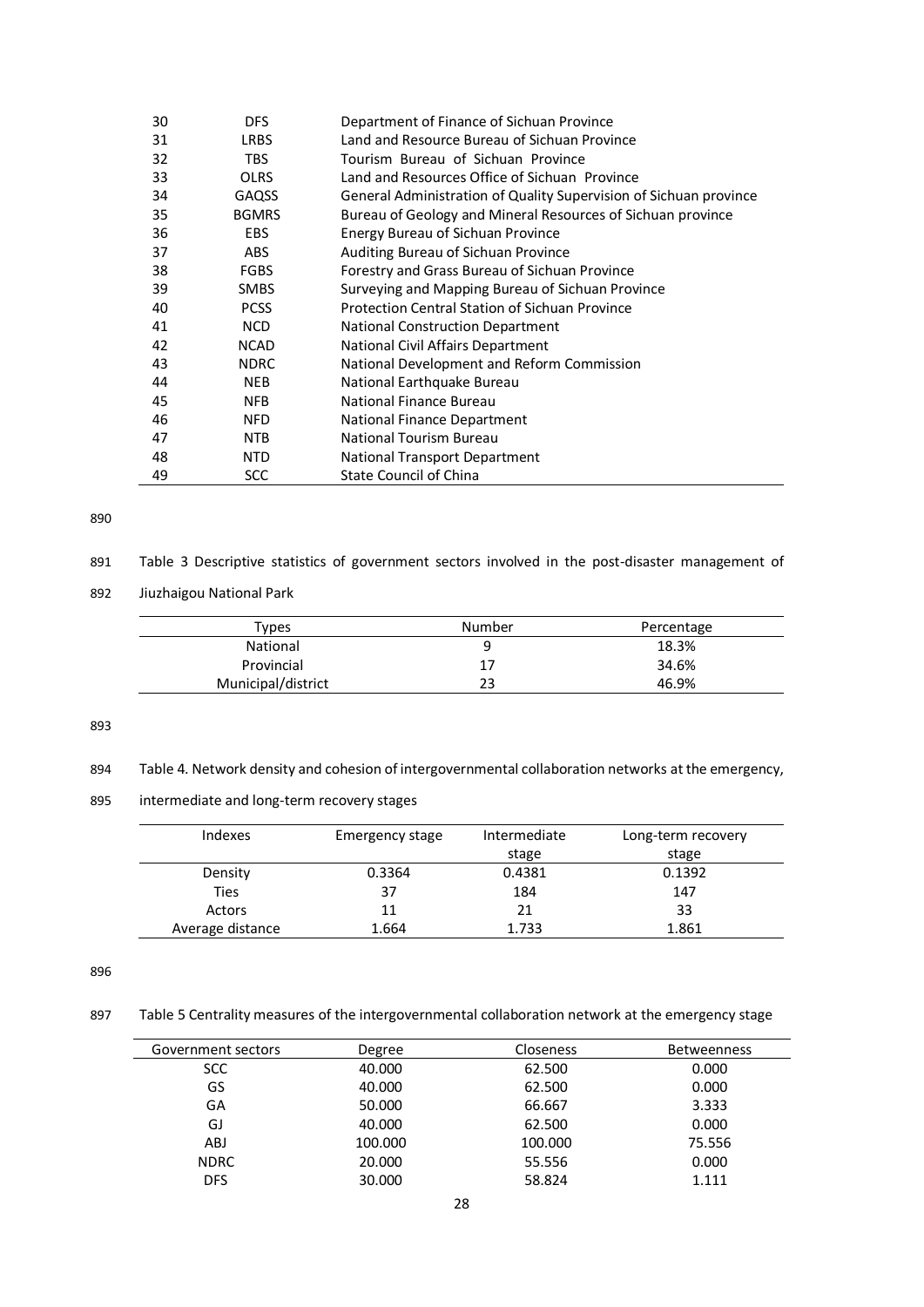| 30 | <b>DFS</b>   | Department of Finance of Sichuan Province                         |
|----|--------------|-------------------------------------------------------------------|
| 31 | <b>LRBS</b>  | Land and Resource Bureau of Sichuan Province                      |
| 32 | <b>TBS</b>   | Tourism Bureau of Sichuan Province                                |
| 33 | <b>OLRS</b>  | Land and Resources Office of Sichuan Province                     |
| 34 | <b>GAQSS</b> | General Administration of Quality Supervision of Sichuan province |
| 35 | <b>BGMRS</b> | Bureau of Geology and Mineral Resources of Sichuan province       |
| 36 | <b>EBS</b>   | Energy Bureau of Sichuan Province                                 |
| 37 | <b>ABS</b>   | Auditing Bureau of Sichuan Province                               |
| 38 | <b>FGBS</b>  | Forestry and Grass Bureau of Sichuan Province                     |
| 39 | <b>SMBS</b>  | Surveying and Mapping Bureau of Sichuan Province                  |
| 40 | <b>PCSS</b>  | <b>Protection Central Station of Sichuan Province</b>             |
| 41 | <b>NCD</b>   | <b>National Construction Department</b>                           |
| 42 | <b>NCAD</b>  | National Civil Affairs Department                                 |
| 43 | <b>NDRC</b>  | National Development and Reform Commission                        |
| 44 | <b>NEB</b>   | National Earthquake Bureau                                        |
| 45 | <b>NFB</b>   | National Finance Bureau                                           |
| 46 | <b>NFD</b>   | National Finance Department                                       |
| 47 | <b>NTB</b>   | National Tourism Bureau                                           |
| 48 | <b>NTD</b>   | National Transport Department                                     |
| 49 | <b>SCC</b>   | <b>State Council of China</b>                                     |

| 891 | Table 3 Descriptive statistics of government sectors involved in the post-disaster management of |  |  |  |  |  |  |  |  |
|-----|--------------------------------------------------------------------------------------------------|--|--|--|--|--|--|--|--|
|-----|--------------------------------------------------------------------------------------------------|--|--|--|--|--|--|--|--|

892 Jiuzhaigou National Park

| vpes <sup>-</sup>  | Number | Percentage |
|--------------------|--------|------------|
| <b>National</b>    |        | 18.3%      |
| Provincial         | 17     | 34.6%      |
| Municipal/district |        | 46.9%      |

893

894 Table 4. Network density and cohesion of intergovernmental collaboration networks at the emergency,

895 intermediate and long-term recovery stages

| Indexes          | Emergency stage | Intermediate | Long-term recovery |
|------------------|-----------------|--------------|--------------------|
|                  |                 | stage        | stage              |
| Density          | 0.3364          | 0.4381       | 0.1392             |
| <b>Ties</b>      | 37              | 184          | 147                |
| Actors           | 11              | 21           | 33                 |
| Average distance | 1.664           | 1.733        | 1.861              |

896

897 Table 5 Centrality measures of the intergovernmental collaboration network at the emergency stage

| Government sectors | Degree  | <b>Closeness</b> | <b>Betweenness</b> |
|--------------------|---------|------------------|--------------------|
| <b>SCC</b>         | 40.000  | 62.500           | 0.000              |
| GS                 | 40.000  | 62.500           | 0.000              |
| GA                 | 50.000  | 66.667           | 3.333              |
| GJ                 | 40.000  | 62.500           | 0.000              |
| ABJ                | 100.000 | 100.000          | 75.556             |
| <b>NDRC</b>        | 20.000  | 55.556           | 0.000              |
| <b>DFS</b>         | 30.000  | 58.824           | 1.111              |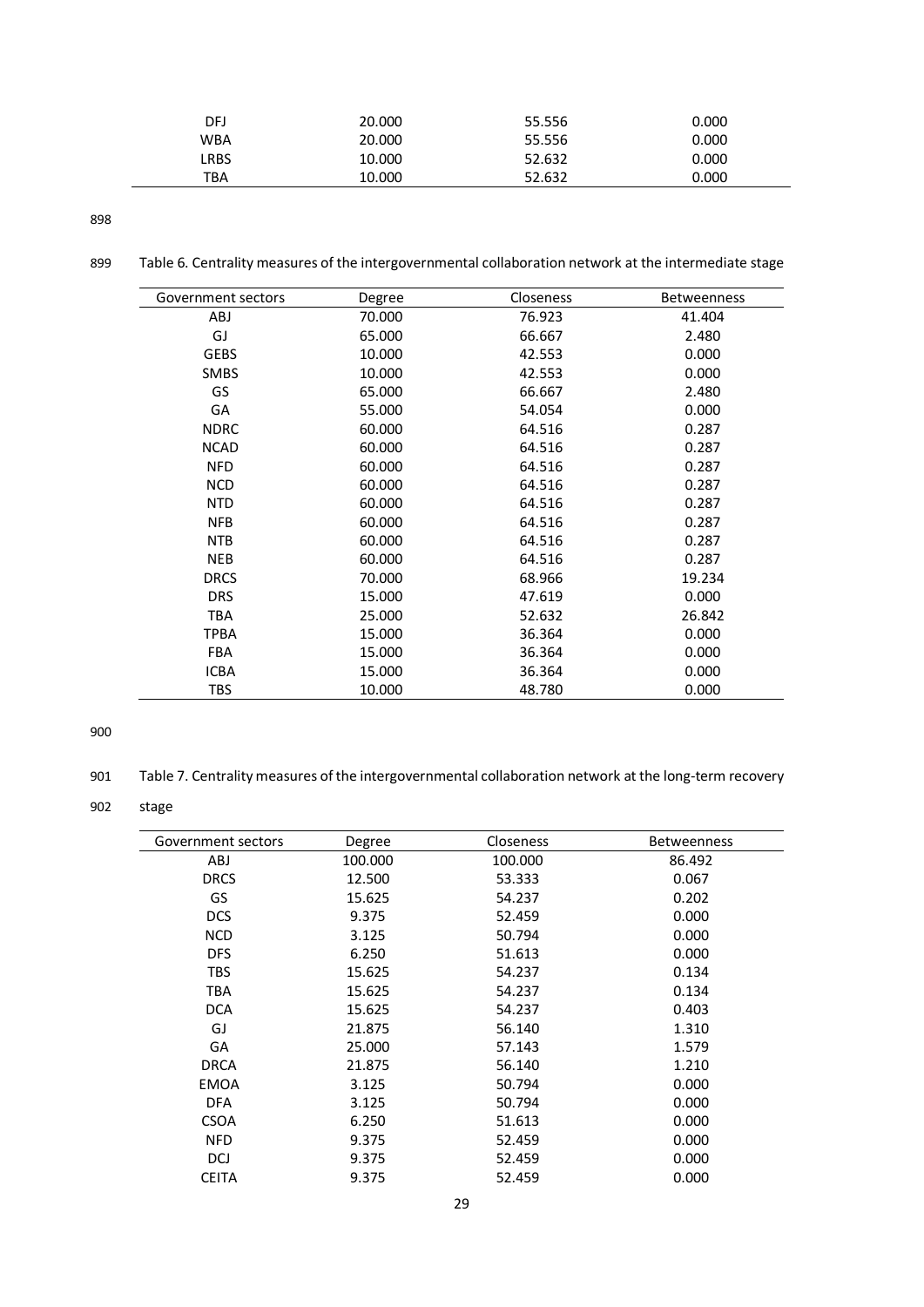| DFJ  | 20.000 | 55.556 | 0.000 |
|------|--------|--------|-------|
| WBA  | 20.000 | 55.556 | 0.000 |
| ∟RBS | 10.000 | 52.632 | 0.000 |
| TBA  | 10.000 | 52.632 | 0.000 |

899 Table 6. Centrality measures of the intergovernmental collaboration network at the intermediate stage

| Government sectors | Degree | <b>Closeness</b> | <b>Betweenness</b> |
|--------------------|--------|------------------|--------------------|
| ABJ                | 70.000 | 76.923           | 41.404             |
| GJ                 | 65.000 | 66.667           | 2.480              |
| <b>GEBS</b>        | 10.000 | 42.553           | 0.000              |
| <b>SMBS</b>        | 10.000 | 42.553           | 0.000              |
| GS                 | 65.000 | 66.667           | 2.480              |
| GA                 | 55.000 | 54.054           | 0.000              |
| <b>NDRC</b>        | 60.000 | 64.516           | 0.287              |
| <b>NCAD</b>        | 60.000 | 64.516           | 0.287              |
| <b>NFD</b>         | 60.000 | 64.516           | 0.287              |
| <b>NCD</b>         | 60.000 | 64.516           | 0.287              |
| <b>NTD</b>         | 60.000 | 64.516           | 0.287              |
| <b>NFB</b>         | 60.000 | 64.516           | 0.287              |
| <b>NTB</b>         | 60.000 | 64.516           | 0.287              |
| <b>NEB</b>         | 60.000 | 64.516           | 0.287              |
| <b>DRCS</b>        | 70.000 | 68.966           | 19.234             |
| <b>DRS</b>         | 15.000 | 47.619           | 0.000              |
| <b>TBA</b>         | 25.000 | 52.632           | 26.842             |
| <b>TPBA</b>        | 15.000 | 36.364           | 0.000              |
| <b>FBA</b>         | 15.000 | 36.364           | 0.000              |
| <b>ICBA</b>        | 15.000 | 36.364           | 0.000              |
| <b>TBS</b>         | 10.000 | 48.780           | 0.000              |

900

901 Table 7. Centrality measures of the intergovernmental collaboration network at the long-term recovery

902 stage

| Government sectors | Degree  | Closeness | <b>Betweenness</b> |
|--------------------|---------|-----------|--------------------|
| ABJ                | 100.000 | 100.000   | 86.492             |
| <b>DRCS</b>        | 12.500  | 53.333    | 0.067              |
| GS                 | 15.625  | 54.237    | 0.202              |
| <b>DCS</b>         | 9.375   | 52.459    | 0.000              |
| <b>NCD</b>         | 3.125   | 50.794    | 0.000              |
| <b>DFS</b>         | 6.250   | 51.613    | 0.000              |
| <b>TBS</b>         | 15.625  | 54.237    | 0.134              |
| <b>TBA</b>         | 15.625  | 54.237    | 0.134              |
| <b>DCA</b>         | 15.625  | 54.237    | 0.403              |
| GJ                 | 21.875  | 56.140    | 1.310              |
| GA                 | 25.000  | 57.143    | 1.579              |
| <b>DRCA</b>        | 21.875  | 56.140    | 1.210              |
| <b>EMOA</b>        | 3.125   | 50.794    | 0.000              |
| DFA                | 3.125   | 50.794    | 0.000              |
| <b>CSOA</b>        | 6.250   | 51.613    | 0.000              |
| <b>NFD</b>         | 9.375   | 52.459    | 0.000              |
| DCJ                | 9.375   | 52.459    | 0.000              |
| <b>CEITA</b>       | 9.375   | 52.459    | 0.000              |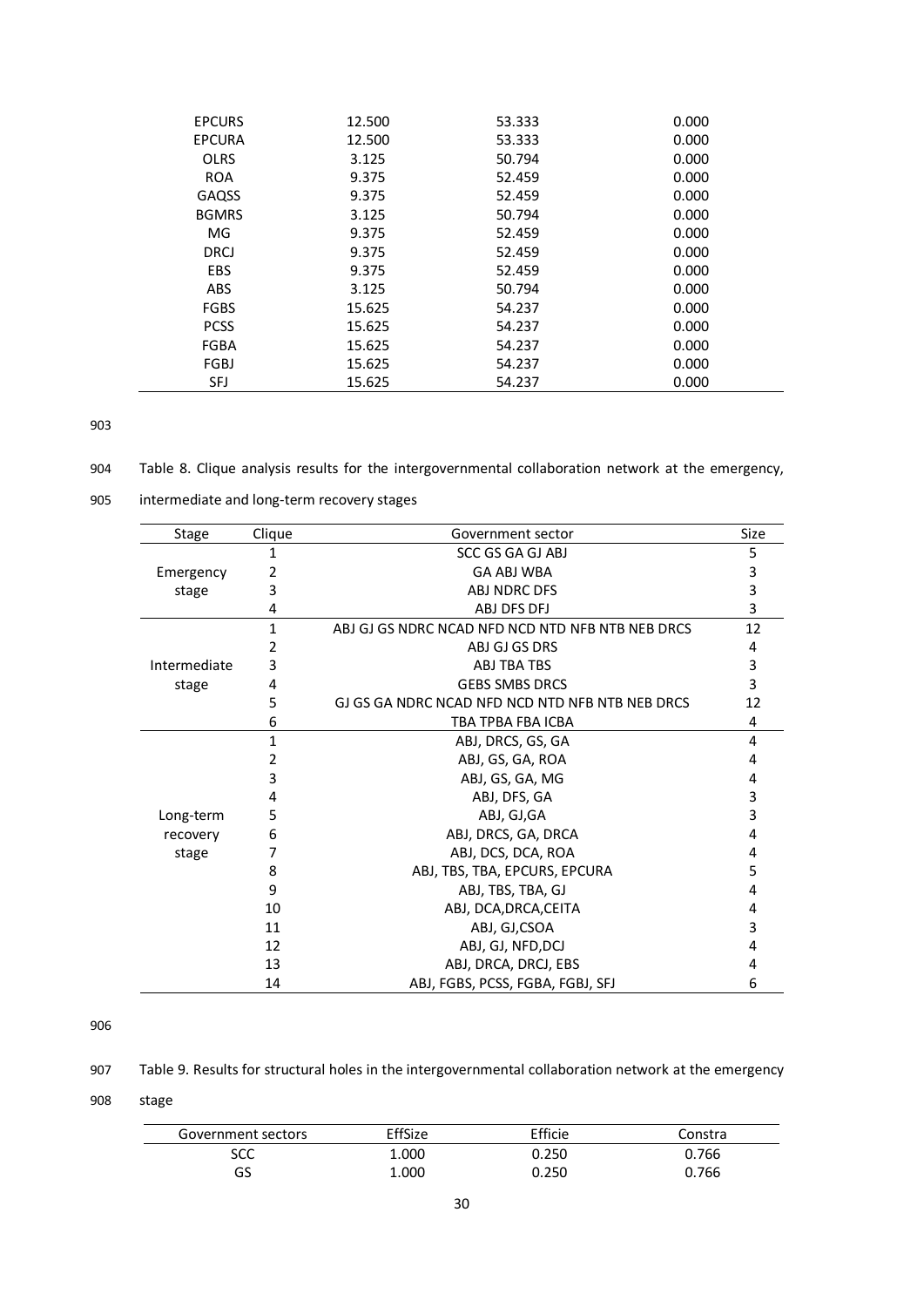| <b>EPCURS</b> | 12.500 | 53.333 | 0.000 |
|---------------|--------|--------|-------|
| <b>EPCURA</b> | 12.500 | 53.333 | 0.000 |
| <b>OLRS</b>   | 3.125  | 50.794 | 0.000 |
| <b>ROA</b>    | 9.375  | 52.459 | 0.000 |
| GAQSS         | 9.375  | 52.459 | 0.000 |
| <b>BGMRS</b>  | 3.125  | 50.794 | 0.000 |
| MG            | 9.375  | 52.459 | 0.000 |
| DRCJ          | 9.375  | 52.459 | 0.000 |
| <b>EBS</b>    | 9.375  | 52.459 | 0.000 |
| <b>ABS</b>    | 3.125  | 50.794 | 0.000 |
| <b>FGBS</b>   | 15.625 | 54.237 | 0.000 |
| <b>PCSS</b>   | 15.625 | 54.237 | 0.000 |
| <b>FGBA</b>   | 15.625 | 54.237 | 0.000 |
| FGBJ          | 15.625 | 54.237 | 0.000 |
| SFJ           | 15.625 | 54.237 | 0.000 |

904 Table 8. Clique analysis results for the intergovernmental collaboration network at the emergency,

| 905 | intermediate and long-term recovery stages |  |  |
|-----|--------------------------------------------|--|--|
|-----|--------------------------------------------|--|--|

| Stage        | Clique | Size<br>Government sector                        |    |
|--------------|--------|--------------------------------------------------|----|
|              | 1      | <b>SCC GS GA GJ ABJ</b>                          |    |
| Emergency    | 2      | <b>GA ABJ WBA</b>                                |    |
| stage        | 3      | ABJ NDRC DFS                                     |    |
|              | 4      | ABJ DFS DFJ                                      |    |
|              | 1      | ABJ GJ GS NDRC NCAD NFD NCD NTD NFB NTB NEB DRCS |    |
|              | 2      | ABJ GJ GS DRS                                    | 4  |
| Intermediate | 3      | ABJ TBA TBS                                      | 3  |
| stage        | 4      | <b>GEBS SMBS DRCS</b>                            | 3  |
|              | 5      | GJ GS GA NDRC NCAD NFD NCD NTD NFB NTB NEB DRCS  | 12 |
|              | 6      | TBA TPBA FBA ICBA                                | 4  |
|              | 1      | ABJ, DRCS, GS, GA                                |    |
|              | 2      | ABJ, GS, GA, ROA                                 |    |
|              | 3      | ABJ, GS, GA, MG                                  |    |
|              | 4      | ABJ, DFS, GA                                     |    |
| Long-term    | 5      | ABJ, GJ,GA                                       |    |
| recovery     | 6      | ABJ, DRCS, GA, DRCA                              | 4  |
| stage        | 7      | ABJ, DCS, DCA, ROA                               | 4  |
|              | 8      | ABJ, TBS, TBA, EPCURS, EPCURA                    | 5  |
|              | 9      | ABJ, TBS, TBA, GJ                                | 4  |
|              | 10     | ABJ, DCA, DRCA, CEITA                            | 4  |
|              | 11     | ABJ, GJ,CSOA                                     | 3  |
|              | 12     | ABJ, GJ, NFD, DCJ                                | 4  |
|              | 13     | ABJ, DRCA, DRCJ, EBS                             | 4  |
|              | 14     | ABJ, FGBS, PCSS, FGBA, FGBJ, SFJ                 | 6  |

#### 906

907 Table 9. Results for structural holes in the intergovernmental collaboration network at the emergency

908 stage

| Government sectors | EffSize | Efficie | Constra |
|--------------------|---------|---------|---------|
| SCC                | 1.000   | 0.250   | 0.766   |
| GS                 | 1.000   | 0.250   | 0.766   |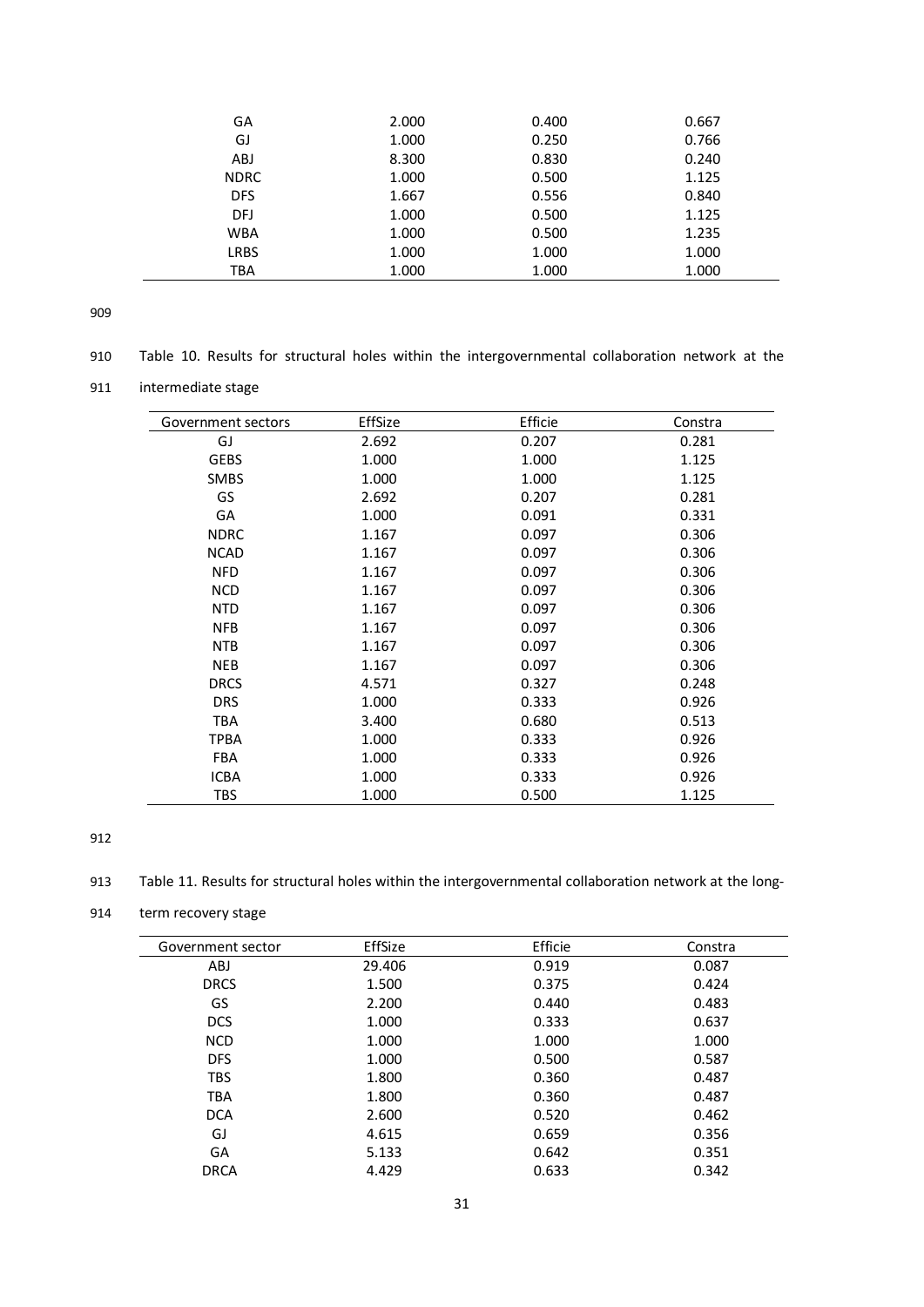| GA          | 2.000 | 0.400 | 0.667 |
|-------------|-------|-------|-------|
| GJ          | 1.000 | 0.250 | 0.766 |
| <b>ABJ</b>  | 8.300 | 0.830 | 0.240 |
| <b>NDRC</b> | 1.000 | 0.500 | 1.125 |
| <b>DFS</b>  | 1.667 | 0.556 | 0.840 |
| DFJ         | 1.000 | 0.500 | 1.125 |
| <b>WBA</b>  | 1.000 | 0.500 | 1.235 |
| <b>LRBS</b> | 1.000 | 1.000 | 1.000 |
| TBA         | 1.000 | 1.000 | 1.000 |
|             |       |       |       |

- 910 Table 10. Results for structural holes within the intergovernmental collaboration network at the
- 911 intermediate stage

| Government sectors | EffSize | Efficie | Constra |
|--------------------|---------|---------|---------|
| GJ                 | 2.692   | 0.207   | 0.281   |
| <b>GEBS</b>        | 1.000   | 1.000   | 1.125   |
| <b>SMBS</b>        | 1.000   | 1.000   | 1.125   |
| GS                 | 2.692   | 0.207   | 0.281   |
| GA                 | 1.000   | 0.091   | 0.331   |
| <b>NDRC</b>        | 1.167   | 0.097   | 0.306   |
| <b>NCAD</b>        | 1.167   | 0.097   | 0.306   |
| <b>NFD</b>         | 1.167   | 0.097   | 0.306   |
| <b>NCD</b>         | 1.167   | 0.097   | 0.306   |
| <b>NTD</b>         | 1.167   | 0.097   | 0.306   |
| <b>NFB</b>         | 1.167   | 0.097   | 0.306   |
| <b>NTB</b>         | 1.167   | 0.097   | 0.306   |
| <b>NEB</b>         | 1.167   | 0.097   | 0.306   |
| <b>DRCS</b>        | 4.571   | 0.327   | 0.248   |
| <b>DRS</b>         | 1.000   | 0.333   | 0.926   |
| <b>TBA</b>         | 3.400   | 0.680   | 0.513   |
| <b>TPBA</b>        | 1.000   | 0.333   | 0.926   |
| <b>FBA</b>         | 1.000   | 0.333   | 0.926   |
| <b>ICBA</b>        | 1.000   | 0.333   | 0.926   |
| <b>TBS</b>         | 1.000   | 0.500   | 1.125   |

#### 912

913 Table 11. Results for structural holes within the intergovernmental collaboration network at the long-

# 914 term recovery stage

| Government sector | EffSize | Efficie | Constra |
|-------------------|---------|---------|---------|
| <b>ABJ</b>        | 29.406  | 0.919   | 0.087   |
| <b>DRCS</b>       | 1.500   | 0.375   | 0.424   |
| GS                | 2.200   | 0.440   | 0.483   |
| <b>DCS</b>        | 1.000   | 0.333   | 0.637   |
| <b>NCD</b>        | 1.000   | 1.000   | 1.000   |
| <b>DFS</b>        | 1.000   | 0.500   | 0.587   |
| <b>TBS</b>        | 1.800   | 0.360   | 0.487   |
| <b>TBA</b>        | 1.800   | 0.360   | 0.487   |
| <b>DCA</b>        | 2.600   | 0.520   | 0.462   |
| GJ                | 4.615   | 0.659   | 0.356   |
| GA                | 5.133   | 0.642   | 0.351   |
| <b>DRCA</b>       | 4.429   | 0.633   | 0.342   |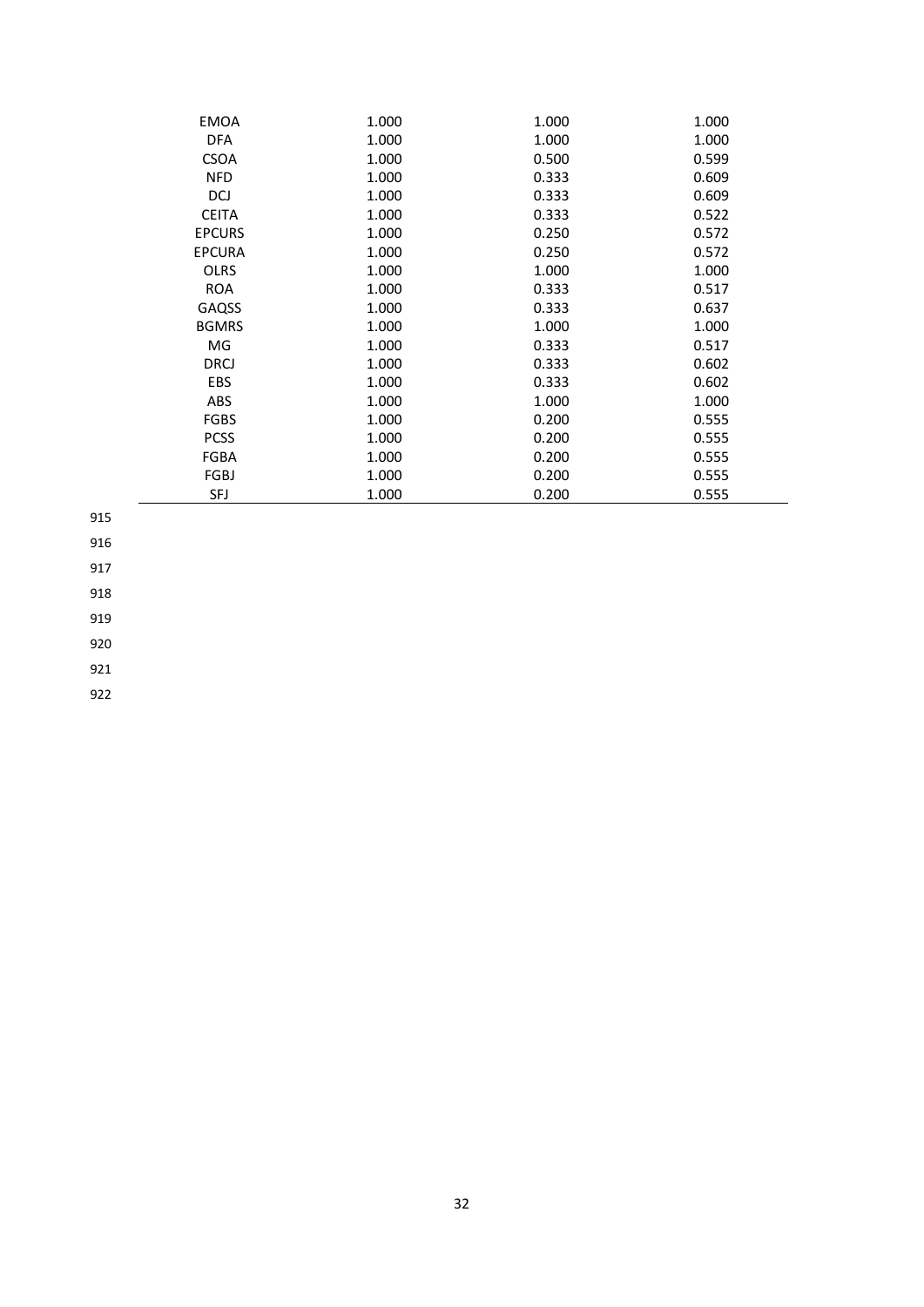| <b>EMOA</b>   | 1.000 | 1.000 | 1.000 |
|---------------|-------|-------|-------|
| <b>DFA</b>    | 1.000 | 1.000 | 1.000 |
| <b>CSOA</b>   | 1.000 | 0.500 | 0.599 |
| <b>NFD</b>    | 1.000 | 0.333 | 0.609 |
| DCJ           | 1.000 | 0.333 | 0.609 |
| <b>CEITA</b>  | 1.000 | 0.333 | 0.522 |
| <b>EPCURS</b> | 1.000 | 0.250 | 0.572 |
| <b>EPCURA</b> | 1.000 | 0.250 | 0.572 |
| <b>OLRS</b>   | 1.000 | 1.000 | 1.000 |
| <b>ROA</b>    | 1.000 | 0.333 | 0.517 |
| GAQSS         | 1.000 | 0.333 | 0.637 |
| <b>BGMRS</b>  | 1.000 | 1.000 | 1.000 |
| MG            | 1.000 | 0.333 | 0.517 |
| <b>DRCJ</b>   | 1.000 | 0.333 | 0.602 |
| <b>EBS</b>    | 1.000 | 0.333 | 0.602 |
| <b>ABS</b>    | 1.000 | 1.000 | 1.000 |
| <b>FGBS</b>   | 1.000 | 0.200 | 0.555 |
| <b>PCSS</b>   | 1.000 | 0.200 | 0.555 |
| FGBA          | 1.000 | 0.200 | 0.555 |
| FGBJ          | 1.000 | 0.200 | 0.555 |
| <b>SFJ</b>    | 1.000 | 0.200 | 0.555 |

916

917

918

919

920

921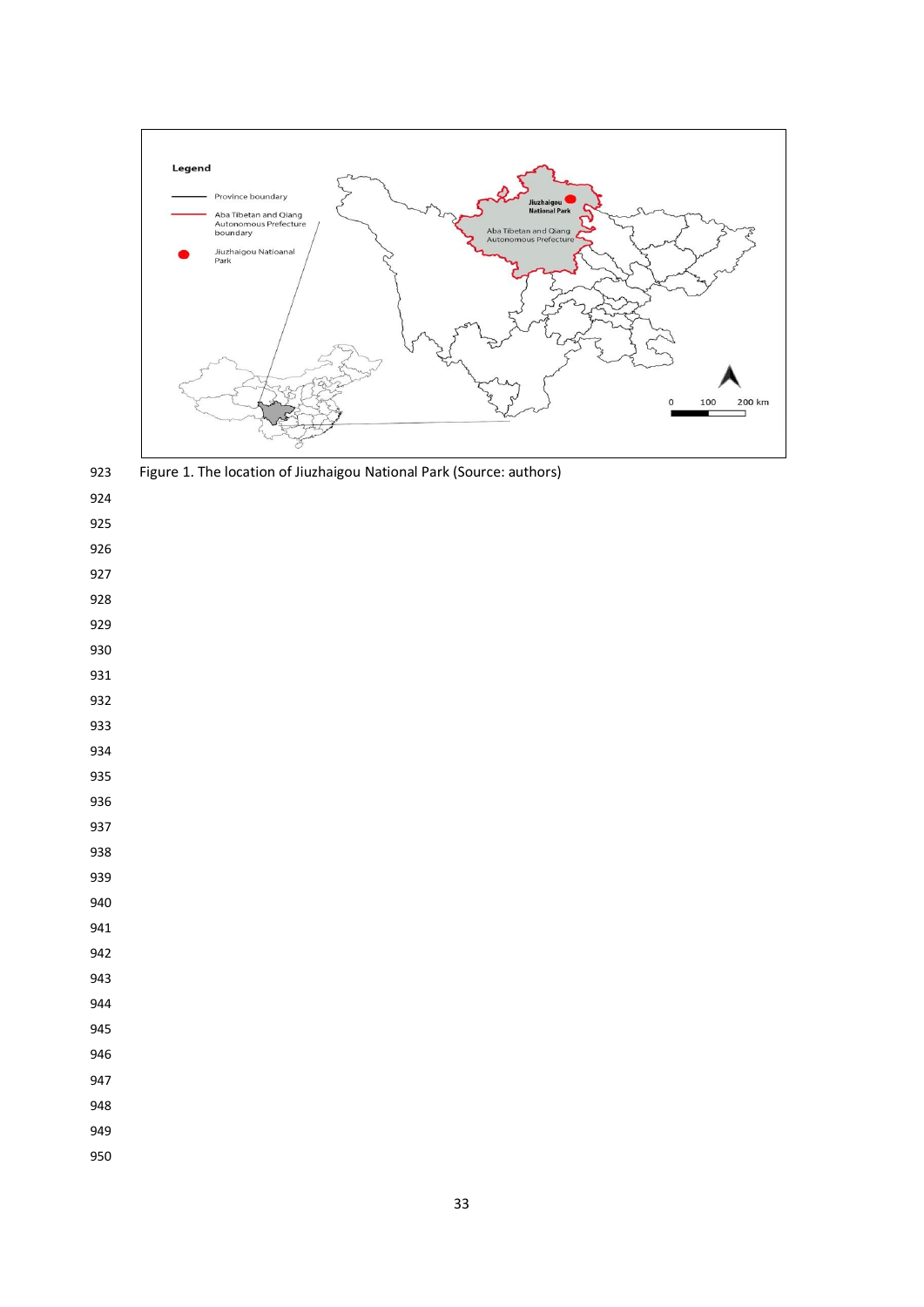

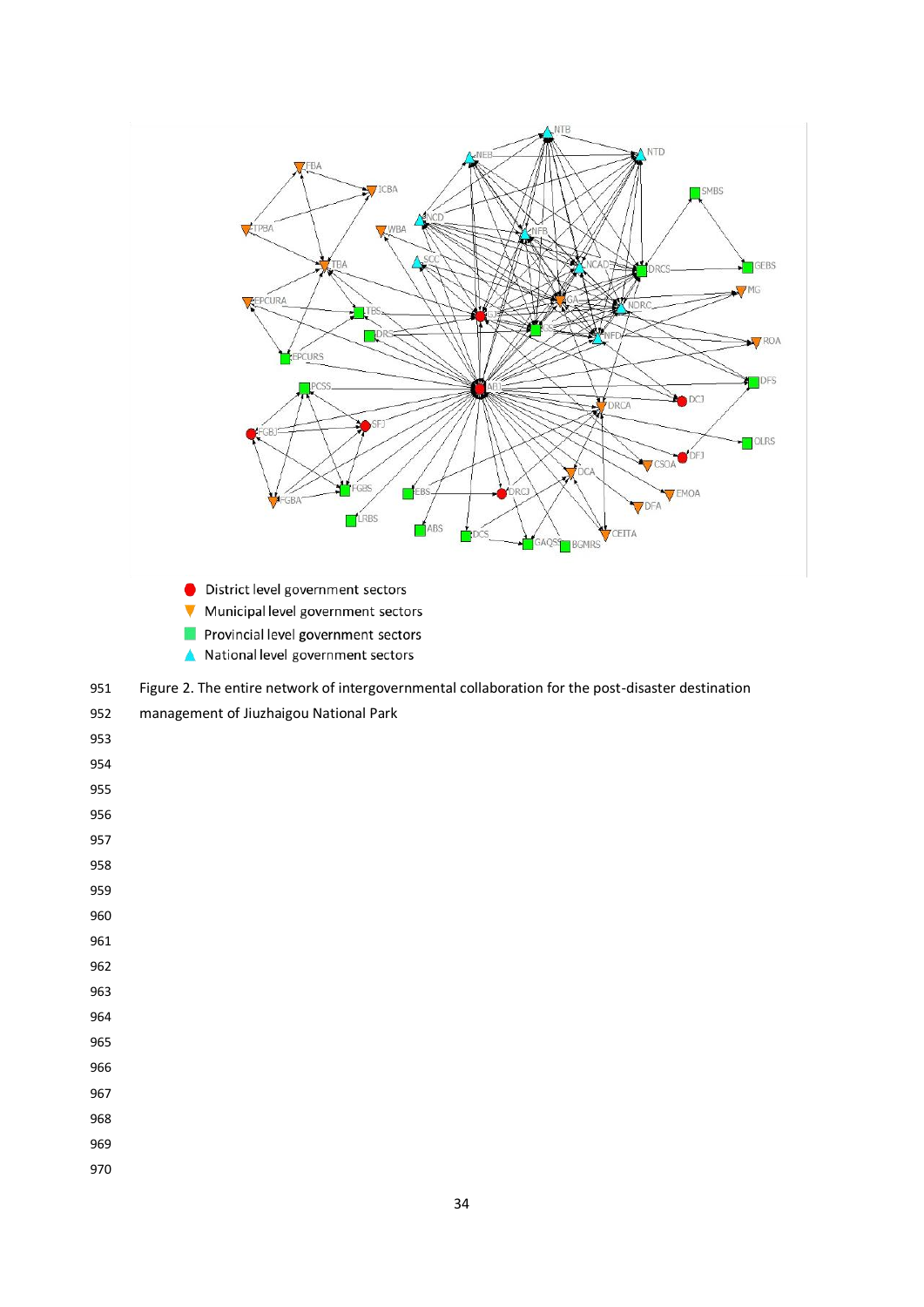

- District level government sectors
- ▼ Municipal level government sectors
- M. Provincial level government sectors
- A National level government sectors
- Figure 2. The entire network of intergovernmental collaboration for the post-disaster destination

| 952 | management of Jiuzhaigou National Park |  |  |  |
|-----|----------------------------------------|--|--|--|
|-----|----------------------------------------|--|--|--|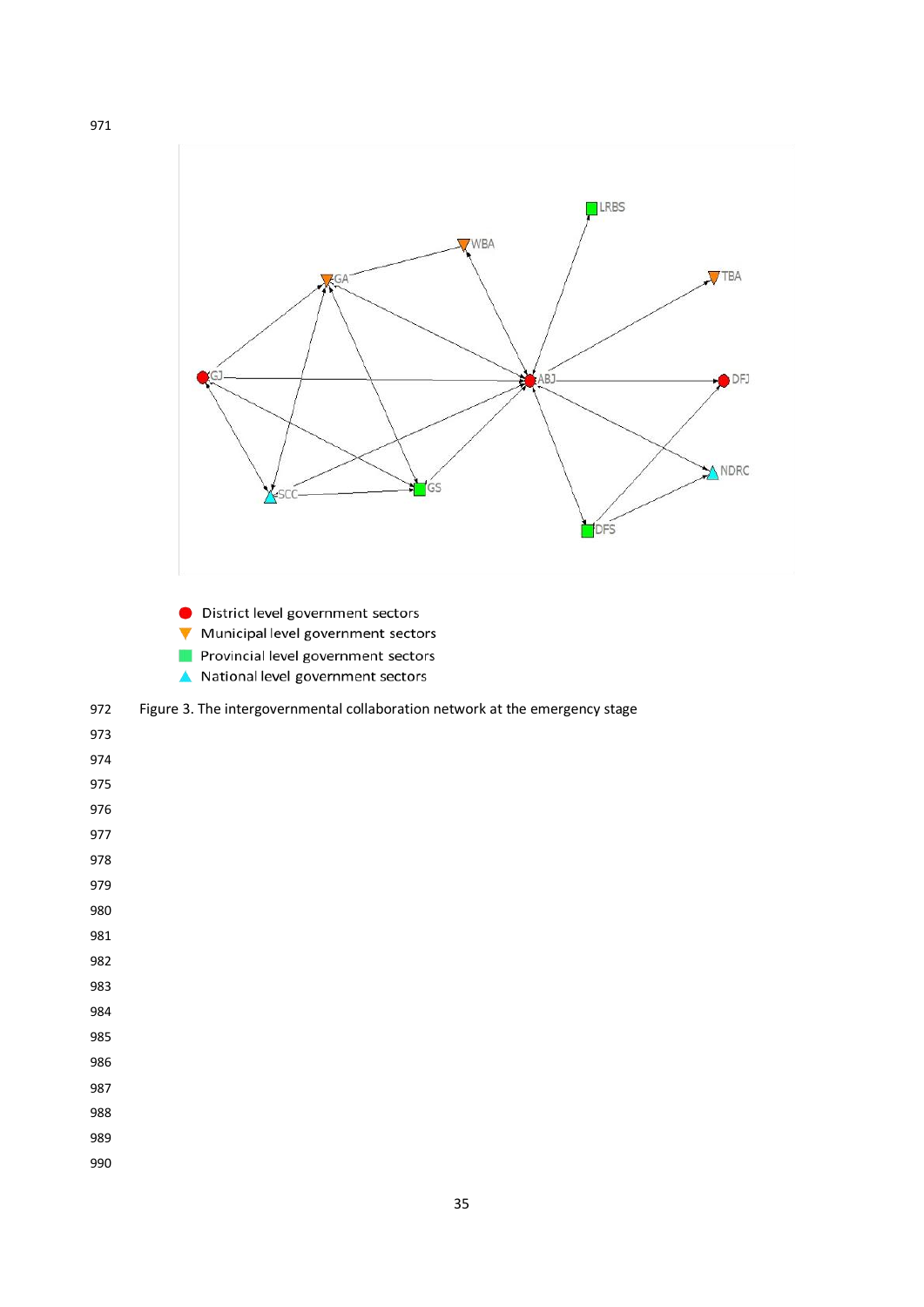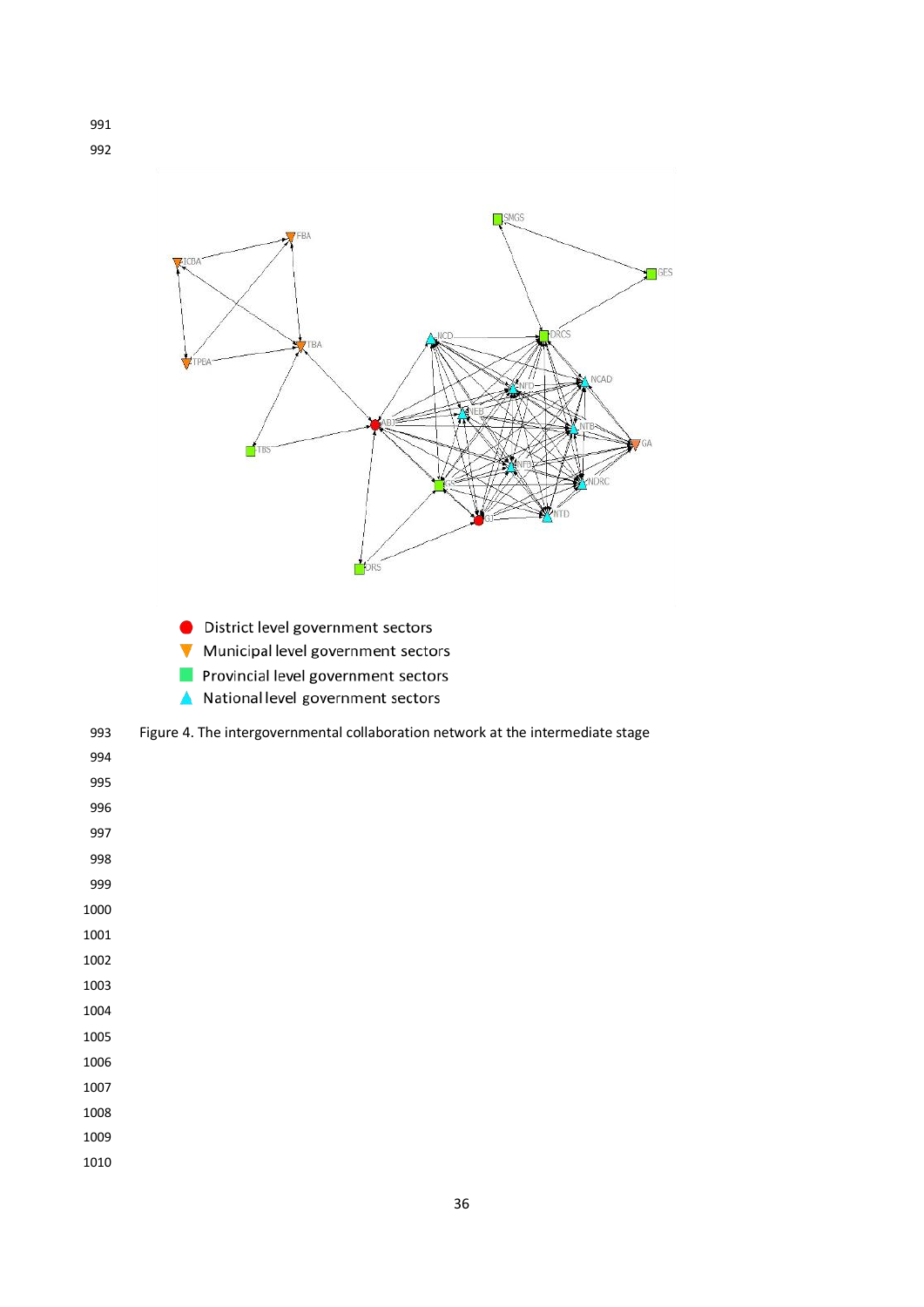



- District level government sectors
- Municipal level government sectors
- Provincial level government sectors
- National level government sectors  $\blacktriangle$



| 994  |
|------|
| 995  |
| 996  |
| 997  |
| 998  |
| 999  |
| 1000 |
| 1001 |
| 1002 |
| 1003 |
| 1004 |
| 1005 |
| 1006 |
| 1007 |
| 1008 |
| 1009 |
| 1010 |
|      |